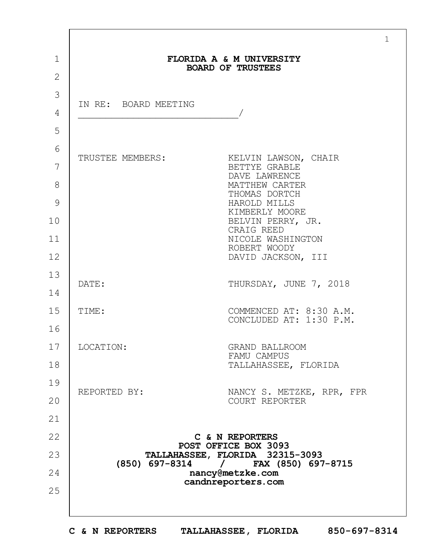|             |                                                                                    | $\mathbf{1}$                                       |
|-------------|------------------------------------------------------------------------------------|----------------------------------------------------|
| $\mathbf 1$ | FLORIDA A & M UNIVERSITY<br><b>BOARD OF TRUSTEES</b>                               |                                                    |
| 2           |                                                                                    |                                                    |
| 3           | IN RE: BOARD MEETING                                                               |                                                    |
| 4           |                                                                                    |                                                    |
| 5           |                                                                                    |                                                    |
| 6           | TRUSTEE MEMBERS:                                                                   | KELVIN LAWSON, CHAIR                               |
| 7           |                                                                                    | BETTYE GRABLE<br>DAVE LAWRENCE                     |
| 8           |                                                                                    | MATTHEW CARTER<br>THOMAS DORTCH                    |
| 9           |                                                                                    | HAROLD MILLS<br>KIMBERLY MOORE                     |
| 10          |                                                                                    | BELVIN PERRY, JR.<br>CRAIG REED                    |
| 11          |                                                                                    | NICOLE WASHINGTON<br>ROBERT WOODY                  |
| 12          |                                                                                    | DAVID JACKSON, III                                 |
| 13          | DATE:                                                                              | THURSDAY, JUNE 7, 2018                             |
| 14          |                                                                                    |                                                    |
| 15          | TIME:                                                                              | COMMENCED AT: 8:30 A.M.<br>CONCLUDED AT: 1:30 P.M. |
| 16          |                                                                                    |                                                    |
| 17          | LOCATION:                                                                          | GRAND BALLROOM<br>FAMU CAMPUS                      |
| 18          |                                                                                    | TALLAHASSEE, FLORIDA                               |
| 19          | REPORTED BY:                                                                       | NANCY S. METZKE, RPR, FPR                          |
| 20          |                                                                                    | COURT REPORTER                                     |
| 21          |                                                                                    |                                                    |
| 22          |                                                                                    | C & N REPORTERS<br>POST OFFICE BOX 3093            |
| 23          |                                                                                    | TALLAHASSEE, FLORIDA 32315-3093                    |
| 24          | $(850)$ 697-8314 /<br>FAX (850) 697-8715<br>nancy@metzke.com<br>candnreporters.com |                                                    |
| 25          |                                                                                    |                                                    |
|             |                                                                                    |                                                    |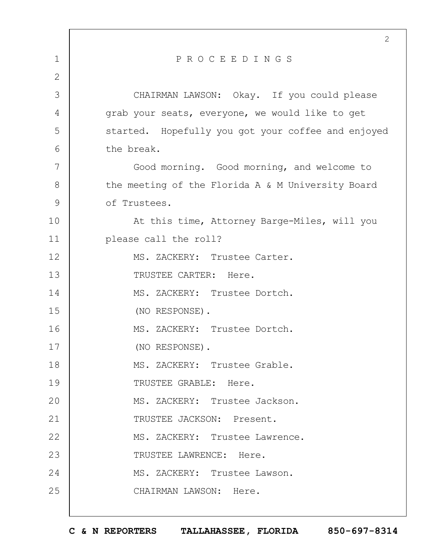|             | 2                                                  |
|-------------|----------------------------------------------------|
| $\mathbf 1$ | PROCEEDINGS                                        |
| 2           |                                                    |
| 3           | CHAIRMAN LAWSON: Okay. If you could please         |
| 4           | grab your seats, everyone, we would like to get    |
| 5           | started. Hopefully you got your coffee and enjoyed |
| 6           | the break.                                         |
| 7           | Good morning. Good morning, and welcome to         |
| 8           | the meeting of the Florida A & M University Board  |
| 9           | of Trustees.                                       |
| 10          | At this time, Attorney Barge-Miles, will you       |
| 11          | please call the roll?                              |
| 12          | MS. ZACKERY: Trustee Carter.                       |
| 13          | TRUSTEE CARTER: Here.                              |
| 14          | MS. ZACKERY: Trustee Dortch.                       |
| 15          | (NO RESPONSE).                                     |
| 16          | MS. ZACKERY: Trustee Dortch.                       |
| 17          | (NO RESPONSE).                                     |
| 18          | MS. ZACKERY: Trustee Grable.                       |
| 19          | TRUSTEE GRABLE: Here.                              |
| 20          | MS. ZACKERY: Trustee Jackson.                      |
| 21          | TRUSTEE JACKSON: Present.                          |
| 22          | MS. ZACKERY: Trustee Lawrence.                     |
| 23          | TRUSTEE LAWRENCE: Here.                            |
| 24          | MS. ZACKERY: Trustee Lawson.                       |
| 25          | CHAIRMAN LAWSON: Here.                             |
|             |                                                    |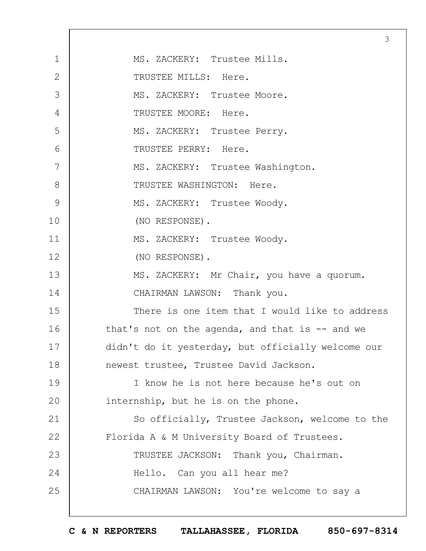|              | 3                                                  |
|--------------|----------------------------------------------------|
| $\mathbf{1}$ | MS. ZACKERY: Trustee Mills.                        |
| 2            | TRUSTEE MILLS: Here.                               |
| 3            | MS. ZACKERY: Trustee Moore.                        |
| 4            | TRUSTEE MOORE: Here.                               |
| 5            | MS. ZACKERY: Trustee Perry.                        |
| 6            | TRUSTEE PERRY: Here.                               |
| 7            | MS. ZACKERY: Trustee Washington.                   |
| 8            | TRUSTEE WASHINGTON: Here.                          |
| 9            | MS. ZACKERY: Trustee Woody.                        |
| 10           | (NO RESPONSE).                                     |
| 11           | MS. ZACKERY: Trustee Woody.                        |
| 12           | (NO RESPONSE).                                     |
| 13           | MS. ZACKERY: Mr Chair, you have a quorum.          |
| 14           | CHAIRMAN LAWSON: Thank you.                        |
| 15           | There is one item that I would like to address     |
| 16           | that's not on the agenda, and that is $-$ and we   |
| 17           | didn't do it yesterday, but officially welcome our |
| 18           | newest trustee, Trustee David Jackson.             |
| 19           | I know he is not here because he's out on          |
| 20           | internship, but he is on the phone.                |
| 21           | So officially, Trustee Jackson, welcome to the     |
| 22           | Florida A & M University Board of Trustees.        |
| 23           | TRUSTEE JACKSON: Thank you, Chairman.              |
| 24           | Hello. Can you all hear me?                        |
| 25           | CHAIRMAN LAWSON: You're welcome to say a           |
|              |                                                    |

 $\Gamma$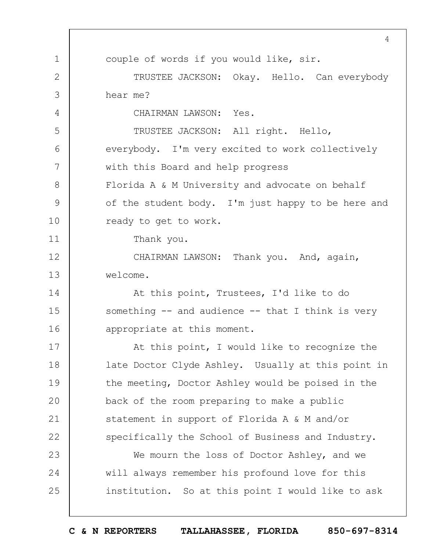1 2 3 4 5 6 7 8 9 10 11 12 13 14 15 16 17 18 19  $20$ 21 22 23 24 25 4 couple of words if you would like, sir. TRUSTEE JACKSON: Okay. Hello. Can everybody hear me? CHAIRMAN LAWSON: Yes. TRUSTEE JACKSON: All right. Hello, everybody. I'm very excited to work collectively with this Board and help progress Florida A & M University and advocate on behalf of the student body. I'm just happy to be here and ready to get to work. Thank you. CHAIRMAN LAWSON: Thank you. And, again, welcome. At this point, Trustees, I'd like to do something  $--$  and audience  $--$  that I think is very appropriate at this moment. At this point, I would like to recognize the late Doctor Clyde Ashley. Usually at this point in the meeting, Doctor Ashley would be poised in the back of the room preparing to make a public statement in support of Florida A & M and/or specifically the School of Business and Industry. We mourn the loss of Doctor Ashley, and we will always remember his profound love for this institution. So at this point I would like to ask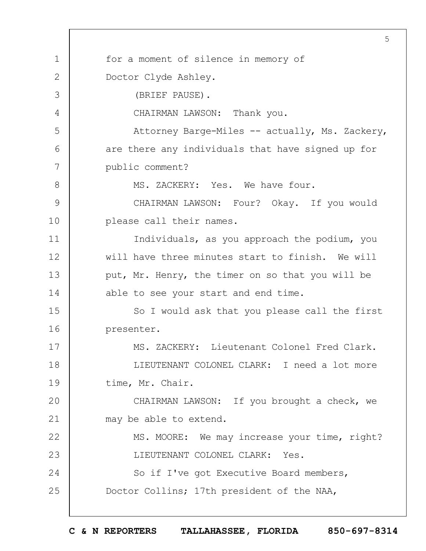|               | 5                                                 |
|---------------|---------------------------------------------------|
| $\mathbf 1$   | for a moment of silence in memory of              |
| $\mathbf{2}$  | Doctor Clyde Ashley.                              |
| 3             | (BRIEF PAUSE).                                    |
| 4             | CHAIRMAN LAWSON: Thank you.                       |
| 5             | Attorney Barge-Miles -- actually, Ms. Zackery,    |
| 6             | are there any individuals that have signed up for |
| 7             | public comment?                                   |
| $8\,$         | MS. ZACKERY: Yes. We have four.                   |
| $\mathcal{G}$ | CHAIRMAN LAWSON: Four? Okay. If you would         |
| 10            | please call their names.                          |
| 11            | Individuals, as you approach the podium, you      |
| 12            | will have three minutes start to finish. We will  |
| 13            | put, Mr. Henry, the timer on so that you will be  |
| 14            | able to see your start and end time.              |
| 15            | So I would ask that you please call the first     |
| 16            | presenter.                                        |
| 17            | MS. ZACKERY: Lieutenant Colonel Fred Clark.       |
| 18            | LIEUTENANT COLONEL CLARK: I need a lot more       |
| 19            | time, Mr. Chair.                                  |
| 20            | CHAIRMAN LAWSON: If you brought a check, we       |
| 21            | may be able to extend.                            |
| 22            | MS. MOORE: We may increase your time, right?      |
| 23            | LIEUTENANT COLONEL CLARK: Yes.                    |
| 24            | So if I've got Executive Board members,           |
| 25            | Doctor Collins; 17th president of the NAA,        |
|               |                                                   |

 $\overline{\phantom{a}}$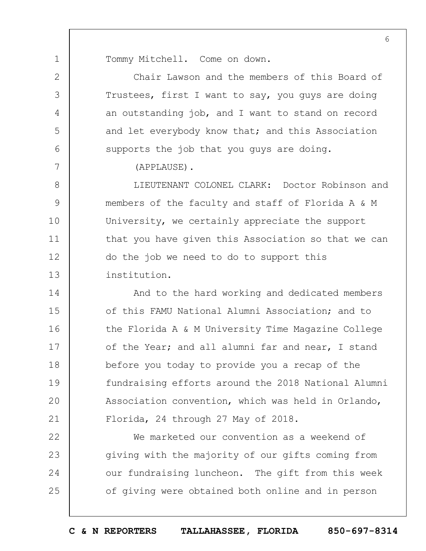Tommy Mitchell. Come on down.

1

2

3

4

5

6

7

Chair Lawson and the members of this Board of Trustees, first I want to say, you guys are doing an outstanding job, and I want to stand on record and let everybody know that; and this Association supports the job that you guys are doing.

(APPLAUSE).

8 9 10 11 12 13 LIEUTENANT COLONEL CLARK: Doctor Robinson and members of the faculty and staff of Florida A & M University, we certainly appreciate the support that you have given this Association so that we can do the job we need to do to support this institution.

14 15 16 17 18 19  $20$ 21 And to the hard working and dedicated members of this FAMU National Alumni Association; and to the Florida A & M University Time Magazine College of the Year; and all alumni far and near, I stand before you today to provide you a recap of the fundraising efforts around the 2018 National Alumni Association convention, which was held in Orlando, Florida, 24 through 27 May of 2018.

22 23 24 25 We marketed our convention as a weekend of giving with the majority of our gifts coming from our fundraising luncheon. The gift from this week of giving were obtained both online and in person

**C & N REPORTERS TALLAHASSEE, FLORIDA 850-697-8314**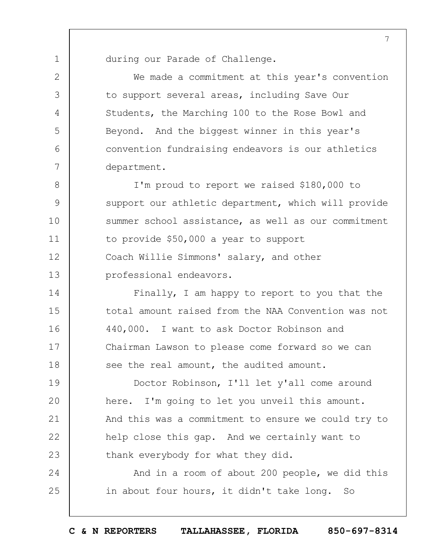during our Parade of Challenge.

1

2

3

4

5

6

7

14

15

16

17

18

We made a commitment at this year's convention to support several areas, including Save Our Students, the Marching 100 to the Rose Bowl and Beyond. And the biggest winner in this year's convention fundraising endeavors is our athletics department.

8 9 10 11 12 13 I'm proud to report we raised \$180,000 to support our athletic department, which will provide summer school assistance, as well as our commitment to provide \$50,000 a year to support Coach Willie Simmons' salary, and other professional endeavors.

Finally, I am happy to report to you that the total amount raised from the NAA Convention was not 440,000. I want to ask Doctor Robinson and Chairman Lawson to please come forward so we can see the real amount, the audited amount.

19  $20$ 21 22 23 Doctor Robinson, I'll let y'all come around here. I'm going to let you unveil this amount. And this was a commitment to ensure we could try to help close this gap. And we certainly want to thank everybody for what they did.

24 25 And in a room of about 200 people, we did this in about four hours, it didn't take long. So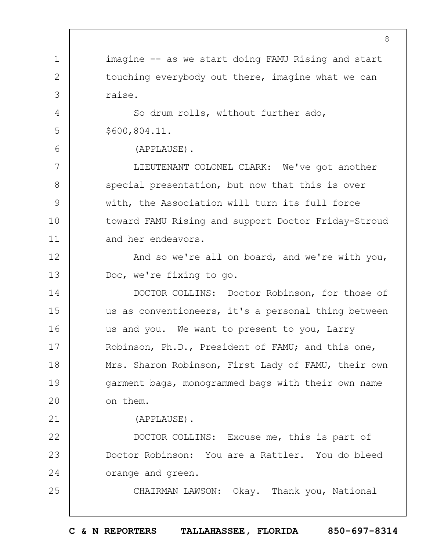1 2 3 4 5 6 7 8  $\mathsf{Q}$ 10 11 12 13 14 15 16 17 18 19  $20$ 21 22 23 24 25 8 imagine -- as we start doing FAMU Rising and start touching everybody out there, imagine what we can raise. So drum rolls, without further ado, \$600,804.11. (APPLAUSE). LIEUTENANT COLONEL CLARK: We've got another special presentation, but now that this is over with, the Association will turn its full force toward FAMU Rising and support Doctor Friday-Stroud and her endeavors. And so we're all on board, and we're with you, Doc, we're fixing to go. DOCTOR COLLINS: Doctor Robinson, for those of us as conventioneers, it's a personal thing between us and you. We want to present to you, Larry Robinson, Ph.D., President of FAMU; and this one, Mrs. Sharon Robinson, First Lady of FAMU, their own garment bags, monogrammed bags with their own name on them. (APPLAUSE). DOCTOR COLLINS: Excuse me, this is part of Doctor Robinson: You are a Rattler. You do bleed orange and green. CHAIRMAN LAWSON: Okay. Thank you, National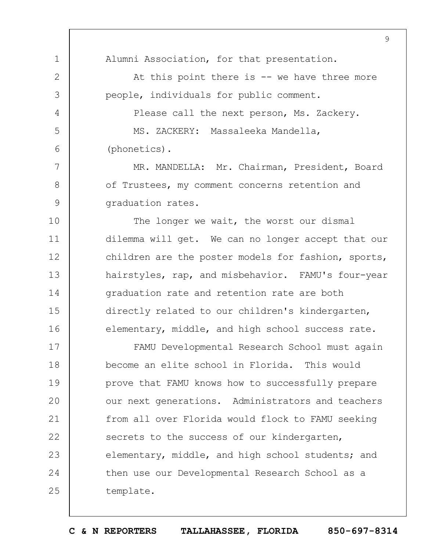1 2 3 4 5 6 7 8  $\mathsf{Q}$ 10 11 12 13 14 15 16 17 18 19  $20$ 21 22 23 24 25 9 Alumni Association, for that presentation. At this point there is  $--$  we have three more people, individuals for public comment. Please call the next person, Ms. Zackery. MS. ZACKERY: Massaleeka Mandella, (phonetics). MR. MANDELLA: Mr. Chairman, President, Board of Trustees, my comment concerns retention and graduation rates. The longer we wait, the worst our dismal dilemma will get. We can no longer accept that our children are the poster models for fashion, sports, hairstyles, rap, and misbehavior. FAMU's four-year graduation rate and retention rate are both directly related to our children's kindergarten, elementary, middle, and high school success rate. FAMU Developmental Research School must again become an elite school in Florida. This would prove that FAMU knows how to successfully prepare our next generations. Administrators and teachers from all over Florida would flock to FAMU seeking secrets to the success of our kindergarten, elementary, middle, and high school students; and then use our Developmental Research School as a template.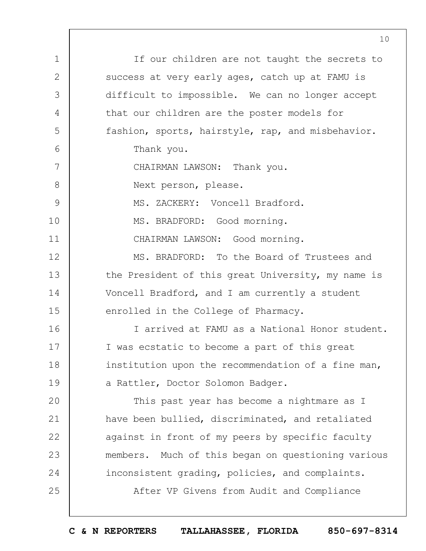1 2 3 4 5 6 7 8  $\mathsf{Q}$ 10 11 12 13 14 15 16 17 18 19  $20$ 21 22 23 24 25 If our children are not taught the secrets to success at very early ages, catch up at FAMU is difficult to impossible. We can no longer accept that our children are the poster models for fashion, sports, hairstyle, rap, and misbehavior. Thank you. CHAIRMAN LAWSON: Thank you. Next person, please. MS. ZACKERY: Voncell Bradford. MS. BRADFORD: Good morning. CHAIRMAN LAWSON: Good morning. MS. BRADFORD: To the Board of Trustees and the President of this great University, my name is Voncell Bradford, and I am currently a student enrolled in the College of Pharmacy. I arrived at FAMU as a National Honor student. I was ecstatic to become a part of this great institution upon the recommendation of a fine man, a Rattler, Doctor Solomon Badger. This past year has become a nightmare as I have been bullied, discriminated, and retaliated against in front of my peers by specific faculty members. Much of this began on questioning various inconsistent grading, policies, and complaints. After VP Givens from Audit and Compliance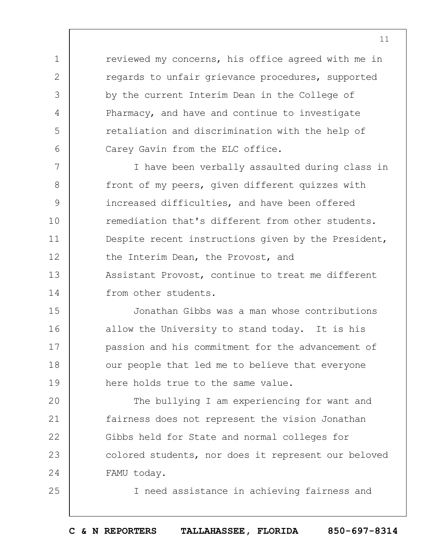reviewed my concerns, his office agreed with me in regards to unfair grievance procedures, supported by the current Interim Dean in the College of Pharmacy, and have and continue to investigate retaliation and discrimination with the help of Carey Gavin from the ELC office.

1

2

3

4

5

6

25

7 8  $\mathsf{Q}$ 10 11 12 13 14 I have been verbally assaulted during class in front of my peers, given different quizzes with increased difficulties, and have been offered remediation that's different from other students. Despite recent instructions given by the President, the Interim Dean, the Provost, and Assistant Provost, continue to treat me different from other students.

15 16 17 18 19 Jonathan Gibbs was a man whose contributions allow the University to stand today. It is his passion and his commitment for the advancement of our people that led me to believe that everyone here holds true to the same value.

 $20$ 21 22 23 24 The bullying I am experiencing for want and fairness does not represent the vision Jonathan Gibbs held for State and normal colleges for colored students, nor does it represent our beloved FAMU today.

I need assistance in achieving fairness and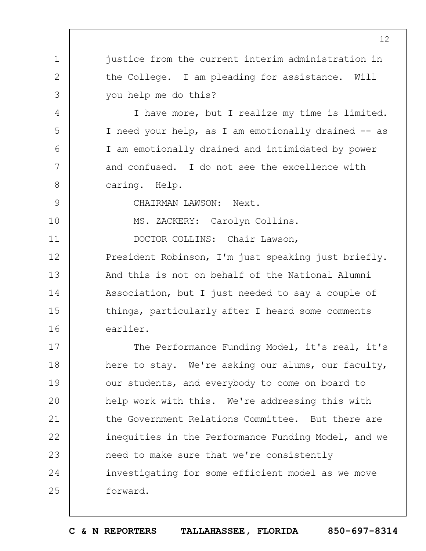justice from the current interim administration in the College. I am pleading for assistance. Will you help me do this?

I have more, but I realize my time is limited. I need your help, as I am emotionally drained -- as I am emotionally drained and intimidated by power and confused. I do not see the excellence with caring. Help.

CHAIRMAN LAWSON: Next.

1

2

3

4

5

6

7

8

 $\mathsf{Q}$ 

10

11

MS. ZACKERY: Carolyn Collins.

DOCTOR COLLINS: Chair Lawson,

12 13 14 15 16 President Robinson, I'm just speaking just briefly. And this is not on behalf of the National Alumni Association, but I just needed to say a couple of things, particularly after I heard some comments earlier.

17 18 19  $20$ 21 22 23 24 25 The Performance Funding Model, it's real, it's here to stay. We're asking our alums, our faculty, our students, and everybody to come on board to help work with this. We're addressing this with the Government Relations Committee. But there are inequities in the Performance Funding Model, and we need to make sure that we're consistently investigating for some efficient model as we move forward.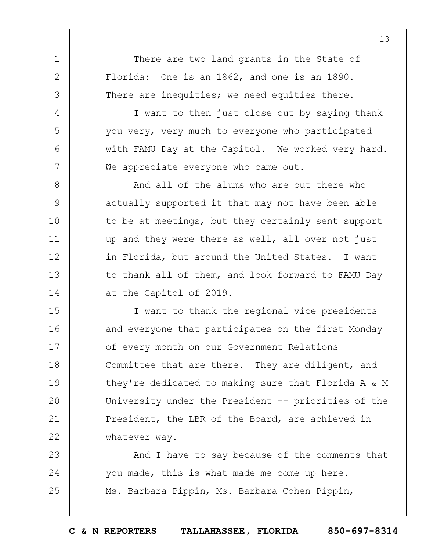There are two land grants in the State of Florida: One is an 1862, and one is an 1890. There are inequities; we need equities there.

1

2

3

4

5

6

7

I want to then just close out by saying thank you very, very much to everyone who participated with FAMU Day at the Capitol. We worked very hard. We appreciate everyone who came out.

8 9 10 11 12 13 14 And all of the alums who are out there who actually supported it that may not have been able to be at meetings, but they certainly sent support up and they were there as well, all over not just in Florida, but around the United States. I want to thank all of them, and look forward to FAMU Day at the Capitol of 2019.

15 16 17 18 19  $20$ 21 22 I want to thank the regional vice presidents and everyone that participates on the first Monday of every month on our Government Relations Committee that are there. They are diligent, and they're dedicated to making sure that Florida A & M University under the President -- priorities of the President, the LBR of the Board, are achieved in whatever way.

23 24 25 And I have to say because of the comments that you made, this is what made me come up here. Ms. Barbara Pippin, Ms. Barbara Cohen Pippin,

**C & N REPORTERS TALLAHASSEE, FLORIDA 850-697-8314**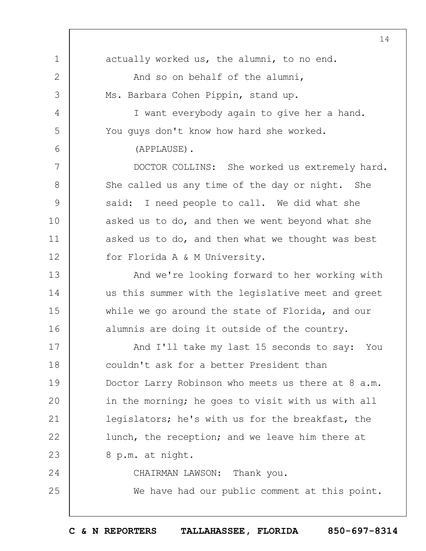1 2 3 4 5 6 7 8 9 10 11 12 13 14 15 16 17 18 19  $20$ 21 22 23 24 25 14 actually worked us, the alumni, to no end. And so on behalf of the alumni, Ms. Barbara Cohen Pippin, stand up. I want everybody again to give her a hand. You guys don't know how hard she worked. (APPLAUSE). DOCTOR COLLINS: She worked us extremely hard. She called us any time of the day or night. She said: I need people to call. We did what she asked us to do, and then we went beyond what she asked us to do, and then what we thought was best for Florida A & M University. And we're looking forward to her working with us this summer with the legislative meet and greet while we go around the state of Florida, and our alumnis are doing it outside of the country. And I'll take my last 15 seconds to say: You couldn't ask for a better President than Doctor Larry Robinson who meets us there at 8 a.m. in the morning; he goes to visit with us with all legislators; he's with us for the breakfast, the lunch, the reception; and we leave him there at 8 p.m. at night. CHAIRMAN LAWSON: Thank you. We have had our public comment at this point.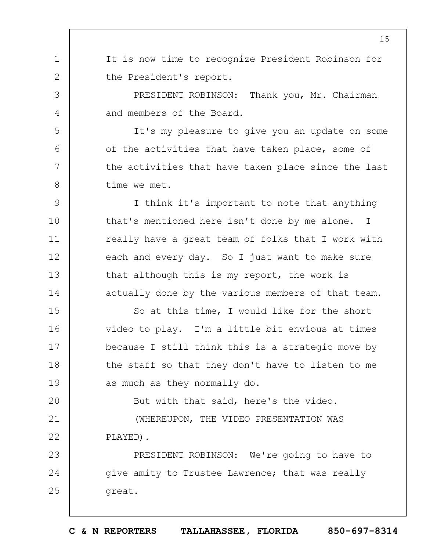It is now time to recognize President Robinson for the President's report.

1

2

3

4

5

6

7

8

PRESIDENT ROBINSON: Thank you, Mr. Chairman and members of the Board.

It's my pleasure to give you an update on some of the activities that have taken place, some of the activities that have taken place since the last time we met.

 $\mathsf{Q}$ 10 11 12 13 14 I think it's important to note that anything that's mentioned here isn't done by me alone. I really have a great team of folks that I work with each and every day. So I just want to make sure that although this is my report, the work is actually done by the various members of that team.

15 16 17 18 19 So at this time, I would like for the short video to play. I'm a little bit envious at times because I still think this is a strategic move by the staff so that they don't have to listen to me as much as they normally do.

 $20$ But with that said, here's the video.

21 22 (WHEREUPON, THE VIDEO PRESENTATION WAS PLAYED).

23 24 25 PRESIDENT ROBINSON: We're going to have to give amity to Trustee Lawrence; that was really great.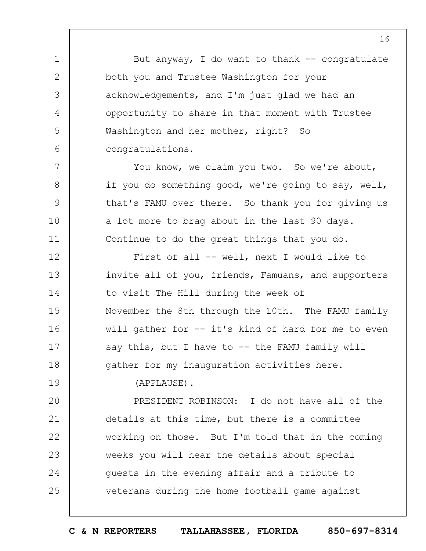But anyway, I do want to thank  $-$ - congratulate both you and Trustee Washington for your acknowledgements, and I'm just glad we had an opportunity to share in that moment with Trustee Washington and her mother, right? So congratulations.

You know, we claim you two. So we're about, if you do something good, we're going to say, well, that's FAMU over there. So thank you for giving us a lot more to brag about in the last 90 days. Continue to do the great things that you do.

12 13 14 15 16 17 18 First of all -- well, next I would like to invite all of you, friends, Famuans, and supporters to visit The Hill during the week of November the 8th through the 10th. The FAMU family will gather for -- it's kind of hard for me to even say this, but I have to  $-$ - the FAMU family will gather for my inauguration activities here.

(APPLAUSE).

1

2

3

4

5

6

7

8

 $\mathsf{Q}$ 

10

11

19

 $20$ 21 22 23 24 25 PRESIDENT ROBINSON: I do not have all of the details at this time, but there is a committee working on those. But I'm told that in the coming weeks you will hear the details about special guests in the evening affair and a tribute to veterans during the home football game against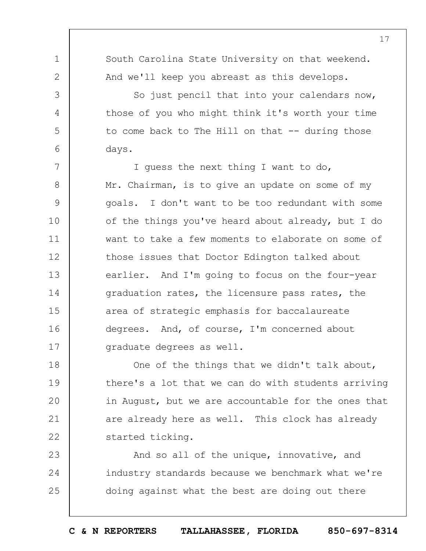| $\mathbf 1$   | South Carolina State University on that weekend.    |
|---------------|-----------------------------------------------------|
| $\mathbf{2}$  | And we'll keep you abreast as this develops.        |
| 3             | So just pencil that into your calendars now,        |
| 4             | those of you who might think it's worth your time   |
| 5             | to come back to The Hill on that $-$ - during those |
| 6             | days.                                               |
| 7             | I quess the next thing I want to do,                |
| $8\,$         | Mr. Chairman, is to give an update on some of my    |
| $\mathcal{G}$ | goals. I don't want to be too redundant with some   |
| 10            | of the things you've heard about already, but I do  |
| 11            | want to take a few moments to elaborate on some of  |
| 12            | those issues that Doctor Edington talked about      |
| 13            | earlier. And I'm going to focus on the four-year    |
| 14            | graduation rates, the licensure pass rates, the     |
| 15            | area of strategic emphasis for baccalaureate        |
| 16            | degrees. And, of course, I'm concerned about        |
| 17            | graduate degrees as well.                           |
| 18            | One of the things that we didn't talk about,        |
| 19            | there's a lot that we can do with students arriving |
| 20            | in August, but we are accountable for the ones that |
| 21            | are already here as well. This clock has already    |
| 22            | started ticking.                                    |
| 23            | And so all of the unique, innovative, and           |
| 24            | industry standards because we benchmark what we're  |
| 25            | doing against what the best are doing out there     |

**C & N REPORTERS TALLAHASSEE, FLORIDA 850-697-8314**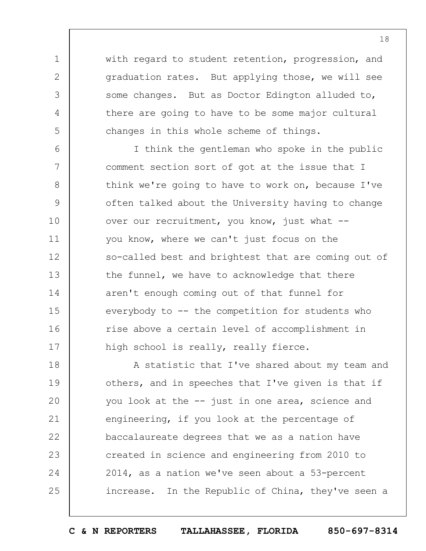with regard to student retention, progression, and graduation rates. But applying those, we will see some changes. But as Doctor Edington alluded to, there are going to have to be some major cultural changes in this whole scheme of things.

1

2

3

4

5

6 7 8  $\mathsf{Q}$ 10 11 12 13 14 15 16 17 I think the gentleman who spoke in the public comment section sort of got at the issue that I think we're going to have to work on, because I've often talked about the University having to change over our recruitment, you know, just what - you know, where we can't just focus on the so-called best and brightest that are coming out of the funnel, we have to acknowledge that there aren't enough coming out of that funnel for everybody to -- the competition for students who rise above a certain level of accomplishment in high school is really, really fierce.

18 19  $20$ 21 22 23 24 25 A statistic that I've shared about my team and others, and in speeches that I've given is that if you look at the -- just in one area, science and engineering, if you look at the percentage of baccalaureate degrees that we as a nation have created in science and engineering from 2010 to 2014, as a nation we've seen about a 53-percent increase. In the Republic of China, they've seen a

**C & N REPORTERS TALLAHASSEE, FLORIDA 850-697-8314**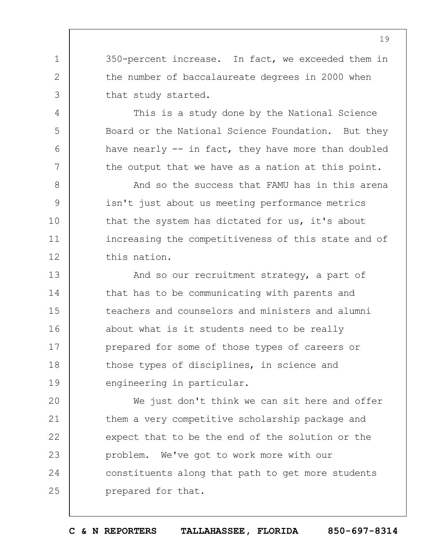350-percent increase. In fact, we exceeded them in the number of baccalaureate degrees in 2000 when that study started.

1

2

3

4

5

6

7

This is a study done by the National Science Board or the National Science Foundation. But they have nearly -- in fact, they have more than doubled the output that we have as a nation at this point.

8  $\mathsf{Q}$ 10 11 12 And so the success that FAMU has in this arena isn't just about us meeting performance metrics that the system has dictated for us, it's about increasing the competitiveness of this state and of this nation.

13 14 15 16 17 18 19 And so our recruitment strategy, a part of that has to be communicating with parents and teachers and counselors and ministers and alumni about what is it students need to be really prepared for some of those types of careers or those types of disciplines, in science and engineering in particular.

 $20$ 21 22 23 24 25 We just don't think we can sit here and offer them a very competitive scholarship package and expect that to be the end of the solution or the problem. We've got to work more with our constituents along that path to get more students prepared for that.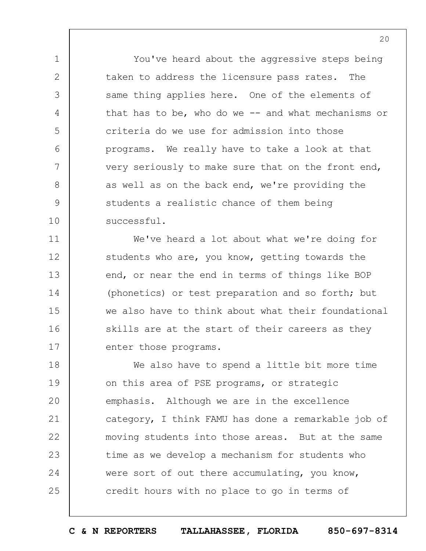You've heard about the aggressive steps being taken to address the licensure pass rates. The same thing applies here. One of the elements of that has to be, who do we  $-$  and what mechanisms or criteria do we use for admission into those programs. We really have to take a look at that very seriously to make sure that on the front end, as well as on the back end, we're providing the students a realistic chance of them being successful.

1

2

3

4

5

6

7

8

 $\mathsf{Q}$ 

10

11

12

13

14

15

16

17

We've heard a lot about what we're doing for students who are, you know, getting towards the end, or near the end in terms of things like BOP (phonetics) or test preparation and so forth; but we also have to think about what their foundational skills are at the start of their careers as they enter those programs.

18 19  $20$ 21 22 23 24 25 We also have to spend a little bit more time on this area of PSE programs, or strategic emphasis. Although we are in the excellence category, I think FAMU has done a remarkable job of moving students into those areas. But at the same time as we develop a mechanism for students who were sort of out there accumulating, you know, credit hours with no place to go in terms of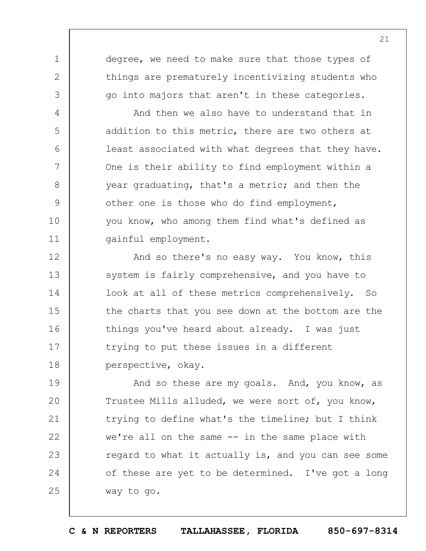degree, we need to make sure that those types of things are prematurely incentivizing students who go into majors that aren't in these categories.

1

2

3

4

5

6

7

8

9

10

11

And then we also have to understand that in addition to this metric, there are two others at least associated with what degrees that they have. One is their ability to find employment within a year graduating, that's a metric; and then the other one is those who do find employment, you know, who among them find what's defined as gainful employment.

12 13 14 15 16 17 18 And so there's no easy way. You know, this system is fairly comprehensive, and you have to look at all of these metrics comprehensively. So the charts that you see down at the bottom are the things you've heard about already. I was just trying to put these issues in a different perspective, okay.

19  $20$ 21 22 23 24 25 And so these are my goals. And, you know, as Trustee Mills alluded, we were sort of, you know, trying to define what's the timeline; but I think we're all on the same -- in the same place with regard to what it actually is, and you can see some of these are yet to be determined. I've got a long way to go.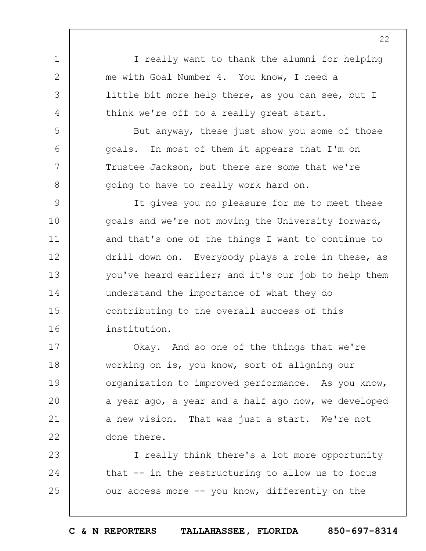1 2 3 4 5 6 7 8  $\mathsf{Q}$ 10 11 12 13 14 15 16 I really want to thank the alumni for helping me with Goal Number 4. You know, I need a little bit more help there, as you can see, but I think we're off to a really great start. But anyway, these just show you some of those goals. In most of them it appears that I'm on Trustee Jackson, but there are some that we're going to have to really work hard on. It gives you no pleasure for me to meet these goals and we're not moving the University forward, and that's one of the things I want to continue to drill down on. Everybody plays a role in these, as you've heard earlier; and it's our job to help them understand the importance of what they do contributing to the overall success of this institution. Okay. And so one of the things that we're

17 18 19  $20$ 21 22 working on is, you know, sort of aligning our organization to improved performance. As you know, a year ago, a year and a half ago now, we developed a new vision. That was just a start. We're not done there.

23 24 25 I really think there's a lot more opportunity that -- in the restructuring to allow us to focus our access more -- you know, differently on the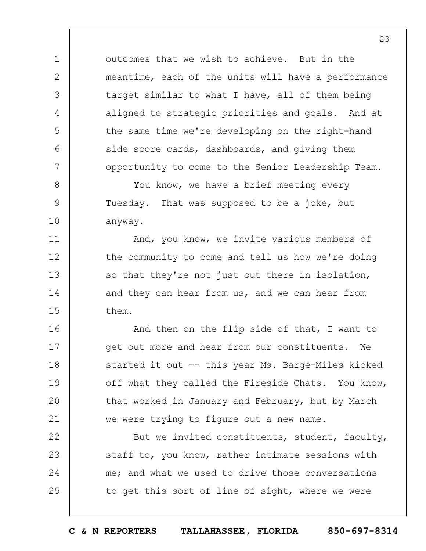outcomes that we wish to achieve. But in the meantime, each of the units will have a performance target similar to what I have, all of them being aligned to strategic priorities and goals. And at the same time we're developing on the right-hand side score cards, dashboards, and giving them opportunity to come to the Senior Leadership Team.

1

2

3

4

5

6

7

8

9

10

11

12

13

14

15

You know, we have a brief meeting every Tuesday. That was supposed to be a joke, but anyway.

And, you know, we invite various members of the community to come and tell us how we're doing so that they're not just out there in isolation, and they can hear from us, and we can hear from them.

16 17 18 19  $20$ 21 And then on the flip side of that, I want to get out more and hear from our constituents. We started it out -- this year Ms. Barge-Miles kicked off what they called the Fireside Chats. You know, that worked in January and February, but by March we were trying to figure out a new name.

22 23 24 25 But we invited constituents, student, faculty, staff to, you know, rather intimate sessions with me; and what we used to drive those conversations to get this sort of line of sight, where we were

**C & N REPORTERS TALLAHASSEE, FLORIDA 850-697-8314**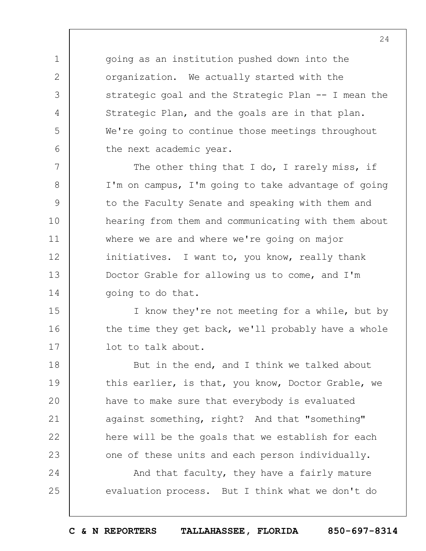going as an institution pushed down into the organization. We actually started with the strategic goal and the Strategic Plan -- I mean the Strategic Plan, and the goals are in that plan. We're going to continue those meetings throughout the next academic year.

1

2

3

4

5

6

7 8 9 10 11 12 13 14 The other thing that I do, I rarely miss, if I'm on campus, I'm going to take advantage of going to the Faculty Senate and speaking with them and hearing from them and communicating with them about where we are and where we're going on major initiatives. I want to, you know, really thank Doctor Grable for allowing us to come, and I'm going to do that.

15 16 17 I know they're not meeting for a while, but by the time they get back, we'll probably have a whole lot to talk about.

18 19  $20$ 21 22 23 But in the end, and I think we talked about this earlier, is that, you know, Doctor Grable, we have to make sure that everybody is evaluated against something, right? And that "something" here will be the goals that we establish for each one of these units and each person individually.

24 25 And that faculty, they have a fairly mature evaluation process. But I think what we don't do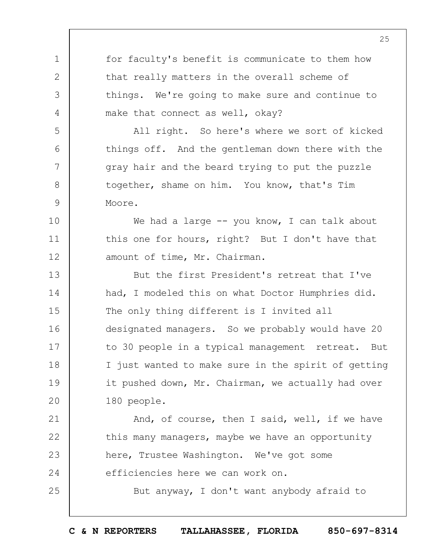1 2 3 4 5 6 7 8 9 10 11 12 13 14 15 16 17 18 19  $20$ 21 22 23 24 25 for faculty's benefit is communicate to them how that really matters in the overall scheme of things. We're going to make sure and continue to make that connect as well, okay? All right. So here's where we sort of kicked things off. And the gentleman down there with the gray hair and the beard trying to put the puzzle together, shame on him. You know, that's Tim Moore. We had a large  $-$  you know, I can talk about this one for hours, right? But I don't have that amount of time, Mr. Chairman. But the first President's retreat that I've had, I modeled this on what Doctor Humphries did. The only thing different is I invited all designated managers. So we probably would have 20 to 30 people in a typical management retreat. But I just wanted to make sure in the spirit of getting it pushed down, Mr. Chairman, we actually had over 180 people. And, of course, then I said, well, if we have this many managers, maybe we have an opportunity here, Trustee Washington. We've got some efficiencies here we can work on. But anyway, I don't want anybody afraid to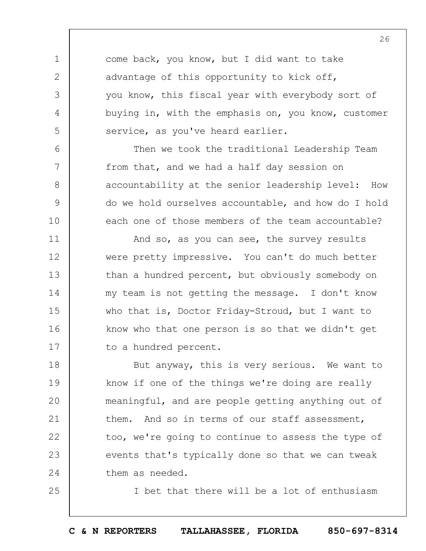come back, you know, but I did want to take advantage of this opportunity to kick off, you know, this fiscal year with everybody sort of buying in, with the emphasis on, you know, customer service, as you've heard earlier.

1

2

3

4

5

6

7

8

9

10

25

Then we took the traditional Leadership Team from that, and we had a half day session on accountability at the senior leadership level: How do we hold ourselves accountable, and how do I hold each one of those members of the team accountable?

11 12 13 14 15 16 17 And so, as you can see, the survey results were pretty impressive. You can't do much better than a hundred percent, but obviously somebody on my team is not getting the message. I don't know who that is, Doctor Friday-Stroud, but I want to know who that one person is so that we didn't get to a hundred percent.

18 19  $20$ 21 22 23 24 But anyway, this is very serious. We want to know if one of the things we're doing are really meaningful, and are people getting anything out of them. And so in terms of our staff assessment, too, we're going to continue to assess the type of events that's typically done so that we can tweak them as needed.

I bet that there will be a lot of enthusiasm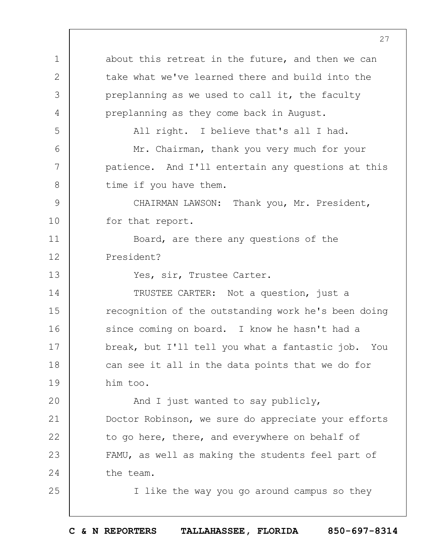1 2 3 4 5 6 7 8  $\mathsf{Q}$ 10 11 12 13 14 15 16 17 18 19  $20$ 21 22 23 24 25 about this retreat in the future, and then we can take what we've learned there and build into the preplanning as we used to call it, the faculty preplanning as they come back in August. All right. I believe that's all I had. Mr. Chairman, thank you very much for your patience. And I'll entertain any questions at this time if you have them. CHAIRMAN LAWSON: Thank you, Mr. President, for that report. Board, are there any questions of the President? Yes, sir, Trustee Carter. TRUSTEE CARTER: Not a question, just a recognition of the outstanding work he's been doing since coming on board. I know he hasn't had a break, but I'll tell you what a fantastic job. You can see it all in the data points that we do for him too. And I just wanted to say publicly, Doctor Robinson, we sure do appreciate your efforts to go here, there, and everywhere on behalf of FAMU, as well as making the students feel part of the team. I like the way you go around campus so they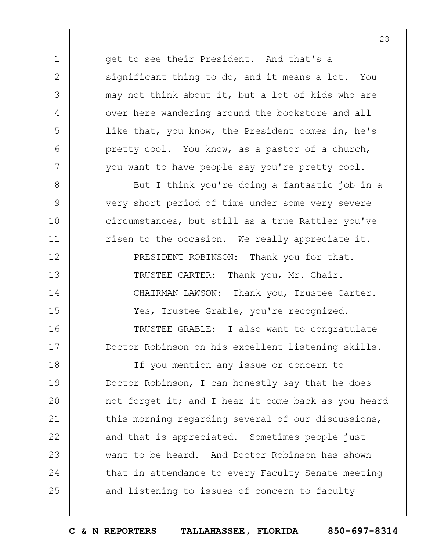get to see their President. And that's a significant thing to do, and it means a lot. You may not think about it, but a lot of kids who are over here wandering around the bookstore and all like that, you know, the President comes in, he's pretty cool. You know, as a pastor of a church, you want to have people say you're pretty cool.

1

2

3

4

5

6

7

8

9

10

11

12

13

14

15

16

17

But I think you're doing a fantastic job in a very short period of time under some very severe circumstances, but still as a true Rattler you've risen to the occasion. We really appreciate it. PRESIDENT ROBINSON: Thank you for that. TRUSTEE CARTER: Thank you, Mr. Chair. CHAIRMAN LAWSON: Thank you, Trustee Carter. Yes, Trustee Grable, you're recognized. TRUSTEE GRABLE: I also want to congratulate Doctor Robinson on his excellent listening skills.

18 19  $20$ 21 22 23 24 25 If you mention any issue or concern to Doctor Robinson, I can honestly say that he does not forget it; and I hear it come back as you heard this morning regarding several of our discussions, and that is appreciated. Sometimes people just want to be heard. And Doctor Robinson has shown that in attendance to every Faculty Senate meeting and listening to issues of concern to faculty

**C & N REPORTERS TALLAHASSEE, FLORIDA 850-697-8314**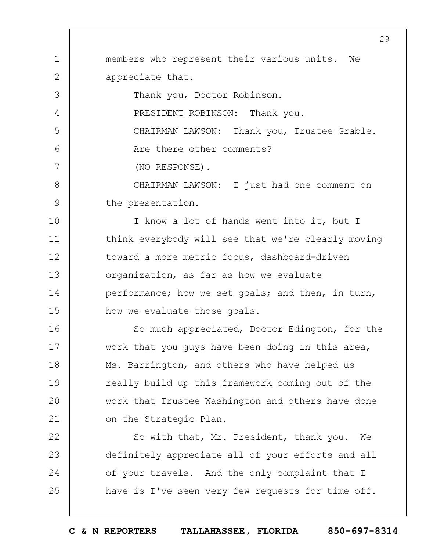1 2 3 4 5 6 7 8  $\mathsf{Q}$ 10 11 12 13 14 15 16 17 18 19 members who represent their various units. We appreciate that. Thank you, Doctor Robinson. PRESIDENT ROBINSON: Thank you. CHAIRMAN LAWSON: Thank you, Trustee Grable. Are there other comments? (NO RESPONSE). CHAIRMAN LAWSON: I just had one comment on the presentation. I know a lot of hands went into it, but I think everybody will see that we're clearly moving toward a more metric focus, dashboard-driven organization, as far as how we evaluate performance; how we set goals; and then, in turn, how we evaluate those goals. So much appreciated, Doctor Edington, for the work that you guys have been doing in this area, Ms. Barrington, and others who have helped us really build up this framework coming out of the

21 on the Strategic Plan.

 $20$ 

22 23 24 25 So with that, Mr. President, thank you. We definitely appreciate all of your efforts and all of your travels. And the only complaint that I have is I've seen very few requests for time off.

29

**C & N REPORTERS TALLAHASSEE, FLORIDA 850-697-8314**

work that Trustee Washington and others have done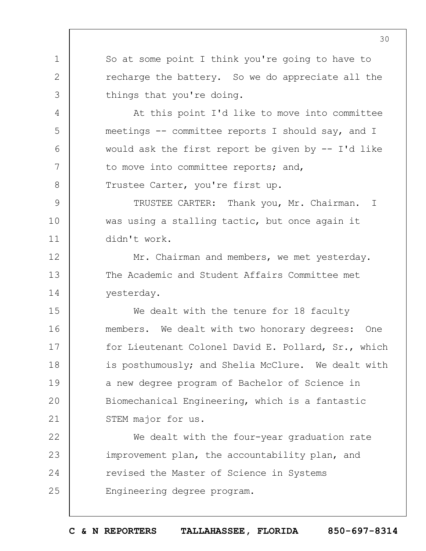So at some point I think you're going to have to recharge the battery. So we do appreciate all the things that you're doing.

At this point I'd like to move into committee meetings -- committee reports I should say, and I would ask the first report be given by -- I'd like to move into committee reports; and,

Trustee Carter, you're first up.

1

2

3

4

5

6

7

8

12

13

14

 $\mathsf{Q}$ 10 11 TRUSTEE CARTER: Thank you, Mr. Chairman. I was using a stalling tactic, but once again it didn't work.

Mr. Chairman and members, we met yesterday. The Academic and Student Affairs Committee met yesterday.

15 16 17 18 19  $20$ 21 We dealt with the tenure for 18 faculty members. We dealt with two honorary degrees: One for Lieutenant Colonel David E. Pollard, Sr., which is posthumously; and Shelia McClure. We dealt with a new degree program of Bachelor of Science in Biomechanical Engineering, which is a fantastic STEM major for us.

22 23 24 25 We dealt with the four-year graduation rate improvement plan, the accountability plan, and revised the Master of Science in Systems Engineering degree program.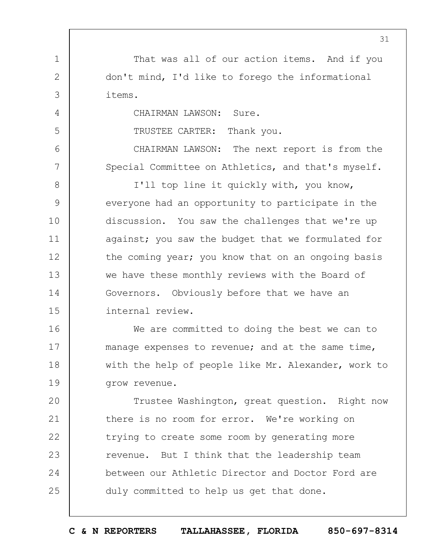That was all of our action items. And if you don't mind, I'd like to forego the informational items.

CHAIRMAN LAWSON: Sure.

1

2

3

4

5

6

7

TRUSTEE CARTER: Thank you.

CHAIRMAN LAWSON: The next report is from the Special Committee on Athletics, and that's myself.

8  $\mathsf{Q}$ 10 11 12 13 14 15 I'll top line it quickly with, you know, everyone had an opportunity to participate in the discussion. You saw the challenges that we're up against; you saw the budget that we formulated for the coming year; you know that on an ongoing basis we have these monthly reviews with the Board of Governors. Obviously before that we have an internal review.

16 17 18 19 We are committed to doing the best we can to manage expenses to revenue; and at the same time, with the help of people like Mr. Alexander, work to grow revenue.

 $20$ 21 22 23 24 25 Trustee Washington, great question. Right now there is no room for error. We're working on trying to create some room by generating more revenue. But I think that the leadership team between our Athletic Director and Doctor Ford are duly committed to help us get that done.

31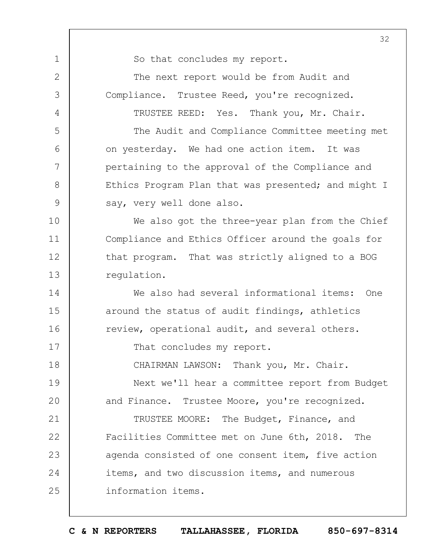1 2 3 4 5 6 7 8 9 10 11 12 13 14 15 16 17 18 19  $20$ 21 22 23 24 25 32 So that concludes my report. The next report would be from Audit and Compliance. Trustee Reed, you're recognized. TRUSTEE REED: Yes. Thank you, Mr. Chair. The Audit and Compliance Committee meeting met on yesterday. We had one action item. It was pertaining to the approval of the Compliance and Ethics Program Plan that was presented; and might I say, very well done also. We also got the three-year plan from the Chief Compliance and Ethics Officer around the goals for that program. That was strictly aligned to a BOG regulation. We also had several informational items: One around the status of audit findings, athletics review, operational audit, and several others. That concludes my report. CHAIRMAN LAWSON: Thank you, Mr. Chair. Next we'll hear a committee report from Budget and Finance. Trustee Moore, you're recognized. TRUSTEE MOORE: The Budget, Finance, and Facilities Committee met on June 6th, 2018. The agenda consisted of one consent item, five action items, and two discussion items, and numerous information items.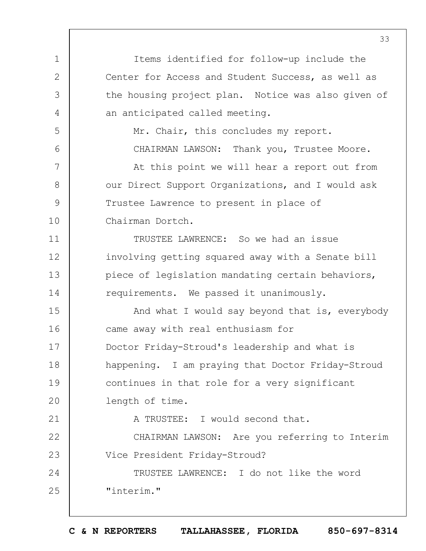1 2 3 4 5 6 7 8  $\mathsf{Q}$ 10 11 12 13 14 15 16 17 18 19  $20$ 21 22 23 24 25 33 Items identified for follow-up include the Center for Access and Student Success, as well as the housing project plan. Notice was also given of an anticipated called meeting. Mr. Chair, this concludes my report. CHAIRMAN LAWSON: Thank you, Trustee Moore. At this point we will hear a report out from our Direct Support Organizations, and I would ask Trustee Lawrence to present in place of Chairman Dortch. TRUSTEE LAWRENCE: So we had an issue involving getting squared away with a Senate bill piece of legislation mandating certain behaviors, requirements. We passed it unanimously. And what I would say beyond that is, everybody came away with real enthusiasm for Doctor Friday-Stroud's leadership and what is happening. I am praying that Doctor Friday-Stroud continues in that role for a very significant length of time. A TRUSTEE: I would second that. CHAIRMAN LAWSON: Are you referring to Interim Vice President Friday-Stroud? TRUSTEE LAWRENCE: I do not like the word "interim."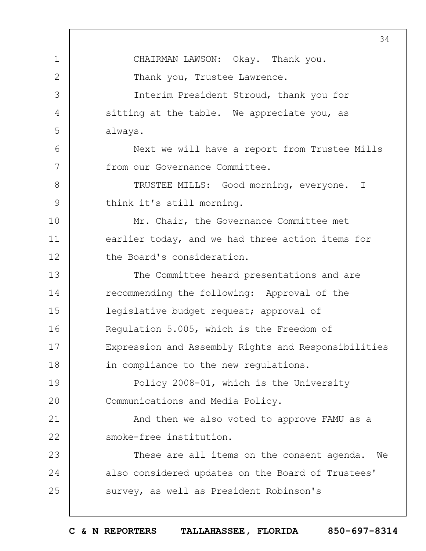1 2 3 4 5 6 7 8  $\mathsf{Q}$ 10 11 12 13 14 15 16 17 18 19  $20$ 21 22 23 24 25 34 CHAIRMAN LAWSON: Okay. Thank you. Thank you, Trustee Lawrence. Interim President Stroud, thank you for sitting at the table. We appreciate you, as always. Next we will have a report from Trustee Mills from our Governance Committee. TRUSTEE MILLS: Good morning, everyone. I think it's still morning. Mr. Chair, the Governance Committee met earlier today, and we had three action items for the Board's consideration. The Committee heard presentations and are recommending the following: Approval of the legislative budget request; approval of Regulation 5.005, which is the Freedom of Expression and Assembly Rights and Responsibilities in compliance to the new regulations. Policy 2008-01, which is the University Communications and Media Policy. And then we also voted to approve FAMU as a smoke-free institution. These are all items on the consent agenda. We also considered updates on the Board of Trustees' survey, as well as President Robinson's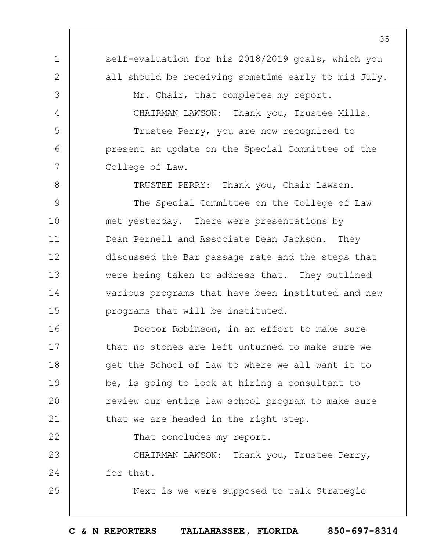1 2 3 4 5 6 7 8  $\mathsf{Q}$ self-evaluation for his 2018/2019 goals, which you all should be receiving sometime early to mid July. Mr. Chair, that completes my report. CHAIRMAN LAWSON: Thank you, Trustee Mills. Trustee Perry, you are now recognized to present an update on the Special Committee of the College of Law. TRUSTEE PERRY: Thank you, Chair Lawson. The Special Committee on the College of Law

10 11 12 13 14 15 met yesterday. There were presentations by Dean Pernell and Associate Dean Jackson. They discussed the Bar passage rate and the steps that were being taken to address that. They outlined various programs that have been instituted and new programs that will be instituted.

16 17 18 19  $20$ 21 Doctor Robinson, in an effort to make sure that no stones are left unturned to make sure we get the School of Law to where we all want it to be, is going to look at hiring a consultant to review our entire law school program to make sure that we are headed in the right step.

That concludes my report.

22

25

23 24 CHAIRMAN LAWSON: Thank you, Trustee Perry, for that.

Next is we were supposed to talk Strategic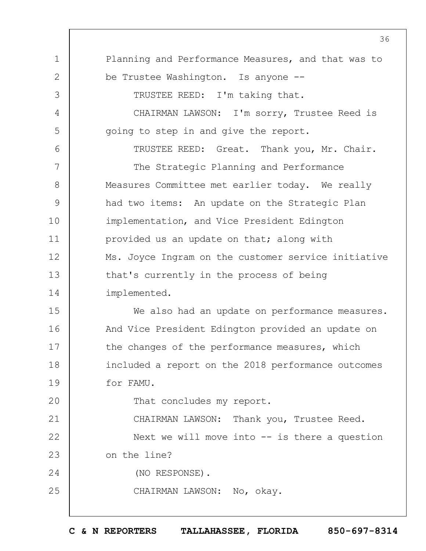1 2 3 4 5 6 7 8  $\mathsf{Q}$ 10 11 12 13 14 15 16 17 18 19  $20$ 21 22 23 24 25 36 Planning and Performance Measures, and that was to be Trustee Washington. Is anyone -- TRUSTEE REED: I'm taking that. CHAIRMAN LAWSON: I'm sorry, Trustee Reed is going to step in and give the report. TRUSTEE REED: Great. Thank you, Mr. Chair. The Strategic Planning and Performance Measures Committee met earlier today. We really had two items: An update on the Strategic Plan implementation, and Vice President Edington provided us an update on that; along with Ms. Joyce Ingram on the customer service initiative that's currently in the process of being implemented. We also had an update on performance measures. And Vice President Edington provided an update on the changes of the performance measures, which included a report on the 2018 performance outcomes for FAMU. That concludes my report. CHAIRMAN LAWSON: Thank you, Trustee Reed. Next we will move into -- is there a question on the line? (NO RESPONSE). CHAIRMAN LAWSON: No, okay.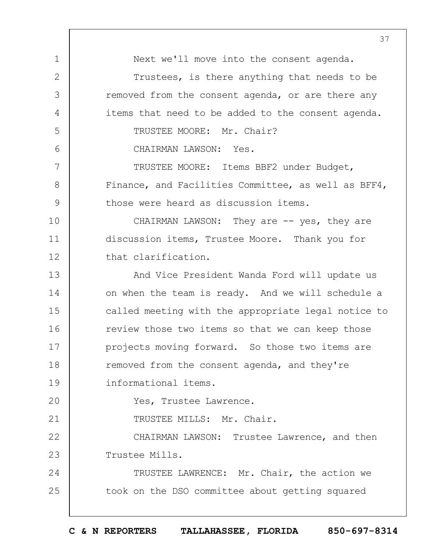1 2 3 4 5 6 7 8  $\mathsf{Q}$ 10 11 12 13 14 15 16 17 18 19  $20$ 21 22 23 24 25 37 Next we'll move into the consent agenda. Trustees, is there anything that needs to be removed from the consent agenda, or are there any items that need to be added to the consent agenda. TRUSTEE MOORE: Mr. Chair? CHAIRMAN LAWSON: Yes. TRUSTEE MOORE: Items BBF2 under Budget, Finance, and Facilities Committee, as well as BFF4, those were heard as discussion items. CHAIRMAN LAWSON: They are -- yes, they are discussion items, Trustee Moore. Thank you for that clarification. And Vice President Wanda Ford will update us on when the team is ready. And we will schedule a called meeting with the appropriate legal notice to review those two items so that we can keep those projects moving forward. So those two items are removed from the consent agenda, and they're informational items. Yes, Trustee Lawrence. TRUSTEE MILLS: Mr. Chair. CHAIRMAN LAWSON: Trustee Lawrence, and then Trustee Mills. TRUSTEE LAWRENCE: Mr. Chair, the action we took on the DSO committee about getting squared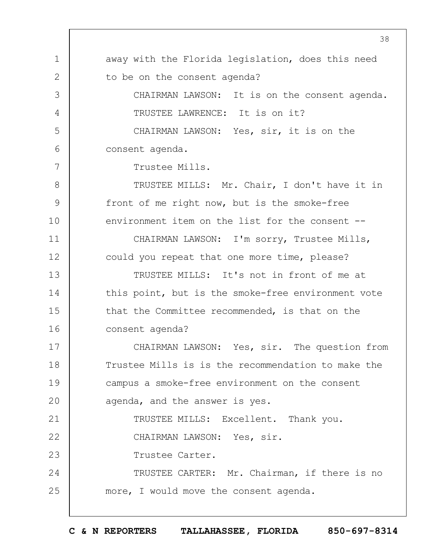1 2 3 4 5 6 7 8 9 10 11 12 13 14 15 16 17 18 19  $20$ 21 22 23 24 25 38 away with the Florida legislation, does this need to be on the consent agenda? CHAIRMAN LAWSON: It is on the consent agenda. TRUSTEE LAWRENCE: It is on it? CHAIRMAN LAWSON: Yes, sir, it is on the consent agenda. Trustee Mills. TRUSTEE MILLS: Mr. Chair, I don't have it in front of me right now, but is the smoke-free environment item on the list for the consent -- CHAIRMAN LAWSON: I'm sorry, Trustee Mills, could you repeat that one more time, please? TRUSTEE MILLS: It's not in front of me at this point, but is the smoke-free environment vote that the Committee recommended, is that on the consent agenda? CHAIRMAN LAWSON: Yes, sir. The question from Trustee Mills is is the recommendation to make the campus a smoke-free environment on the consent agenda, and the answer is yes. TRUSTEE MILLS: Excellent. Thank you. CHAIRMAN LAWSON: Yes, sir. Trustee Carter. TRUSTEE CARTER: Mr. Chairman, if there is no more, I would move the consent agenda.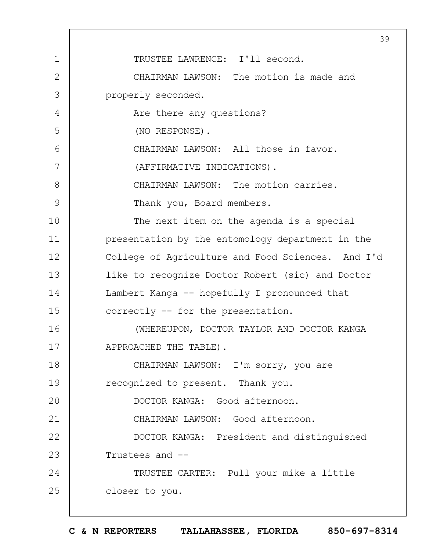1 2 3 4 5 6 7 8  $\mathsf{Q}$ 10 11 12 13 14 15 16 17 18 19  $20$ 21 22 23 24 25 39 TRUSTEE LAWRENCE: I'll second. CHAIRMAN LAWSON: The motion is made and properly seconded. Are there any questions? (NO RESPONSE). CHAIRMAN LAWSON: All those in favor. (AFFIRMATIVE INDICATIONS). CHAIRMAN LAWSON: The motion carries. Thank you, Board members. The next item on the agenda is a special presentation by the entomology department in the College of Agriculture and Food Sciences. And I'd like to recognize Doctor Robert (sic) and Doctor Lambert Kanga -- hopefully I pronounced that correctly -- for the presentation. (WHEREUPON, DOCTOR TAYLOR AND DOCTOR KANGA APPROACHED THE TABLE). CHAIRMAN LAWSON: I'm sorry, you are recognized to present. Thank you. DOCTOR KANGA: Good afternoon. CHAIRMAN LAWSON: Good afternoon. DOCTOR KANGA: President and distinguished Trustees and -- TRUSTEE CARTER: Pull your mike a little closer to you.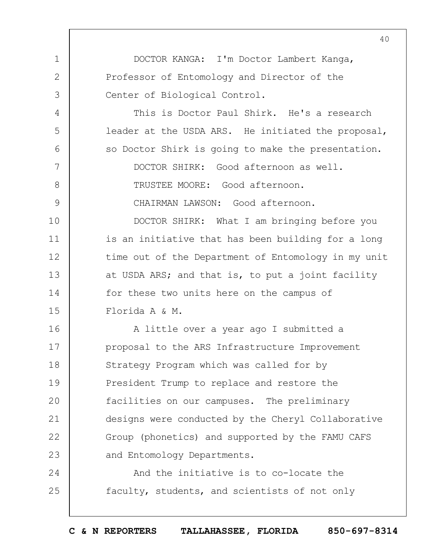1 2 3 4 5 6 7 8  $\mathsf{Q}$ 10 11 12 13 14 15 16 17 18 19  $20$ 21 22 23 24 25 DOCTOR KANGA: I'm Doctor Lambert Kanga, Professor of Entomology and Director of the Center of Biological Control. This is Doctor Paul Shirk. He's a research leader at the USDA ARS. He initiated the proposal, so Doctor Shirk is going to make the presentation. DOCTOR SHIRK: Good afternoon as well. TRUSTEE MOORE: Good afternoon. CHAIRMAN LAWSON: Good afternoon. DOCTOR SHIRK: What I am bringing before you is an initiative that has been building for a long time out of the Department of Entomology in my unit at USDA ARS; and that is, to put a joint facility for these two units here on the campus of Florida A & M. A little over a year ago I submitted a proposal to the ARS Infrastructure Improvement Strategy Program which was called for by President Trump to replace and restore the facilities on our campuses. The preliminary designs were conducted by the Cheryl Collaborative Group (phonetics) and supported by the FAMU CAFS and Entomology Departments. And the initiative is to co-locate the faculty, students, and scientists of not only

40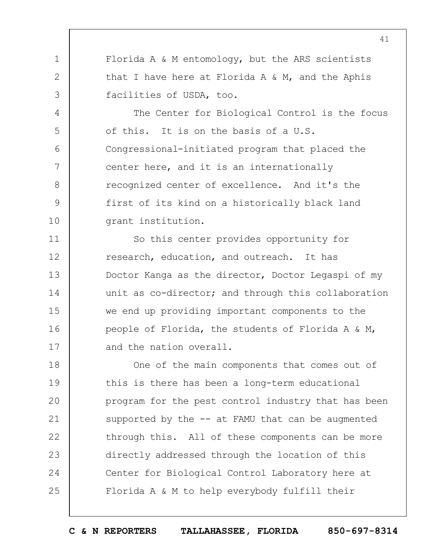Florida A & M entomology, but the ARS scientists that I have here at Florida A & M, and the Aphis facilities of USDA, too.

1

2

3

4

5

6

7

8

 $\mathsf{Q}$ 

10

The Center for Biological Control is the focus of this. It is on the basis of a U.S. Congressional-initiated program that placed the center here, and it is an internationally recognized center of excellence. And it's the first of its kind on a historically black land grant institution.

11 12 13 14 15 16 17 So this center provides opportunity for research, education, and outreach. It has Doctor Kanga as the director, Doctor Legaspi of my unit as co-director; and through this collaboration we end up providing important components to the people of Florida, the students of Florida A & M, and the nation overall.

18 19  $20$ 21 22 23 24 25 One of the main components that comes out of this is there has been a long-term educational program for the pest control industry that has been supported by the  $--$  at FAMU that can be augmented through this. All of these components can be more directly addressed through the location of this Center for Biological Control Laboratory here at Florida A & M to help everybody fulfill their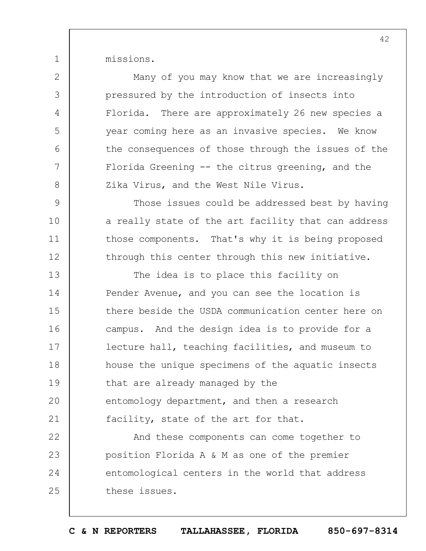missions.

1

2

3

4

5

6

7

8

 $\mathsf{Q}$ 

10

11

12

Many of you may know that we are increasingly pressured by the introduction of insects into Florida. There are approximately 26 new species a year coming here as an invasive species. We know the consequences of those through the issues of the Florida Greening -- the citrus greening, and the Zika Virus, and the West Nile Virus.

Those issues could be addressed best by having a really state of the art facility that can address those components. That's why it is being proposed through this center through this new initiative.

13 14 15 16 17 18 19  $20$ 21 The idea is to place this facility on Pender Avenue, and you can see the location is there beside the USDA communication center here on campus. And the design idea is to provide for a lecture hall, teaching facilities, and museum to house the unique specimens of the aquatic insects that are already managed by the entomology department, and then a research facility, state of the art for that.

22 23 24 25 And these components can come together to position Florida A & M as one of the premier entomological centers in the world that address these issues.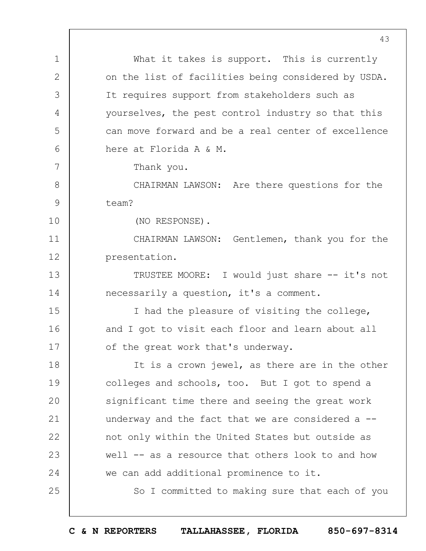1 2 3 4 5 6 7 8  $\mathsf{Q}$ 10 11 12 13 14 15 16 17 18 19  $20$ 21 22 23 24 25 43 What it takes is support. This is currently on the list of facilities being considered by USDA. It requires support from stakeholders such as yourselves, the pest control industry so that this can move forward and be a real center of excellence here at Florida A & M. Thank you. CHAIRMAN LAWSON: Are there questions for the team? (NO RESPONSE). CHAIRMAN LAWSON: Gentlemen, thank you for the presentation. TRUSTEE MOORE: I would just share -- it's not necessarily a question, it's a comment. I had the pleasure of visiting the college, and I got to visit each floor and learn about all of the great work that's underway. It is a crown jewel, as there are in the other colleges and schools, too. But I got to spend a significant time there and seeing the great work underway and the fact that we are considered a -not only within the United States but outside as well -- as a resource that others look to and how we can add additional prominence to it. So I committed to making sure that each of you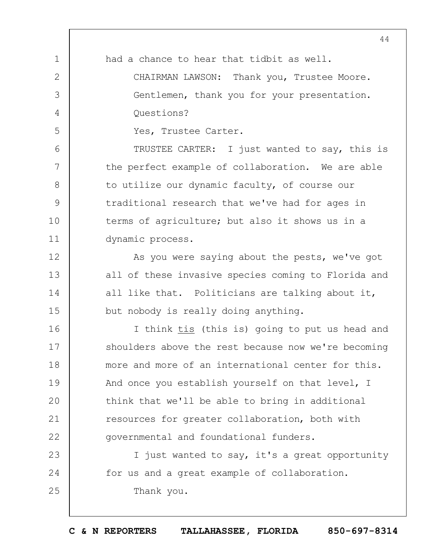1 2 3 4 5 6 7 8  $\mathsf{Q}$ 10 11 12 13 14 15 16 17 18 19  $20$ 21 22 23 24 25 44 had a chance to hear that tidbit as well. CHAIRMAN LAWSON: Thank you, Trustee Moore. Gentlemen, thank you for your presentation. Questions? Yes, Trustee Carter. TRUSTEE CARTER: I just wanted to say, this is the perfect example of collaboration. We are able to utilize our dynamic faculty, of course our traditional research that we've had for ages in terms of agriculture; but also it shows us in a dynamic process. As you were saying about the pests, we've got all of these invasive species coming to Florida and all like that. Politicians are talking about it, but nobody is really doing anything. I think tis (this is) going to put us head and shoulders above the rest because now we're becoming more and more of an international center for this. And once you establish yourself on that level, I think that we'll be able to bring in additional resources for greater collaboration, both with governmental and foundational funders. I just wanted to say, it's a great opportunity for us and a great example of collaboration. Thank you.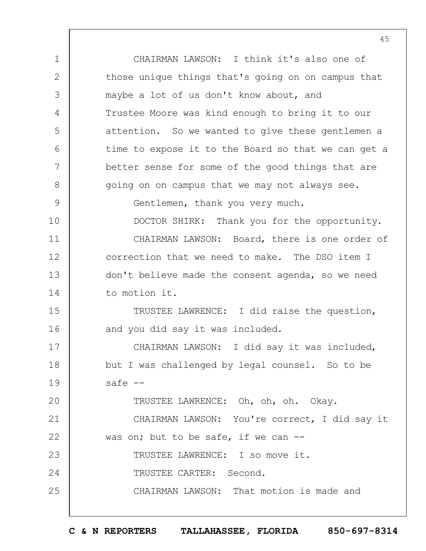1 2 3 4 5 6 7 8  $\mathsf{Q}$ 10 11 12 13 14 15 16 17 18 19  $20$ 21 22 23 24 25 CHAIRMAN LAWSON: I think it's also one of those unique things that's going on on campus that maybe a lot of us don't know about, and Trustee Moore was kind enough to bring it to our attention. So we wanted to give these gentlemen a time to expose it to the Board so that we can get a better sense for some of the good things that are going on on campus that we may not always see. Gentlemen, thank you very much. DOCTOR SHIRK: Thank you for the opportunity. CHAIRMAN LAWSON: Board, there is one order of correction that we need to make. The DSO item I don't believe made the consent agenda, so we need to motion it. TRUSTEE LAWRENCE: I did raise the question, and you did say it was included. CHAIRMAN LAWSON: I did say it was included, but I was challenged by legal counsel. So to be safe -- TRUSTEE LAWRENCE: Oh, oh, oh. Okay. CHAIRMAN LAWSON: You're correct, I did say it was on; but to be safe, if we can --TRUSTEE LAWRENCE: I so move it. TRUSTEE CARTER: Second. CHAIRMAN LAWSON: That motion is made and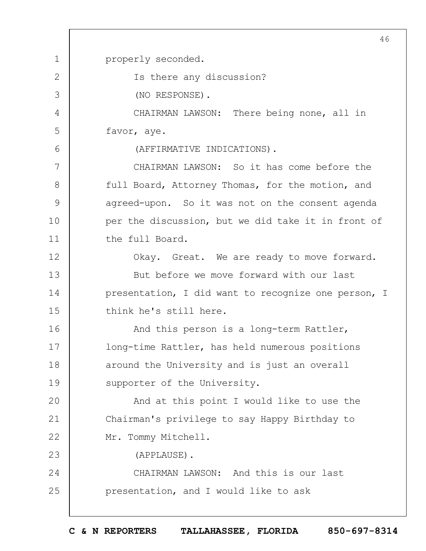1 2 3 4 5 6 7 8  $\mathsf{Q}$ 10 11 12 13 14 15 16 17 18 19  $20$ 21 22 23 24 25 46 properly seconded. Is there any discussion? (NO RESPONSE). CHAIRMAN LAWSON: There being none, all in favor, aye. (AFFIRMATIVE INDICATIONS). CHAIRMAN LAWSON: So it has come before the full Board, Attorney Thomas, for the motion, and agreed-upon. So it was not on the consent agenda per the discussion, but we did take it in front of the full Board. Okay. Great. We are ready to move forward. But before we move forward with our last presentation, I did want to recognize one person, I think he's still here. And this person is a long-term Rattler, long-time Rattler, has held numerous positions around the University and is just an overall supporter of the University. And at this point I would like to use the Chairman's privilege to say Happy Birthday to Mr. Tommy Mitchell. (APPLAUSE). CHAIRMAN LAWSON: And this is our last presentation, and I would like to ask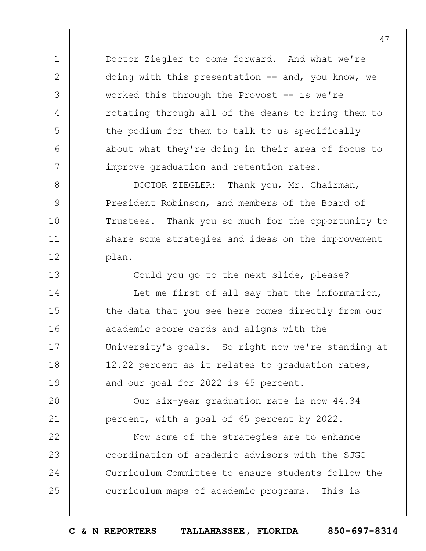Doctor Ziegler to come forward. And what we're doing with this presentation  $--$  and, you know, we worked this through the Provost  $-$  is we're rotating through all of the deans to bring them to the podium for them to talk to us specifically about what they're doing in their area of focus to improve graduation and retention rates.

1

2

3

4

5

6

7

8

 $\mathsf{Q}$ 

10

11

12

13

DOCTOR ZIEGLER: Thank you, Mr. Chairman, President Robinson, and members of the Board of Trustees. Thank you so much for the opportunity to share some strategies and ideas on the improvement plan.

Could you go to the next slide, please?

14 15 16 17 18 19 Let me first of all say that the information, the data that you see here comes directly from our academic score cards and aligns with the University's goals. So right now we're standing at 12.22 percent as it relates to graduation rates, and our goal for 2022 is 45 percent.

 $20$ 21 Our six-year graduation rate is now 44.34 percent, with a goal of 65 percent by 2022.

22 23 24 25 Now some of the strategies are to enhance coordination of academic advisors with the SJGC Curriculum Committee to ensure students follow the curriculum maps of academic programs. This is

47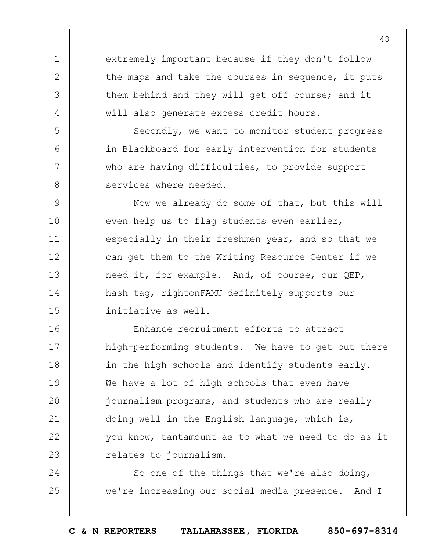extremely important because if they don't follow the maps and take the courses in sequence, it puts them behind and they will get off course; and it will also generate excess credit hours.

1

2

3

4

5

6

7

8

Secondly, we want to monitor student progress in Blackboard for early intervention for students who are having difficulties, to provide support services where needed.

 $\mathsf{Q}$ 10 11 12 13 14 15 Now we already do some of that, but this will even help us to flag students even earlier, especially in their freshmen year, and so that we can get them to the Writing Resource Center if we need it, for example. And, of course, our QEP, hash tag, rightonFAMU definitely supports our initiative as well.

16 17 18 19  $20$ 21 22 23 Enhance recruitment efforts to attract high-performing students. We have to get out there in the high schools and identify students early. We have a lot of high schools that even have journalism programs, and students who are really doing well in the English language, which is, you know, tantamount as to what we need to do as it relates to journalism.

24 25 So one of the things that we're also doing, we're increasing our social media presence. And I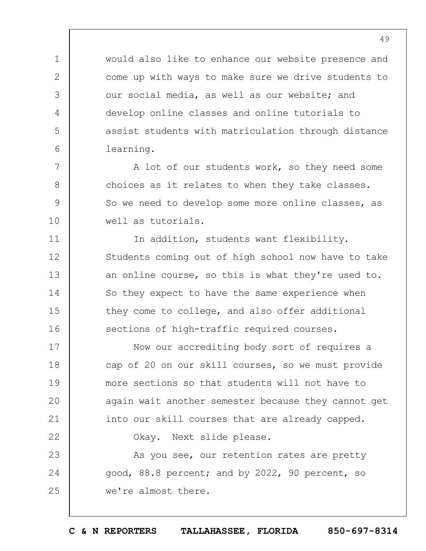would also like to enhance our website presence and come up with ways to make sure we drive students to our social media, as well as our website; and develop online classes and online tutorials to assist students with matriculation through distance learning.

1

2

3

4

5

6

7

8

 $\mathsf{Q}$ 

10

11

12

13

14

15

16

A lot of our students work, so they need some choices as it relates to when they take classes. So we need to develop some more online classes, as well as tutorials.

In addition, students want flexibility. Students coming out of high school now have to take an online course, so this is what they're used to. So they expect to have the same experience when they come to college, and also offer additional sections of high-traffic required courses.

17 18 19  $20$ 21 22 Now our accrediting body sort of requires a cap of 20 on our skill courses, so we must provide more sections so that students will not have to again wait another semester because they cannot get into our skill courses that are already capped. Okay. Next slide please.

23 24 25 As you see, our retention rates are pretty good, 88.8 percent; and by 2022, 90 percent, so we're almost there.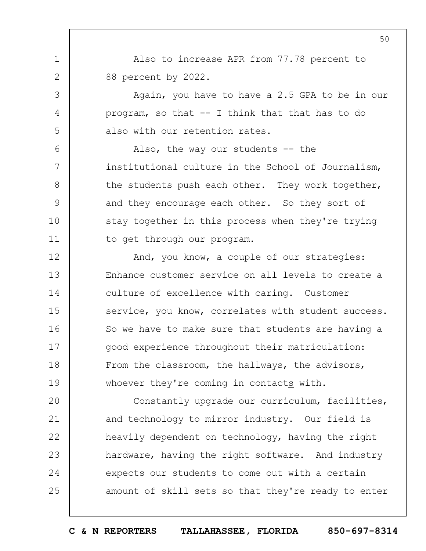Also to increase APR from 77.78 percent to 88 percent by 2022.

1

2

3

4

5

6

7

8

 $\mathsf{Q}$ 

10

11

Again, you have to have a 2.5 GPA to be in our program, so that -- I think that that has to do also with our retention rates.

Also, the way our students -- the institutional culture in the School of Journalism, the students push each other. They work together, and they encourage each other. So they sort of stay together in this process when they're trying to get through our program.

12 13 14 15 16 17 18 19 And, you know, a couple of our strategies: Enhance customer service on all levels to create a culture of excellence with caring. Customer service, you know, correlates with student success. So we have to make sure that students are having a good experience throughout their matriculation: From the classroom, the hallways, the advisors, whoever they're coming in contacts with.

 $20$ 21 22 23 24 25 Constantly upgrade our curriculum, facilities, and technology to mirror industry. Our field is heavily dependent on technology, having the right hardware, having the right software. And industry expects our students to come out with a certain amount of skill sets so that they're ready to enter

**C & N REPORTERS TALLAHASSEE, FLORIDA 850-697-8314**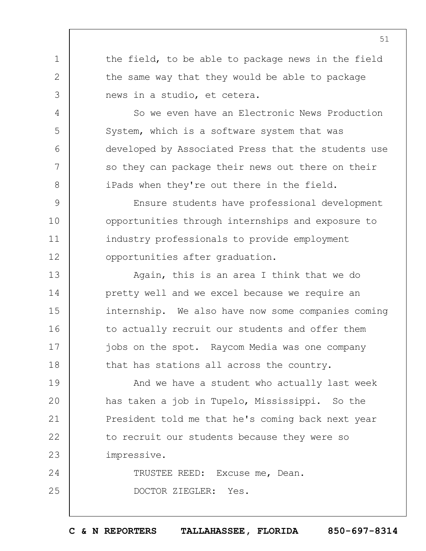the field, to be able to package news in the field the same way that they would be able to package news in a studio, et cetera.

1

2

3

4

5

6

7

8

So we even have an Electronic News Production System, which is a software system that was developed by Associated Press that the students use so they can package their news out there on their iPads when they're out there in the field.

 $\mathsf{Q}$ 10 11 12 Ensure students have professional development opportunities through internships and exposure to industry professionals to provide employment opportunities after graduation.

13 14 15 16 17 18 Again, this is an area I think that we do pretty well and we excel because we require an internship. We also have now some companies coming to actually recruit our students and offer them jobs on the spot. Raycom Media was one company that has stations all across the country.

19  $20$ 21 22 23 And we have a student who actually last week has taken a job in Tupelo, Mississippi. So the President told me that he's coming back next year to recruit our students because they were so impressive.

24 25 TRUSTEE REED: Excuse me, Dean. DOCTOR ZIEGLER: Yes.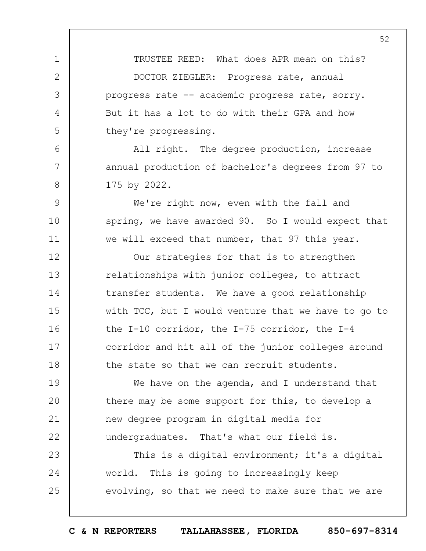TRUSTEE REED: What does APR mean on this? DOCTOR ZIEGLER: Progress rate, annual progress rate -- academic progress rate, sorry. But it has a lot to do with their GPA and how they're progressing.

1

2

3

4

5

6

7

8

 $\mathsf{Q}$ 

10

11

All right. The degree production, increase annual production of bachelor's degrees from 97 to 175 by 2022.

We're right now, even with the fall and spring, we have awarded 90. So I would expect that we will exceed that number, that 97 this year.

12 13 14 15 16 17 18 Our strategies for that is to strengthen relationships with junior colleges, to attract transfer students. We have a good relationship with TCC, but I would venture that we have to go to the I-10 corridor, the I-75 corridor, the I-4 corridor and hit all of the junior colleges around the state so that we can recruit students.

19  $20$ 21 22 We have on the agenda, and I understand that there may be some support for this, to develop a new degree program in digital media for undergraduates. That's what our field is.

23 24 25 This is a digital environment; it's a digital world. This is going to increasingly keep evolving, so that we need to make sure that we are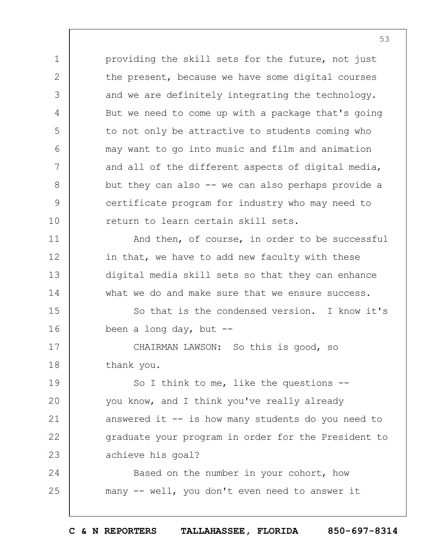1 2 3 4 5 6 7 8 9 10 11 12 13 14 providing the skill sets for the future, not just the present, because we have some digital courses and we are definitely integrating the technology. But we need to come up with a package that's going to not only be attractive to students coming who may want to go into music and film and animation and all of the different aspects of digital media, but they can also -- we can also perhaps provide a certificate program for industry who may need to return to learn certain skill sets. And then, of course, in order to be successful in that, we have to add new faculty with these digital media skill sets so that they can enhance what we do and make sure that we ensure success.

15 16 So that is the condensed version. I know it's been a long day, but  $-$ -

17 18 CHAIRMAN LAWSON: So this is good, so thank you.

19  $20$ 21 22 23 So I think to me, like the questions - you know, and I think you've really already answered it -- is how many students do you need to graduate your program in order for the President to achieve his goal?

24 25 Based on the number in your cohort, how many -- well, you don't even need to answer it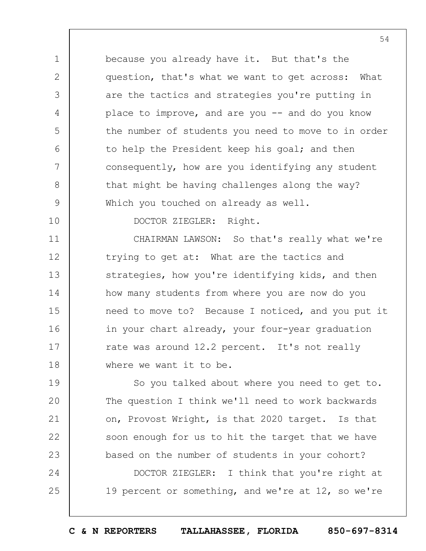because you already have it. But that's the question, that's what we want to get across: What are the tactics and strategies you're putting in place to improve, and are you  $-$  and do you know the number of students you need to move to in order to help the President keep his goal; and then consequently, how are you identifying any student that might be having challenges along the way? Which you touched on already as well.

10

1

2

3

4

5

6

7

8

9

DOCTOR ZIEGLER: Right.

11 12 13 14 15 16 17 18 CHAIRMAN LAWSON: So that's really what we're trying to get at: What are the tactics and strategies, how you're identifying kids, and then how many students from where you are now do you need to move to? Because I noticed, and you put it in your chart already, your four-year graduation rate was around 12.2 percent. It's not really where we want it to be.

19  $20$ 21 22 23 So you talked about where you need to get to. The question I think we'll need to work backwards on, Provost Wright, is that 2020 target. Is that soon enough for us to hit the target that we have based on the number of students in your cohort?

24 25 DOCTOR ZIEGLER: I think that you're right at 19 percent or something, and we're at 12, so we're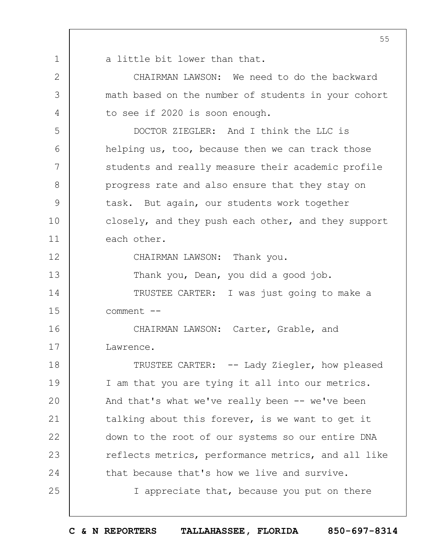|              | 55                                                  |
|--------------|-----------------------------------------------------|
| $\mathbf 1$  | a little bit lower than that.                       |
| $\mathbf{2}$ | CHAIRMAN LAWSON: We need to do the backward         |
| 3            | math based on the number of students in your cohort |
| 4            | to see if 2020 is soon enough.                      |
| 5            | DOCTOR ZIEGLER: And I think the LLC is              |
| 6            | helping us, too, because then we can track those    |
| 7            | students and really measure their academic profile  |
| 8            | progress rate and also ensure that they stay on     |
| 9            | task. But again, our students work together         |
| 10           | closely, and they push each other, and they support |
| 11           | each other.                                         |
| 12           | CHAIRMAN LAWSON: Thank you.                         |
| 13           | Thank you, Dean, you did a good job.                |
| 14           | TRUSTEE CARTER: I was just going to make a          |
| 15           | comment --                                          |
| 16           | CHAIRMAN LAWSON: Carter, Grable, and                |
| 17           | Lawrence.                                           |
| 18           | TRUSTEE CARTER: -- Lady Ziegler, how pleased        |
| 19           | I am that you are tying it all into our metrics.    |
| 20           | And that's what we've really been -- we've been     |
| 21           | talking about this forever, is we want to get it    |
| 22           | down to the root of our systems so our entire DNA   |
| 23           | reflects metrics, performance metrics, and all like |
| 24           | that because that's how we live and survive.        |
| 25           | I appreciate that, because you put on there         |
|              |                                                     |

 $\overline{\phantom{a}}$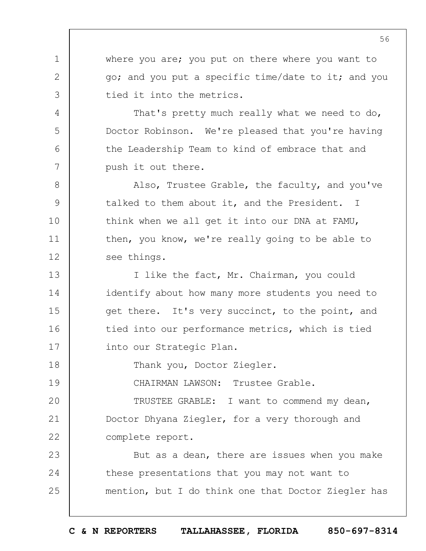where you are; you put on there where you want to go; and you put a specific time/date to it; and you tied it into the metrics.

That's pretty much really what we need to do, Doctor Robinson. We're pleased that you're having the Leadership Team to kind of embrace that and push it out there.

Also, Trustee Grable, the faculty, and you've talked to them about it, and the President. I think when we all get it into our DNA at FAMU, then, you know, we're really going to be able to see things.

13 14 15 16 17 I like the fact, Mr. Chairman, you could identify about how many more students you need to get there. It's very succinct, to the point, and tied into our performance metrics, which is tied into our Strategic Plan.

18 Thank you, Doctor Ziegler.

1

2

3

4

5

6

7

8

9

10

11

12

19 CHAIRMAN LAWSON: Trustee Grable.

 $20$ 21 22 TRUSTEE GRABLE: I want to commend my dean, Doctor Dhyana Ziegler, for a very thorough and complete report.

23 24 25 But as a dean, there are issues when you make these presentations that you may not want to mention, but I do think one that Doctor Ziegler has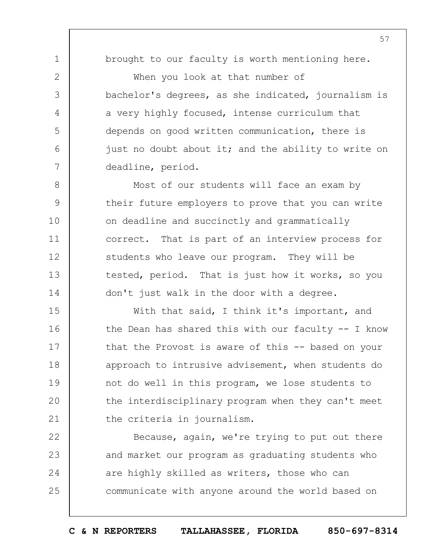brought to our faculty is worth mentioning here.

1

2

3

4

5

6

7

8

9

10

11

12

13

14

When you look at that number of bachelor's degrees, as she indicated, journalism is a very highly focused, intense curriculum that depends on good written communication, there is just no doubt about it; and the ability to write on deadline, period.

Most of our students will face an exam by their future employers to prove that you can write on deadline and succinctly and grammatically correct. That is part of an interview process for students who leave our program. They will be tested, period. That is just how it works, so you don't just walk in the door with a degree.

15 16 17 18 19  $20$ 21 With that said, I think it's important, and the Dean has shared this with our faculty -- I know that the Provost is aware of this -- based on your approach to intrusive advisement, when students do not do well in this program, we lose students to the interdisciplinary program when they can't meet the criteria in journalism.

22 23 24 25 Because, again, we're trying to put out there and market our program as graduating students who are highly skilled as writers, those who can communicate with anyone around the world based on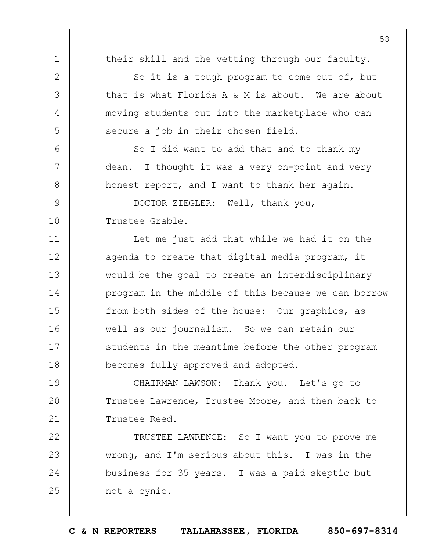1 2 3 4 5 6 7 8  $\mathsf{Q}$ 10 11 12 13 14 15 16 17 18 19  $20$ 21 22 23 24 25 their skill and the vetting through our faculty. So it is a tough program to come out of, but that is what Florida A & M is about. We are about moving students out into the marketplace who can secure a job in their chosen field. So I did want to add that and to thank my dean. I thought it was a very on-point and very honest report, and I want to thank her again. DOCTOR ZIEGLER: Well, thank you, Trustee Grable. Let me just add that while we had it on the agenda to create that digital media program, it would be the goal to create an interdisciplinary program in the middle of this because we can borrow from both sides of the house: Our graphics, as well as our journalism. So we can retain our students in the meantime before the other program becomes fully approved and adopted. CHAIRMAN LAWSON: Thank you. Let's go to Trustee Lawrence, Trustee Moore, and then back to Trustee Reed. TRUSTEE LAWRENCE: So I want you to prove me wrong, and I'm serious about this. I was in the business for 35 years. I was a paid skeptic but not a cynic.

**C & N REPORTERS TALLAHASSEE, FLORIDA 850-697-8314**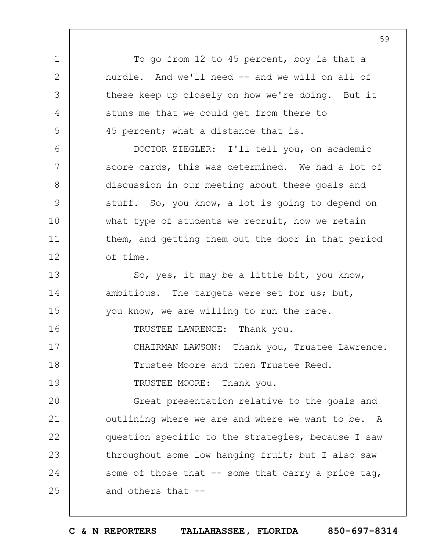To go from 12 to 45 percent, boy is that a hurdle. And we'll need -- and we will on all of these keep up closely on how we're doing. But it stuns me that we could get from there to 45 percent; what a distance that is.

DOCTOR ZIEGLER: I'll tell you, on academic score cards, this was determined. We had a lot of discussion in our meeting about these goals and stuff. So, you know, a lot is going to depend on what type of students we recruit, how we retain them, and getting them out the door in that period of time.

So, yes, it may be a little bit, you know, ambitious. The targets were set for us; but, you know, we are willing to run the race.

TRUSTEE LAWRENCE: Thank you.

17 CHAIRMAN LAWSON: Thank you, Trustee Lawrence.

Trustee Moore and then Trustee Reed.

19 TRUSTEE MOORE: Thank you.

1

2

3

4

5

6

7

8

9

10

11

12

13

14

15

16

18

 $20$ 21 22 23 24 25 Great presentation relative to the goals and outlining where we are and where we want to be. A question specific to the strategies, because I saw throughout some low hanging fruit; but I also saw some of those that  $-$  some that carry a price tag, and others that --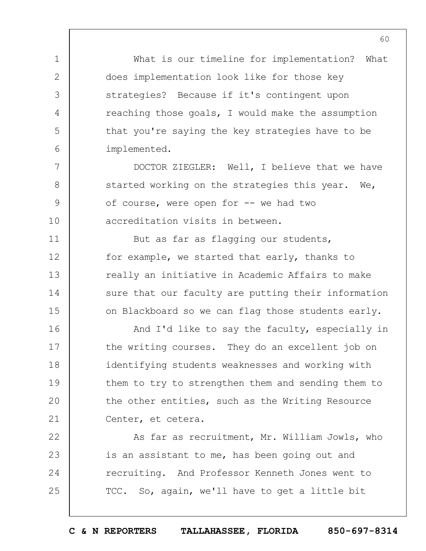What is our timeline for implementation? What does implementation look like for those key strategies? Because if it's contingent upon reaching those goals, I would make the assumption that you're saying the key strategies have to be implemented.

1

2

3

4

5

6

7

8

 $\mathsf{Q}$ 

10

11

12

13

14

15

16

17

18

19

 $20$ 

21

DOCTOR ZIEGLER: Well, I believe that we have started working on the strategies this year. We, of course, were open for -- we had two accreditation visits in between.

But as far as flagging our students, for example, we started that early, thanks to really an initiative in Academic Affairs to make sure that our faculty are putting their information on Blackboard so we can flag those students early.

And I'd like to say the faculty, especially in the writing courses. They do an excellent job on identifying students weaknesses and working with them to try to strengthen them and sending them to the other entities, such as the Writing Resource Center, et cetera.

22 23 24 25 As far as recruitment, Mr. William Jowls, who is an assistant to me, has been going out and recruiting. And Professor Kenneth Jones went to TCC. So, again, we'll have to get a little bit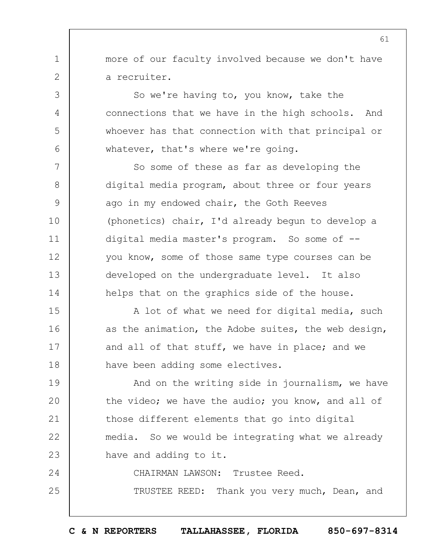more of our faculty involved because we don't have a recruiter.

1

2

3

4

5

6

7

8

9

10

11

12

13

14

So we're having to, you know, take the connections that we have in the high schools. And whoever has that connection with that principal or whatever, that's where we're going.

So some of these as far as developing the digital media program, about three or four years ago in my endowed chair, the Goth Reeves (phonetics) chair, I'd already begun to develop a digital media master's program. So some of - you know, some of those same type courses can be developed on the undergraduate level. It also helps that on the graphics side of the house.

15 16 17 18 A lot of what we need for digital media, such as the animation, the Adobe suites, the web design, and all of that stuff, we have in place; and we have been adding some electives.

19  $20$ 21 22 23 And on the writing side in journalism, we have the video; we have the audio; you know, and all of those different elements that go into digital media. So we would be integrating what we already have and adding to it.

24 25 CHAIRMAN LAWSON: Trustee Reed. TRUSTEE REED: Thank you very much, Dean, and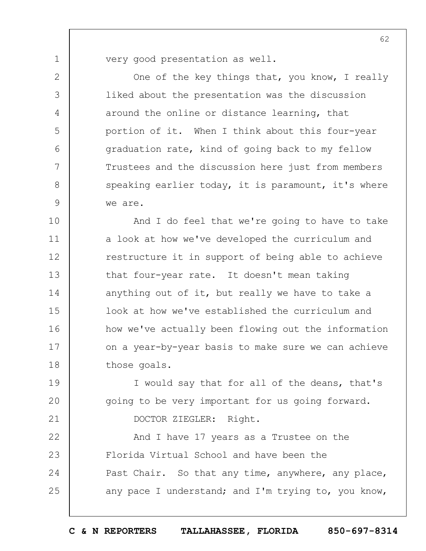very good presentation as well.

1

2

3

4

5

6

7

8

 $\mathsf{Q}$ 

19

 $20$ 

21

One of the key things that, you know, I really liked about the presentation was the discussion around the online or distance learning, that portion of it. When I think about this four-year graduation rate, kind of going back to my fellow Trustees and the discussion here just from members speaking earlier today, it is paramount, it's where we are.

10 11 12 13 14 15 16 17 18 And I do feel that we're going to have to take a look at how we've developed the curriculum and restructure it in support of being able to achieve that four-year rate. It doesn't mean taking anything out of it, but really we have to take a look at how we've established the curriculum and how we've actually been flowing out the information on a year-by-year basis to make sure we can achieve those goals.

I would say that for all of the deans, that's going to be very important for us going forward. DOCTOR ZIEGLER: Right.

22 23 24 25 And I have 17 years as a Trustee on the Florida Virtual School and have been the Past Chair. So that any time, anywhere, any place, any pace I understand; and I'm trying to, you know,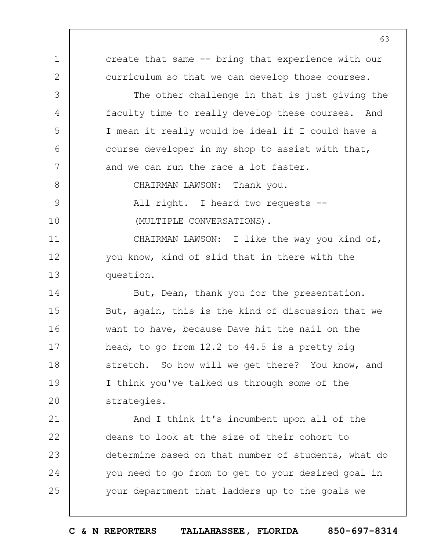1 2 3 4 5 6 7 8  $\mathsf{Q}$ 10 11 12 13 14 15 16 17 18 19  $20$ 21 22 23 24 25 create that same -- bring that experience with our curriculum so that we can develop those courses. The other challenge in that is just giving the faculty time to really develop these courses. And I mean it really would be ideal if I could have a course developer in my shop to assist with that, and we can run the race a lot faster. CHAIRMAN LAWSON: Thank you. All right. I heard two requests -- (MULTIPLE CONVERSATIONS). CHAIRMAN LAWSON: I like the way you kind of, you know, kind of slid that in there with the question. But, Dean, thank you for the presentation. But, again, this is the kind of discussion that we want to have, because Dave hit the nail on the head, to go from 12.2 to 44.5 is a pretty big stretch. So how will we get there? You know, and I think you've talked us through some of the strategies. And I think it's incumbent upon all of the deans to look at the size of their cohort to determine based on that number of students, what do you need to go from to get to your desired goal in your department that ladders up to the goals we

**C & N REPORTERS TALLAHASSEE, FLORIDA 850-697-8314**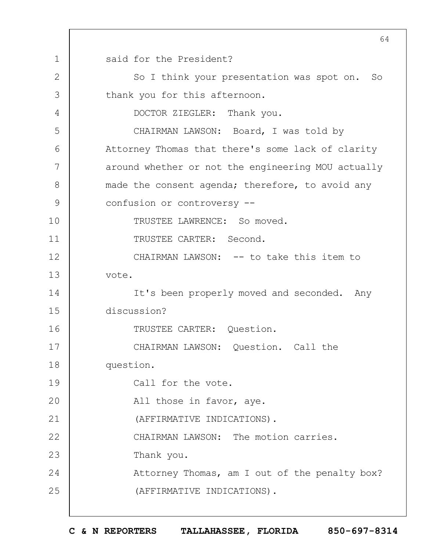1 2 3 4 5 6 7 8  $\mathsf{Q}$ 10 11 12 13 14 15 16 17 18 19  $20$ 21 22 23 24 25 64 said for the President? So I think your presentation was spot on. So thank you for this afternoon. DOCTOR ZIEGLER: Thank you. CHAIRMAN LAWSON: Board, I was told by Attorney Thomas that there's some lack of clarity around whether or not the engineering MOU actually made the consent agenda; therefore, to avoid any confusion or controversy -- TRUSTEE LAWRENCE: So moved. TRUSTEE CARTER: Second. CHAIRMAN LAWSON: -- to take this item to vote. It's been properly moved and seconded. Any discussion? TRUSTEE CARTER: Question. CHAIRMAN LAWSON: Question. Call the question. Call for the vote. All those in favor, aye. (AFFIRMATIVE INDICATIONS). CHAIRMAN LAWSON: The motion carries. Thank you. Attorney Thomas, am I out of the penalty box? (AFFIRMATIVE INDICATIONS).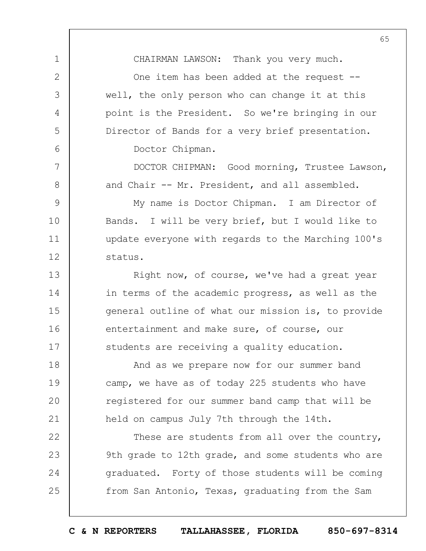CHAIRMAN LAWSON: Thank you very much.

1

2

3

4

5

6

7

8

One item has been added at the request -well, the only person who can change it at this point is the President. So we're bringing in our Director of Bands for a very brief presentation. Doctor Chipman.

DOCTOR CHIPMAN: Good morning, Trustee Lawson, and Chair -- Mr. President, and all assembled.

 $\mathsf{Q}$ 10 11 12 My name is Doctor Chipman. I am Director of Bands. I will be very brief, but I would like to update everyone with regards to the Marching 100's status.

13 14 15 16 17 Right now, of course, we've had a great year in terms of the academic progress, as well as the general outline of what our mission is, to provide entertainment and make sure, of course, our students are receiving a quality education.

18 19  $20$ 21 And as we prepare now for our summer band camp, we have as of today 225 students who have registered for our summer band camp that will be held on campus July 7th through the 14th.

22 23 24 25 These are students from all over the country, 9th grade to 12th grade, and some students who are graduated. Forty of those students will be coming from San Antonio, Texas, graduating from the Sam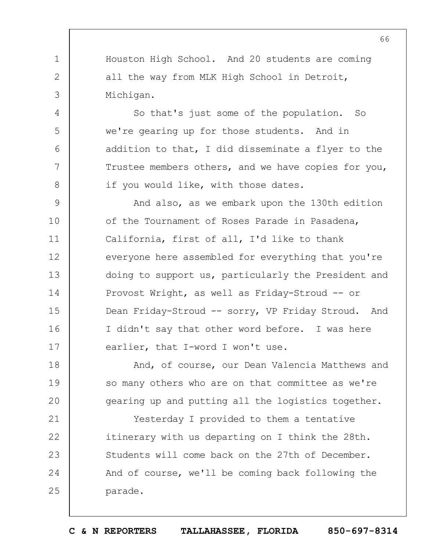Houston High School. And 20 students are coming all the way from MLK High School in Detroit, Michigan.

1

2

3

4

5

6

7

8

18

19

 $20$ 

So that's just some of the population. So we're gearing up for those students. And in addition to that, I did disseminate a flyer to the Trustee members others, and we have copies for you, if you would like, with those dates.

 $\mathsf{Q}$ 10 11 12 13 14 15 16 17 And also, as we embark upon the 130th edition of the Tournament of Roses Parade in Pasadena, California, first of all, I'd like to thank everyone here assembled for everything that you're doing to support us, particularly the President and Provost Wright, as well as Friday-Stroud -- or Dean Friday-Stroud -- sorry, VP Friday Stroud. And I didn't say that other word before. I was here earlier, that I-word I won't use.

And, of course, our Dean Valencia Matthews and so many others who are on that committee as we're gearing up and putting all the logistics together.

21 22 23 24 25 Yesterday I provided to them a tentative itinerary with us departing on I think the 28th. Students will come back on the 27th of December. And of course, we'll be coming back following the parade.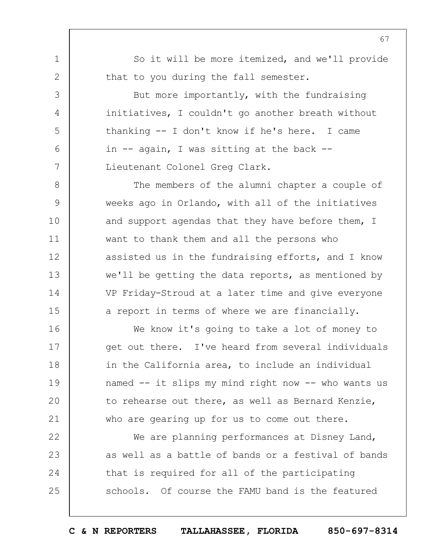So it will be more itemized, and we'll provide that to you during the fall semester.

1

2

3

4

5

6

7

8

9

10

11

12

13

14

15

But more importantly, with the fundraising initiatives, I couldn't go another breath without thanking -- I don't know if he's here. I came in -- again, I was sitting at the back -- Lieutenant Colonel Greg Clark.

The members of the alumni chapter a couple of weeks ago in Orlando, with all of the initiatives and support agendas that they have before them, I want to thank them and all the persons who assisted us in the fundraising efforts, and I know we'll be getting the data reports, as mentioned by VP Friday-Stroud at a later time and give everyone a report in terms of where we are financially.

16 17 18 19  $20$ 21 We know it's going to take a lot of money to get out there. I've heard from several individuals in the California area, to include an individual named -- it slips my mind right now -- who wants us to rehearse out there, as well as Bernard Kenzie, who are gearing up for us to come out there.

22 23 24 25 We are planning performances at Disney Land, as well as a battle of bands or a festival of bands that is required for all of the participating schools. Of course the FAMU band is the featured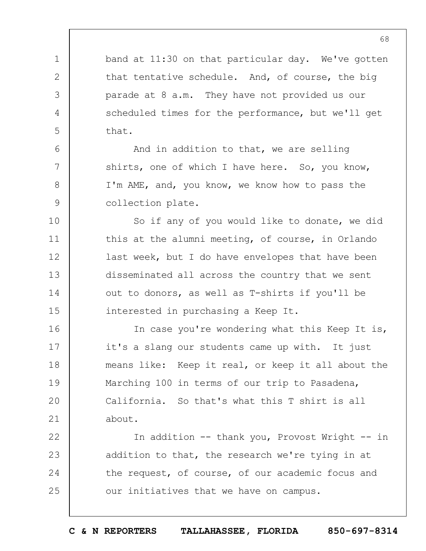band at 11:30 on that particular day. We've gotten that tentative schedule. And, of course, the big parade at 8 a.m. They have not provided us our scheduled times for the performance, but we'll get that.

1

2

3

4

5

6

7

8

9

And in addition to that, we are selling shirts, one of which I have here. So, you know, I'm AME, and, you know, we know how to pass the collection plate.

10 11 12 13 14 15 So if any of you would like to donate, we did this at the alumni meeting, of course, in Orlando last week, but I do have envelopes that have been disseminated all across the country that we sent out to donors, as well as T-shirts if you'll be interested in purchasing a Keep It.

16 17 18 19  $20$ 21 In case you're wondering what this Keep It is, it's a slang our students came up with. It just means like: Keep it real, or keep it all about the Marching 100 in terms of our trip to Pasadena, California. So that's what this T shirt is all about.

22 23 24 25 In addition -- thank you, Provost Wright -- in addition to that, the research we're tying in at the request, of course, of our academic focus and our initiatives that we have on campus.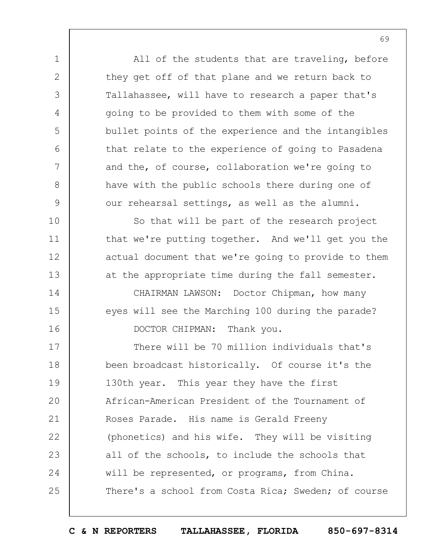All of the students that are traveling, before they get off of that plane and we return back to Tallahassee, will have to research a paper that's going to be provided to them with some of the bullet points of the experience and the intangibles that relate to the experience of going to Pasadena and the, of course, collaboration we're going to have with the public schools there during one of our rehearsal settings, as well as the alumni. So that will be part of the research project

1

2

3

4

5

6

7

8

9

10

11

12

13

14

15

16

that we're putting together. And we'll get you the actual document that we're going to provide to them at the appropriate time during the fall semester.

CHAIRMAN LAWSON: Doctor Chipman, how many eyes will see the Marching 100 during the parade? DOCTOR CHIPMAN: Thank you.

17 18 19  $20$ 21 22 23 24 25 There will be 70 million individuals that's been broadcast historically. Of course it's the 130th year. This year they have the first African-American President of the Tournament of Roses Parade. His name is Gerald Freeny (phonetics) and his wife. They will be visiting all of the schools, to include the schools that will be represented, or programs, from China. There's a school from Costa Rica; Sweden; of course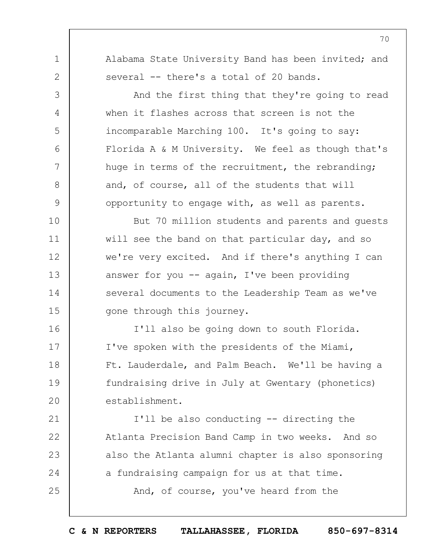Alabama State University Band has been invited; and several -- there's a total of 20 bands.

1

2

3

4

5

6

7

8

 $\mathsf{Q}$ 

16

17

18

19

 $20$ 

21

22

23

24

25

And the first thing that they're going to read when it flashes across that screen is not the incomparable Marching 100. It's going to say: Florida A & M University. We feel as though that's huge in terms of the recruitment, the rebranding; and, of course, all of the students that will opportunity to engage with, as well as parents.

10 11 12 13 14 15 But 70 million students and parents and guests will see the band on that particular day, and so we're very excited. And if there's anything I can answer for you  $-$  again, I've been providing several documents to the Leadership Team as we've gone through this journey.

I'll also be going down to south Florida. I've spoken with the presidents of the Miami, Ft. Lauderdale, and Palm Beach. We'll be having a fundraising drive in July at Gwentary (phonetics) establishment.

I'll be also conducting -- directing the Atlanta Precision Band Camp in two weeks. And so also the Atlanta alumni chapter is also sponsoring a fundraising campaign for us at that time. And, of course, you've heard from the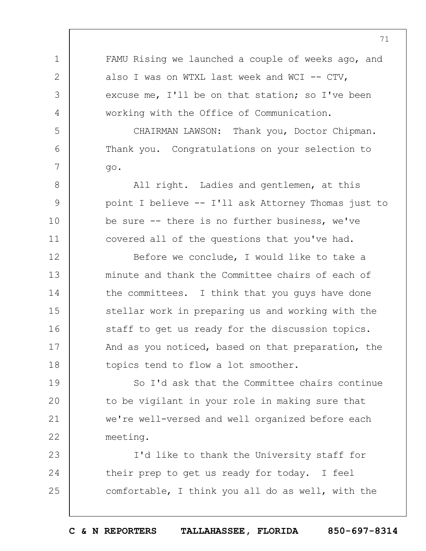1 2 3 4 5 6 7 8 9 10 11 12 13 14 15 16 17 18 19  $20$ 21 22 23 24 25 FAMU Rising we launched a couple of weeks ago, and also I was on WTXL last week and WCI -- CTV, excuse me, I'll be on that station; so I've been working with the Office of Communication. CHAIRMAN LAWSON: Thank you, Doctor Chipman. Thank you. Congratulations on your selection to go. All right. Ladies and gentlemen, at this point I believe -- I'll ask Attorney Thomas just to be sure -- there is no further business, we've covered all of the questions that you've had. Before we conclude, I would like to take a minute and thank the Committee chairs of each of the committees. I think that you guys have done stellar work in preparing us and working with the staff to get us ready for the discussion topics. And as you noticed, based on that preparation, the topics tend to flow a lot smoother. So I'd ask that the Committee chairs continue to be vigilant in your role in making sure that we're well-versed and well organized before each meeting. I'd like to thank the University staff for their prep to get us ready for today. I feel comfortable, I think you all do as well, with the

71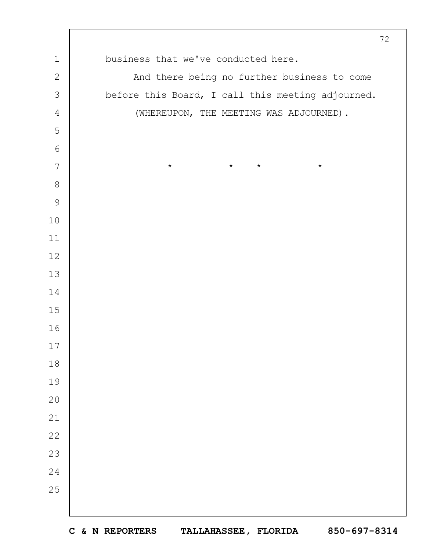|                |                                                   | 72 |
|----------------|---------------------------------------------------|----|
| $\mathbf 1$    | business that we've conducted here.               |    |
| $\sqrt{2}$     | And there being no further business to come       |    |
| $\mathfrak{Z}$ | before this Board, I call this meeting adjourned. |    |
| $\sqrt{4}$     | (WHEREUPON, THE MEETING WAS ADJOURNED).           |    |
| 5              |                                                   |    |
| $\epsilon$     |                                                   |    |
| 7              | $\star$<br>$\star$<br>$\star$<br>$\star$          |    |
| $\,8\,$        |                                                   |    |
| $\mathcal{G}$  |                                                   |    |
| 10             |                                                   |    |
| 11             |                                                   |    |
| 12             |                                                   |    |
| 13             |                                                   |    |
| 14             |                                                   |    |
| 15             |                                                   |    |
| 16             |                                                   |    |
| $17$           |                                                   |    |
| 18             |                                                   |    |
| 19             |                                                   |    |
| 20             |                                                   |    |
| 21             |                                                   |    |
| 22             |                                                   |    |
| 23             |                                                   |    |
| 24             |                                                   |    |
| 25             |                                                   |    |
|                |                                                   |    |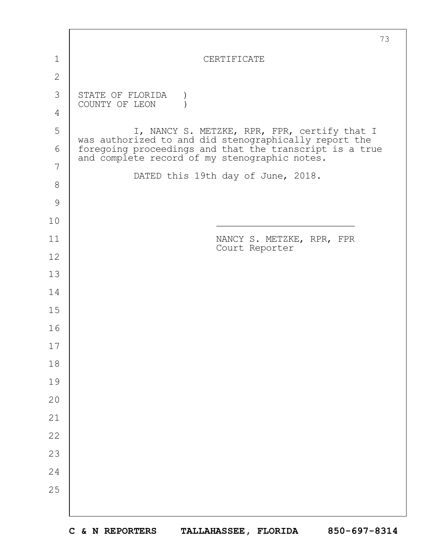|               | 73                                                                                                       |  |  |
|---------------|----------------------------------------------------------------------------------------------------------|--|--|
| 1             | CERTIFICATE                                                                                              |  |  |
| $\mathbf{2}$  |                                                                                                          |  |  |
| 3             | STATE OF FLORIDA<br>COUNTY OF LEON                                                                       |  |  |
| 4             |                                                                                                          |  |  |
| 5             | I, NANCY S. METZKE, RPR, FPR, certify that I<br>was authorized to and did stenographically report the    |  |  |
| 6             | foregoing proceedings and that the transcript is a true<br>and complete record of my stenographic notes. |  |  |
| 7             | DATED this 19th day of June, 2018.                                                                       |  |  |
| $8\,$         |                                                                                                          |  |  |
| $\mathcal{G}$ |                                                                                                          |  |  |
| 10            |                                                                                                          |  |  |
| 11            | NANCY S. METZKE, RPR, FPR<br>Court Reporter                                                              |  |  |
| 12            |                                                                                                          |  |  |
| 13            |                                                                                                          |  |  |
| 14            |                                                                                                          |  |  |
| 15            |                                                                                                          |  |  |
| 16            |                                                                                                          |  |  |
| 17            |                                                                                                          |  |  |
| 18            |                                                                                                          |  |  |
| 19            |                                                                                                          |  |  |
| 20            |                                                                                                          |  |  |
| 21            |                                                                                                          |  |  |
| 22            |                                                                                                          |  |  |
| 23            |                                                                                                          |  |  |
| 24            |                                                                                                          |  |  |
| 25            |                                                                                                          |  |  |
|               |                                                                                                          |  |  |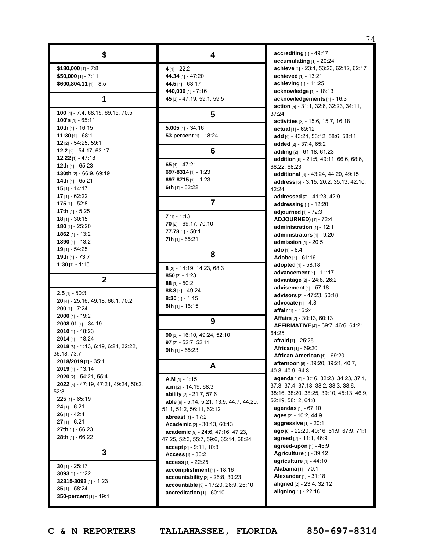|                                           |                                           | 74                                          |
|-------------------------------------------|-------------------------------------------|---------------------------------------------|
| \$                                        | 4                                         | accrediting [1] - 49:17                     |
|                                           |                                           | accumulating [1] - 20:24                    |
| $$180,000$ [1] - 7:8                      | $4$ [1] - 22:2                            | achieve [4] - 23:1, 53:23, 62:12, 62:17     |
| $$50,000$ [1] - 7:11                      | 44.34 [1] - 47:20                         | achieved [1] - 13:21                        |
| \$600,804.11 [1] - 8:5                    | 44.5 $[1] - 63:17$                        | achieving [1] - 11:25                       |
|                                           | 440,000 [1] - 7:16                        | acknowledge [1] - 18:13                     |
| 1                                         | 45 [3] - 47:19, 59:1, 59:5                | acknowledgements [1] - 16:3                 |
|                                           |                                           | action [5] - 31:1, 32:6, 32:23, 34:11,      |
| 100 [4] - 7:4, 68:19, 69:15, 70:5         | 5                                         | 37:24                                       |
| 100's [1] - 65:11                         |                                           | activities [3] - 15:6, 15:7, 16:18          |
| 10th $[1]$ - 16:15                        | $5.005$ [1] - 34:16                       | actual [1] - 69:12                          |
| $11:30$ [1] - 68:1                        | 53-percent [1] - 18:24                    | add [4] - 43.24, 53.12, 58.6, 58.11         |
| 12 [2] - 54:25, 59:1                      |                                           | added [2] - 37:4, 65:2                      |
| 12.2 [2] - 54:17, 63:17                   | 6                                         | adding [2] - 61:18, 61:23                   |
| 12.22 $[1] - 47:18$                       |                                           | addition [6] - 21.5, 49.11, 66.6, 68.6,     |
| 12th $[1] - 65:23$                        | 65 $[1] - 47:21$                          | 68:22, 68:23                                |
| 130th [2] - 66:9, 69:19                   | 697-8314 [1] - 1:23                       | additional [3] - 43:24, 44:20, 49:15        |
| 14th [1] - 65:21                          | 697-8715 [1] - 1:23                       | address [5] - 3:15, 20:2, 35:13, 42:10,     |
| $15$ [1] - 14:17                          | 6th [1] - 32:22                           | 42:24                                       |
| 17 [1] - 62:22                            |                                           | addressed [2] - 41.23, 42.9                 |
| $175$ [1] - 52:8                          | $\overline{7}$                            | addressing $[1]$ - 12:20                    |
| 17th $[1] - 5:25$                         |                                           | adjourned $[1]$ - $72:3$                    |
| <b>18</b> [1] - 30:15                     | $7$ [1] - 1:13                            | <b>ADJOURNED)</b> [1] - 72:4                |
| $180$ [1] - 25:20                         | 70 [2] - 69:17, 70:10                     | administration [1] - 12:1                   |
| $1862$ [1] - 13:2                         | $77.78$ [1] - 50:1                        | administrators [1] - 9:20                   |
| 1890 $[1] - 13:2$                         | 7th [1] - 65:21                           | admission $[1]$ - 20:5                      |
| 19 [1] - 54:25                            |                                           | ado [1] - $8:4$                             |
| 19th $[1]$ - 73:7                         | 8                                         | Adobe [1] - $61:16$                         |
| $1:30$ [1] - 1:15                         | 8 [3] - 14:19, 14:23, 68:3                | <b>adopted</b> $[1] - 58:18$                |
|                                           |                                           | advancement [1] - 11:17                     |
| $\mathbf{2}$                              | $850$ [2] - 1:23<br>$88$ [1] - 50:2       | <b>advantage</b> [2] - 24.8, 26.2           |
|                                           | 88.8 [1] - 49:24                          | advisement $[1] - 57:18$                    |
| $2.5$ [1] - 50:3                          | $8:30$ [1] - 1:15                         | advisors [2] - 47:23, 50:18                 |
| 20 [4] - 25:16, 49:18, 66:1, 70:2         | 8th [1] - 16:15                           | advocate $[1] - 4:8$                        |
| $200$ [1] - 7:24                          |                                           | affair [1] - 16:24                          |
| $2000$ [1] - 19:2                         | 9                                         | <b>Affairs</b> $[2] - 30.13, 60.13$         |
| 2008-01 [1] - 34:19                       |                                           | <b>AFFIRMATIVE</b> [4] - 39.7, 46.6, 64.21, |
| $2010$ [1] - 18:23                        | 90 [3] - 16:10, 49:24, 52:10              | 64:25                                       |
| <b>2014</b> [1] - 18:24                   | 97 [2] - 52:7, 52:11                      | afraid [1] - 25:25                          |
| 2018 [6] - 1:13, 6:19, 6:21, 32:22,       | 9th $[1]$ - 65:23                         | <b>African</b> [1] - 69:20                  |
| 36:18, 73:7                               |                                           | African-American [1] - 69:20                |
| 2018/2019 [1] - 35:1                      | A                                         | afternoon [6] - 39:20, 39:21, 40:7,         |
| $2019$ [1] - 13:14                        |                                           | 40.8, 40.9, 64.3                            |
| 2020 [2] - 54:21, 55:4                    | $A.M$ [1] - 1:15                          | agenda [19] - 3:16, 32:23, 34:23, 37:1,     |
| 2022 [5] - 47:19, 47:21, 49:24, 50:2,     | $a.m$ [2] - 14.19, 68.3                   | 37:3, 37:4, 37:18, 38:2, 38:3, 38:6,        |
| 52:8                                      | <b>ability</b> $[2] - 21:7, 57:6$         | 38.16, 38.20, 38.25, 39.10, 45.13, 46.9,    |
| $225$ [1] - 65:19                         | able [9] - 5:14, 5:21, 13:9, 44:7, 44:20, | 52:19, 58:12, 64:8                          |
| $24$ [1] - 6:21                           | 51:1, 51:2, 56:11, 62:12                  | agendas [1] - 67:10                         |
| $26$ [1] - 42:4                           | abreast <sub>[1]</sub> - 17:2             | ages $[2] - 10:2, 44:9$                     |
| $27$ [1] - 6:21                           | <b>Academic</b> $[2] - 30:13, 60:13$      | aggressive [1] - 20:1                       |
| 27th $[1] - 66:23$                        | academic [9] - 24.6, 47.16, 47.23,        | ago [6] - 22:20, 40:16, 61:9, 67:9, 71:1    |
| 28th [1] - 66:22                          | 47:25, 52:3, 55:7, 59:6, 65:14, 68:24     | agreed [2] - 11:1, 46:9                     |
|                                           | accept [2] - 9:11, 10:3                   | agreed-upon [1] - 46:9                      |
| 3                                         | Access [1] - 33:2                         | Agriculture [1] - 39:12                     |
| $30$ [1] - 25:17                          | $access$ [1] - 22:25                      | agriculture $[1] - 44:10$                   |
| $3093$ [1] - 1:22                         | accomplishment [1] - 18:16                | Alabama <sub>[1]</sub> - 70:1               |
|                                           | accountability [2] - 26:8, 30:23          | Alexander [1] - 31:18                       |
| 32315-3093 [1] - 1:23<br>$35$ [1] - 58:24 | accountable [3] - 17:20, 26:9, 26:10      | aligned [2] - 23:4, 32:12                   |
| 350-percent [1] - 19:1                    | accreditation [1] - 60:10                 | aligning $[1] - 22:18$                      |
|                                           |                                           |                                             |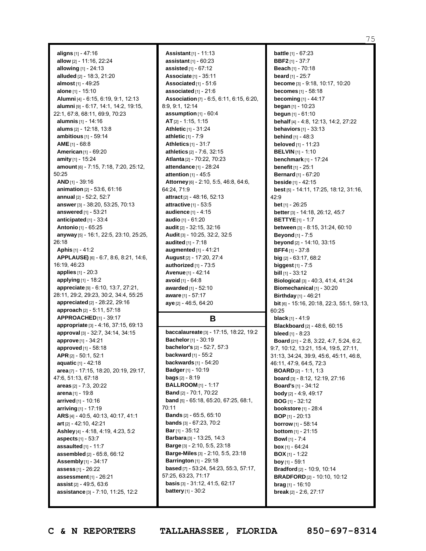**aligns** [1] - 47:16 **allow** [2] - 11:16, 22:24 **allowing** [1] - 24:13 **alluded** [2] - 18:3, 21:20 **almost** [1] - 49:25 **alone** [1] - 15:10 **Alumni** [4] - 6:15, 6:19, 9:1, 12:13 **alumni** [9] - 6:17, 14:1, 14:2, 19:15, 22:1, 67:8, 68:11, 69:9, 70:23 **alumnis** [1] - 14:16 **alums** [2] - 12:18, 13:8 **ambitious** [1] - 59:14 **AME**[1] - 68:8 **American**[1] - 69:20 **amity** [1] - 15:24 **amount** [6] - 7:15, 7:18, 7:20, 25:12, 50:25 **AND** [1] - 39:16 **animation** [2] - 53:6, 61:16 **annual** [2] - 52:2, 52:7 **answer**[3] - 38:20, 53:25, 70:13 **answered** [1] - 53:21 **anticipated** [1] - 33:4 **Antonio** [1] - 65:25 **anyway** [5] - 16:1, 22:5, 23:10, 25:25, 26:18 **Aphis** [1] - 41:2 **APPLAUSE)** [6] - 6:7, 8:6, 8:21, 14:6, 16:19, 46:23 **applies** [1] - 20:3 **applying** [1] - 18:2 **appreciate** [9] - 6:10, 13:7, 27:21, 28:11, 29:2, 29:23, 30:2, 34:4, 55:25 **appreciated** [2] - 28:22, 29:16 **approach** [2] - 5:11, 57:18 **APPROACHED**[1] - 39:17 **appropriate** [3] - 4:16, 37:15, 69:13 **approval** [3] - 32:7, 34:14, 34:15 **approve** [1] - 34:21 **approved** [1] - 58:18 **APR** [2] - 50:1, 52:1 **aquatic** [1] - 42:18 **area** [7] - 17:15, 18:20, 20:19, 29:17, 47:6, 51:13, 67:18 **areas** [2] - 7:3, 20:22 **arena** [1] - 19:8 **arrived** [1] - 10:16 **arriving** [1] - 17:19 **ARS** [4] - 40:5, 40:13, 40:17, 41:1 **art** [2] - 42:10, 42:21 **Ashley** [4] - 4:18, 4:19, 4:23, 5:2 **aspects** [1] - 53:7 **assaulted** [1] - 11:7 **assembled** [2] - 65:8, 66:12 **Assembly**[1] - 34:17 **assess** [1] - 26:22 **assessment**[1] - 26:21 **assist** [2] - 49:5, 63:6 **assistance** [3] - 7:10, 11:25, 12:2

**Assistant**[1] - 11:13 **assistant** [1] - 60:23 **assisted** [1] - 67:12 **Associate** [1] - 35:11 **Associated**[1] - 51:6 **associated** [1] - 21:6 **Association** [7] - 6:5, 6:11, 6:15, 6:20, 8:9, 9:1, 12:14 **assumption** [1] - 60:4 **AT** [2] - 1:15, 1:15 **Athletic** [1] - 31:24 **athletic** [1] - 7:9 **Athletics** [1] - 31:7 **athletics** [2] - 7:6, 32:15 **Atlanta** [2] - 70:22, 70:23 **attendance** [1] - 28:24 **attention** [1] - 45:5 **Attorney**[6] - 2:10, 5:5, 46:8, 64:6, 64:24, 71:9 **attract** [2] - 48:16, 52:13 **attractive** [1] - 53:5 **audience** [1] - 4:15 **audio** [1] - 61:20 **audit** [2] - 32:15, 32:16 **Audit** [3] - 10:25, 32:2, 32:5 **audited** [1] - 7:18 **augmented** [1] - 41:21 **August** [2] - 17:20, 27:4 **authorized** [1] - 73:5 **Avenue** [1] - 42:14 **avoid** [1] - 64:8 **awarded** [1] - 52:10 **aware** [1] - 57:17 **aye** [2] - 46:5, 64:20

## **B**

**baccalaureate** [3] - 17:15, 18:22, 19:2 **Bachelor**[1] - 30:19 **bachelor's** [2] - 52:7, 57:3 **backward** [1] - 55:2 **backwards** [1] - 54:20 **Badger**[1] - 10:19 **bags** [2] - 8:19 **BALLROOM** [1] - 1:17 **Band** [2] - 70:1, 70:22 **band** [5] - 65:18, 65:20, 67:25, 68:1, 70:11 **Bands** [2] - 65:5, 65:10 **bands** [3] - 67:23, 70:2 **Bar**[1] - 35:12 **Barbara** [3] - 13:25, 14:3 **Barge** [3] - 2:10, 5:5, 23:18 **Barge-Miles** [3] - 2:10, 5:5, 23:18 **Barrington** [1] - 29:18 **based** [7] - 53:24, 54:23, 55:3, 57:17, 57:25, 63:23, 71:17 **basis** [3] - 31:12, 41:5, 62:17 **battery** [1] - 30:2

**battle** [1] - 67:23 **BBF2** [1] - 37:7 **Beach** [1] - 70:18 **beard** [1] - 25:7 **become** [3] - 9:18, 10:17, 10:20 **becomes** [1] - 58:18 **becoming** [1] - 44:17 **began** [1] - 10:23 **begun** [1] - 61:10 **behalf** [4] - 4:8, 12:13, 14:2, 27:22 **behaviors** [1] - 33:13 **behind** [1] - 48:3 **beloved** [1] - 11:23 **BELVIN** [1] - 1:10 **benchmark** [1] - 17:24 **benefit** [1] - 25:1 **Bernard** [1] - 67:20 **beside** [1] - 42:15 **best** [5] - 14:11, 17:25, 18:12, 31:16, 42:9 **bet** [1] - 26:25 **better**[3] - 14:18, 26:12, 45:7 **BETTYE**[1] - 1:7 **between** [3] - 8:15, 31:24, 60:10 **Beyond** [1] - 7:5 **beyond** [2] - 14:10, 33:15 **BFF4** [1] - 37:8 **big** [2] - 63:17, 68:2 **biggest** [1] - 7:5 **bill** [1] - 33:12 **Biological** [3] - 40:3, 41:4, 41:24 **Biomechanical** [1] - 30:20 **Birthday** [1] - 46:21 **bit** [6] - 15:16, 20:18, 22:3, 55:1, 59:13, 60:25 **black** [1] - 41:9 **Blackboard** [2] - 48:6, 60:15 **bleed** [1] - 8:23 **Board** [21] - 2:8, 3:22, 4:7, 5:24, 6:2, 9:7, 10:12, 13:21, 15:4, 19:5, 27:11, 31:13, 34:24, 39:9, 45:6, 45:11, 46:8, 46:11, 47:9, 64:5, 72:3 **BOARD** [2] - 1:1, 1:3 **board** [3] - 8:12, 12:19, 27:16 **Board's** [1] - 34:12 **body** [2] - 4:9, 49:17 **BOG** [1] - 32:12 **bookstore** [1] - 28:4 **BOP** [1] - 20:13 **borrow** [1] - 58:14 **bottom** [1] - 21:15 **Bowl** [1] - 7:4 **box** [1] - 64:24 **BOX** [1] - 1:22 **boy** [1] - 59:1 **Bradford** [2] - 10:9, 10:14 **BRADFORD** [2] - 10:10, 10:12 **brag** [1] - 16:10 **break** [2] - 2:6, 27:17

75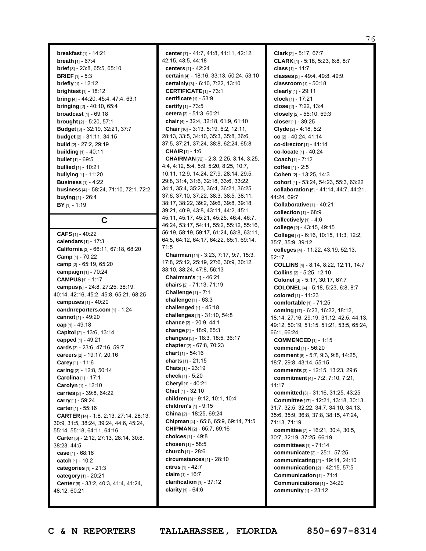76

**breakfast** [1] - 14:21 **breath** [1] - 67:4 **brief** [3] - 23:8, 65:5, 65:10 **BRIEF** [1] - 5:3 **briefly** [1] - 12:12 **brightest** [1] - 18:12 **bring** [4] - 44:20, 45:4, 47:4, 63:1 **bringing** [2] - 40:10, 65:4 **broadcast** [1] - 69:18 **brought** [2] - 5:20, 57:1 **Budget** [3] - 32:19, 32:21, 37:7 **budget** [2] - 31:11, 34:15 **build** [2] - 27:2, 29:19 **building** [1] - 40:11 **bullet** [1] - 69:5 **bullied** [1] - 10:21 **bullying** [1] - 11:20 **Business** [1] - 4:22 **business** [4] - 58:24, 71:10, 72:1, 72:2 **buying** [1] - 26:4 **BY** [1] - 1:19

**C**

**CAFS** [1] - 40:22 **calendars** [1] - 17:3 **California** [3] - 66:11, 67:18, 68:20 **Camp** [1] - 70:22 **camp** [2] - 65:19, 65:20 **campaign** [1] - 70:24 **CAMPUS**[1] - 1:17 **campus** [9] - 24:8, 27:25, 38:19, 40:14, 42:16, 45:2, 45:8, 65:21, 68:25 **campuses** [1] - 40:20 **candnreporters.com** [1] - 1:24 **cannot** [1] - 49:20 **cap** [1] - 49:18 **Capitol** [2] - 13:6, 13:14 **capped** [1] - 49:21 **cards** [3] - 23:6, 47:16, 59:7 **careers** [2] - 19:17, 20:16 **Carey** [1] - 11:6 **caring** [2] - 12:8, 50:14 **Carolina** [1] - 17:1 **Carolyn** [1] - 12:10 **carries** [2] - 39:8, 64:22 **carry** [1] - 59:24 **carter**[1] - 55:16 **CARTER** [14] - 1:8, 2:13, 27:14, 28:13, 30:9, 31:5, 38:24, 39:24, 44:6, 45:24, 55:14, 55:18, 64:11, 64:16 **Carter**[6] - 2:12, 27:13, 28:14, 30:8, 38:23, 44:5 **case** [1] - 68:16 **catch** [1] - 10:2 **categories** [1] - 21:3 **category** [1] - 20:21 **Center**[6] - 33:2, 40:3, 41:4, 41:24, 48:12, 60:21

**center**[7] - 41:7, 41:8, 41:11, 42:12, 42:15, 43:5, 44:18 **centers** [1] - 42:24 **certain** [4] - 18:16, 33:13, 50:24, 53:10 **certainly** [3] - 6:10, 7:22, 13:10 **CERTIFICATE**[1] - 73:1 **certificate** [1] - 53:9 **certify** [1] - 73:5 **cetera** [2] - 51:3, 60:21 **chair**[4] - 32:4, 32:18, 61:9, 61:10 **Chair**[16] - 3:13, 5:19, 6:2, 12:11, 28:13, 33:5, 34:10, 35:3, 35:8, 36:6, 37:5, 37:21, 37:24, 38:8, 62:24, 65:8 **CHAIR** [1] - 1:6 **CHAIRMAN**[72] - 2:3, 2:25, 3:14, 3:25, 4:4, 4:12, 5:4, 5:9, 5:20, 8:25, 10:7, 10:11, 12:9, 14:24, 27:9, 28:14, 29:5, 29:8, 31:4, 31:6, 32:18, 33:6, 33:22, 34:1, 35:4, 35:23, 36:4, 36:21, 36:25, 37:6, 37:10, 37:22, 38:3, 38:5, 38:11, 38:17, 38:22, 39:2, 39:6, 39:8, 39:18, 39:21, 40:9, 43:8, 43:11, 44:2, 45:1, 45:11, 45:17, 45:21, 45:25, 46:4, 46:7, 46:24, 53:17, 54:11, 55:2, 55:12, 55:16, 56:19, 58:19, 59:17, 61:24, 63:8, 63:11, 64:5, 64:12, 64:17, 64:22, 65:1, 69:14, 71:5 **Chairman** [14] - 3:23, 7:17, 9:7, 15:3, 17:8, 25:12, 25:19, 27:6, 30:9, 30:12, 33:10, 38:24, 47:8, 56:13 **Chairman's** [1] - 46:21 **chairs** [2] - 71:13, 71:19 **Challenge** [1] - 7:1 **challenge** [1] - 63:3 **challenged** [1] - 45:18 **challenges** [2] - 31:10, 54:8 **chance** [2] - 20:9, 44:1 **change** [2] - 18:9, 65:3 **changes** [3] - 18:3, 18:5, 36:17 **chapter**[2] - 67:8, 70:23 **chart** [1] - 54:16 **charts** [1] - 21:15 **Chats** [1] - 23:19 **check** [1] - 5:20 **Cheryl** [1] - 40:21 **Chief** [1] - 32:10 **children** [3] - 9:12, 10:1, 10:4 **children's** [1] - 9:15 **China** [2] - 18:25, 69:24 **Chipman** [4] - 65:6, 65:9, 69:14, 71:5 **CHIPMAN** [2] - 65:7, 69:16 **choices** [1] - 49:8 **chosen** [1] - 58:5 **church** [1] - 28:6 **circumstances** [1] - 28:10 **citrus** [1] - 42:7 **claim** [1] - 16:7 **clarification** [1] - 37:12 **clarity** [1] - 64:6

**Clark** [2] - 5:17, 67:7 **CLARK** [4] - 5:18, 5:23, 6:8, 8:7 **class** [1] - 11:7 **classes** [3] - 49:4, 49:8, 49:9 **classroom** [1] - 50:18 **clearly** [1] - 29:11 **clock** [1] - 17:21 **close** [2] - 7:22, 13:4 **closely** [2] - 55:10, 59:3 **closer**[1] - 39:25 **Clyde** [2] - 4:18, 5:2 **co** [2] - 40:24, 41:14 **co-director**[1] - 41:14 **co-locate** [1] - 40:24 **Coach** [1] - 7:12 **coffee** [1] - 2:5 **Cohen** [2] - 13:25, 14:3 **cohort** [4] - 53:24, 54:23, 55:3, 63:22 **collaboration** [5] - 41:14, 44:7, 44:21, 44:24, 69:7 **Collaborative** [1] - 40:21 **collection** [1] - 68:9 **collectively** [1] - 4:6 **college** [2] - 43:15, 49:15 **College** [7] - 6:16, 10:15, 11:3, 12:2, 35:7, 35:9, 39:12 **colleges** [4] - 11:22, 43:19, 52:13, 52:17 **COLLINS** [4] - 8:14, 8:22, 12:11, 14:7 **Collins** [2] - 5:25, 12:10 **Colonel** [3] - 5:17, 30:17, 67:7 **COLONEL** [4] - 5:18, 5:23, 6:8, 8:7 **colored** [1] - 11:23 **comfortable** [1] - 71:25 **coming** [17] - 6:23, 16:22, 18:12, 18:14, 27:16, 29:19, 31:12, 42:5, 44:13, 49:12, 50:19, 51:15, 51:21, 53:5, 65:24, 66:1, 66:24 **COMMENCED** [1] - 1:15 **commend** [1] - 56:20 **comment** [8] - 5:7, 9:3, 9:8, 14:25, 18:7, 29:8, 43:14, 55:15 **comments** [3] - 12:15, 13:23, 29:6 **commitment** [4] - 7:2, 7:10, 7:21, 11:17 **committed** [3] - 31:16, 31:25, 43:25 **Committee** [17] - 12:21, 13:18, 30:13, 31:7, 32:5, 32:22, 34:7, 34:10, 34:13, 35:6, 35:9, 36:8, 37:8, 38:15, 47:24, 71:13, 71:19 **committee** [7] - 16:21, 30:4, 30:5, 30:7, 32:19, 37:25, 66:19 **committees** [1] - 71:14 **communicate** [2] - 25:1, 57:25 **communicating** [2] - 19:14, 24:10 **communication** [2] - 42:15, 57:5 **Communication** [1] - 71:4 **Communications** [1] - 34:20 **community** [1] - 23:12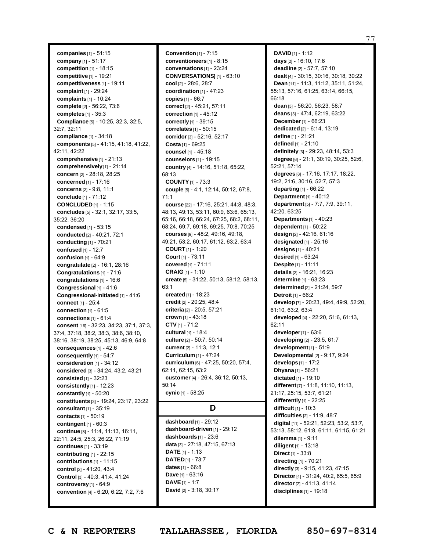**companies** [1] - 51:15 **company** [1] - 51:17 **competition** [1] - 18:15 **competitive** [1] - 19:21 **competitiveness** [1] - 19:11 **complaint** [1] - 29:24 **complaints** [1] - 10:24 **complete** [2] - 56:22, 73:6 **completes** [1] - 35:3 **Compliance** [5] - 10:25, 32:3, 32:5, 32:7, 32:11 **compliance** [1] - 34:18 **components** [5] - 41:15, 41:18, 41:22, 42:11, 42:22 **comprehensive** [1] - 21:13 **comprehensively**[1] - 21:14 **concern** [2] - 28:18, 28:25 **concerned** [1] - 17:16 **concerns** [2] - 9:8, 11:1 **conclude** [1] - 71:12 **CONCLUDED** [1] - 1:15 **concludes** [5] - 32:1, 32:17, 33:5, 35:22, 36:20 **condensed** [1] - 53:15 **conducted** [2] - 40:21, 72:1 **conducting** [1] - 70:21 **confused** [1] - 12:7 **confusion** [1] - 64:9 **congratulate** [2] - 16:1, 28:16 **Congratulations** [1] - 71:6 **congratulations** [1] - 16:6 **Congressional** [1] - 41:6 **Congressional-initiated** [1] - 41:6 **connect** [1] - 25:4 **connection** [1] - 61:5 **connections** [1] - 61:4 **consent** [16] - 32:23, 34:23, 37:1, 37:3, 37:4, 37:18, 38:2, 38:3, 38:6, 38:10, 38:16, 38:19, 38:25, 45:13, 46:9, 64:8 **consequences** [1] - 42:6 **consequently** [1] - 54:7 **consideration** [1] - 34:12 **considered** [3] - 34:24, 43:2, 43:21 **consisted** [1] - 32:23 **consistently** [1] - 12:23 **constantly** [1] - 50:20 **constituents** [3] - 19:24, 23:17, 23:22 **consultant** [1] - 35:19 **contacts** [1] - 50:19 **contingent** [1] - 60:3 **continue** [8] - 11:4, 11:13, 16:11, 22:11, 24:5, 25:3, 26:22, 71:19 **continues** [1] - 33:19 **contributing** [1] - 22:15 **contributions** [1] - 11:15 **control** [2] - 41:20, 43:4 **Control** [3] - 40:3, 41:4, 41:24 **controversy**[1] - 64:9 **convention** [4] - 6:20, 6:22, 7:2, 7:6

**Convention** [1] - 7:15 **conventioneers** [1] - 8:15 **conversations** [1] - 23:24 **CONVERSATIONS)** [1] - 63:10 **cool** [2] - 28:6, 28:7 **coordination** [1] - 47:23 **copies** [1] - 66:7 **correct** [2] - 45:21, 57:11 **correction** [1] - 45:12 **correctly** [1] - 39:15 **correlates** [1] - 50:15 **corridor**[3] - 52:16, 52:17 **Costa** [1] - 69:25 **counsel** [1] - 45:18 **counselors** [1] - 19:15 **country** [4] - 14:16, 51:18, 65:22, 68:13 **COUNTY** [1] - 73:3 **couple** [5] - 4:1, 12:14, 50:12, 67:8, 71:1 **course** [22] - 17:16, 25:21, 44:8, 48:3, 48:13, 49:13, 53:11, 60:9, 63:6, 65:13, 65:16, 66:18, 66:24, 67:25, 68:2, 68:11, 68:24, 69:7, 69:18, 69:25, 70:8, 70:25 **courses** [9] - 48:2, 49:16, 49:18, 49:21, 53:2, 60:17, 61:12, 63:2, 63:4 **COURT** [1] - 1:20 **Court** [1] - 73:11 **covered** [1] - 71:11 **CRAIG** [1] - 1:10 **create** [5] - 31:22, 50:13, 58:12, 58:13, 63:1 **created** [1] - 18:23 **credit** [2] - 20:25, 48:4 **criteria** [2] - 20:5, 57:21 **crown** [1] - 43:18 **CTV** [1] - 71:2 **cultural** [1] - 18:4 **culture** [2] - 50:7, 50:14 **current** [2] - 11:3, 12:1 **Curriculum** [1] - 47:24 **curriculum** [6] - 47:25, 50:20, 57:4, 62:11, 62:15, 63:2 **customer**[4] - 26:4, 36:12, 50:13, 50:14 **cynic** [1] - 58:25

## **D**

**dashboard** [1] - 29:12 **dashboard-driven** [1] - 29:12 **dashboards** [1] - 23:6 **data** [3] - 27:18, 47:15, 67:13 **DATE**[1] - 1:13 **DATED** [1] - 73:7 **dates** [1] - 66:8 **Dave** [1] - 63:16 **DAVE**[1] - 1:7 **David** [2] - 3:18, 30:17

**DAVID** [1] - 1:12 **days** [2] - 16:10, 17:6 **deadline** [2] - 57:7, 57:10 **dealt** [4] - 30:15, 30:16, 30:18, 30:22 **Dean** [11] - 11:3, 11:12, 35:11, 51:24, 55:13, 57:16, 61:25, 63:14, 66:15, 66:18 **dean** [3] - 56:20, 56:23, 58:7 **deans** [3] - 47:4, 62:19, 63:22 **December**[1] - 66:23 **dedicated** [2] - 6:14, 13:19 **define** [1] - 21:21 **defined** [1] - 21:10 **definitely** [3] - 29:23, 48:14, 53:3 **degree** [6] - 21:1, 30:19, 30:25, 52:6, 52:21, 57:14 **degrees** [8] - 17:16, 17:17, 18:22, 19:2, 21:6, 30:16, 52:7, 57:3 **departing** [1] - 66:22 **Department** [1] - 40:12 **department** [5] - 7:7, 7:9, 39:11, 42:20, 63:25 **Departments** [1] - 40:23 **dependent** [1] - 50:22 **design** [2] - 42:16, 61:16 **designated** [1] - 25:16 **designs** [1] - 40:21 **desired** [1] - 63:24 **Despite** [1] - 11:11 **details** [2] - 16:21, 16:23 **determine** [1] - 63:23 **determined** [2] - 21:24, 59:7 **Detroit** [1] - 66:2 **develop** [7] - 20:23, 49:4, 49:9, 52:20, 61:10, 63:2, 63:4 **developed** [4] - 22:20, 51:6, 61:13, 62:11 **developer**[1] - 63:6 **developing** [2] - 23:5, 61:7 **development** [1] - 51:9 **Developmental** [2] - 9:17, 9:24 **develops** [1] - 17:2 **Dhyana** [1] - 56:21 **dictated** [1] - 19:10 **different** [7] - 11:8, 11:10, 11:13, 21:17, 25:15, 53:7, 61:21 **differently** [1] - 22:25 **difficult** [1] - 10:3 **difficulties** [2] - 11:9, 48:7 **digital** [11] - 52:21, 52:23, 53:2, 53:7, 53:13, 58:12, 61:8, 61:11, 61:15, 61:21 **dilemma** [1] - 9:11 **diligent** [1] - 13:18 **Direct** [1] - 33:8 **directing** [1] - 70:21 **directly** [3] - 9:15, 41:23, 47:15 **Director**[4] - 31:24, 40:2, 65:5, 65:9 **director**[2] - 41:13, 41:14 **disciplines** [1] - 19:18

77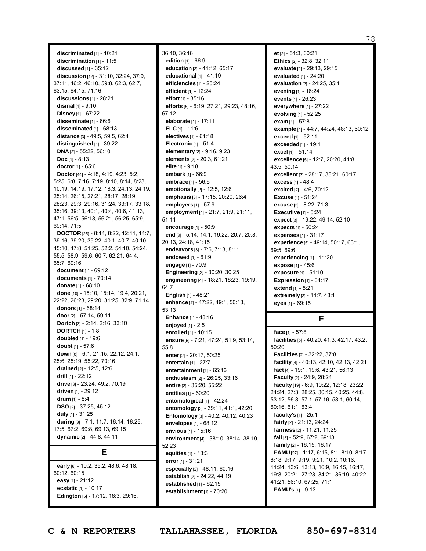**discriminated** [1] - 10:21 **discrimination** [1] - 11:5 **discussed** [1] - 35:12 **discussion** [12] - 31:10, 32:24, 37:9, 37:11, 46:2, 46:10, 59:8, 62:3, 62:7, 63:15, 64:15, 71:16 **discussions** [1] - 28:21 **dismal** [1] - 9:10 **Disney** [1] - 67:22 **disseminate** [1] - 66:6 **disseminated** [1] - 68:13 **distance** [3] - 49:5, 59:5, 62:4 **distinguished** [1] - 39:22 **DNA** [2] - 55:22, 56:10 **Doc** [1] - 8:13 **doctor** [1] - 65:6 **Doctor**[44] - 4:18, 4:19, 4:23, 5:2, 5:25, 6:8, 7:16, 7:19, 8:10, 8:14, 8:23, 10:19, 14:19, 17:12, 18:3, 24:13, 24:19, 25:14, 26:15, 27:21, 28:17, 28:19, 28:23, 29:3, 29:16, 31:24, 33:17, 33:18, 35:16, 39:13, 40:1, 40:4, 40:6, 41:13, 47:1, 56:5, 56:18, 56:21, 56:25, 65:9, 69:14, 71:5 **DOCTOR** [25] - 8:14, 8:22, 12:11, 14:7, 39:16, 39:20, 39:22, 40:1, 40:7, 40:10, 45:10, 47:8, 51:25, 52:2, 54:10, 54:24, 55:5, 58:9, 59:6, 60:7, 62:21, 64:4, 65:7, 69:16 **document** [1] - 69:12 **documents** [1] - 70:14 **donate** [1] - 68:10 **done** [10] - 15:10, 15:14, 19:4, 20:21, 22:22, 26:23, 29:20, 31:25, 32:9, 71:14 **donors** [1] - 68:14 **door** [2] - 57:14, 59:11 **Dortch** [3] - 2:14, 2:16, 33:10 **DORTCH** [1] - 1:8 **doubled** [1] - 19:6 **doubt** [1] - 57:6 **down** [8] - 6:1, 21:15, 22:12, 24:1, 25:6, 25:19, 55:22, 70:16 **drained** [2] - 12:5, 12:6 **drill** [1] - 22:12 **drive** [3] - 23:24, 49:2, 70:19 **driven** [1] - 29:12 **drum** [1] - 8:4 **DSO** [2] - 37:25, 45:12 **duly** [1] - 31:25 **during** [9] - 7:1, 11:7, 16:14, 16:25, 17:5, 67:2, 69:8, 69:13, 69:15 **dynamic** [2] - 44:8, 44:11

## **E**

**early** [6] - 10:2, 35:2, 48:6, 48:18, 60:12, 60:15 **easy** [1] - 21:12 **ecstatic** [1] - 10:17 **Edington** [5] - 17:12, 18:3, 29:16,

36:10, 36:16 **edition** [1] - 66:9 **education** [2] - 41:12, 65:17 **educational** [1] - 41:19 **efficiencies** [1] - 25:24 **efficient** [1] - 12:24 **effort** [1] - 35:16 **efforts** [5] - 6:19, 27:21, 29:23, 48:16, 67:12 **elaborate** [1] - 17:11 **ELC** [1] - 11:6 **electives** [1] - 61:18 **Electronic** [1] - 51:4 **elementary** [2] - 9:16, 9:23 **elements** [2] - 20:3, 61:21 **elite** [1] - 9:18 **embark** [1] - 66:9 **embrace** [1] - 56:6 **emotionally** [2] - 12:5, 12:6 **emphasis** [3] - 17:15, 20:20, 26:4 **employers** [1] - 57:9 **employment**[4] - 21:7, 21:9, 21:11, 51:11 **encourage** [1] - 50:9 **end** [9] - 5:14, 14:1, 19:22, 20:7, 20:8, 20:13, 24:18, 41:15 **endeavors** [3] - 7:6, 7:13, 8:11 **endowed** [1] - 61:9 **engage** [1] - 70:9 **Engineering** [2] - 30:20, 30:25 **engineering** [4] - 18:21, 18:23, 19:19, 64:7 **English** [1] - 48:21 **enhance** [4] - 47:22, 49:1, 50:13, 53:13 **Enhance** [1] - 48:16 **enjoyed** [1] - 2:5 **enrolled** [1] - 10:15 **ensure** [5] - 7:21, 47:24, 51:9, 53:14, 55:8 **enter**[2] - 20:17, 50:25 **entertain** [1] - 27:7 **entertainment** [1] - 65:16 **enthusiasm** [2] - 26:25, 33:16 **entire** [2] - 35:20, 55:22 **entities** [1] - 60:20 **entomological** [1] - 42:24 **entomology** [3] - 39:11, 41:1, 42:20 **Entomology** [3] - 40:2, 40:12, 40:23 **envelopes** [1] - 68:12 **envious** [1] - 15:16 **environment** [4] - 38:10, 38:14, 38:19, 52:23 **equities** [1] - 13:3 **error**[1] - 31:21 **especially** [2] - 48:11, 60:16 **establish** [2] - 24:22, 44:19 **established** [1] - 62:15 **establishment** [1] - 70:20

**et** [2] - 51:3, 60:21 **Ethics** [2] - 32:8, 32:11 **evaluate** [2] - 29:13, 29:15 **evaluated** [1] - 24:20 **evaluation** [2] - 24:25, 35:1 **evening** [1] - 16:24 **events** [1] - 26:23 **everywhere**[1] - 27:22 **evolving** [1] - 52:25 **exam** [1] - 57:8 **example** [4] - 44:7, 44:24, 48:13, 60:12 **exceed** [1] - 52:11 **exceeded** [1] - 19:1 **excel** [1] - 51:14 **excellence** [5] - 12:7, 20:20, 41:8, 43:5, 50:14 **excellent** [3] - 28:17, 38:21, 60:17 **excess** [1] - 48:4 **excited** [2] - 4:6, 70:12 **Excuse** [1] - 51:24 **excuse** [2] - 8:22, 71:3 **Executive** [1] - 5:24 **expect** [3] - 19:22, 49:14, 52:10 **expects** [1] - 50:24 **expenses** [1] - 31:17 **experience** [5] - 49:14, 50:17, 63:1, 69:5, 69:6 **experiencing** [1] - 11:20 **expose** [1] - 45:6 **exposure** [1] - 51:10 **Expression** [1] - 34:17 **extend** [1] - 5:21 **extremely** [2] - 14:7, 48:1 **eyes** [1] - 69:15

**F**

**face** [1] - 57:8 **facilities** [5] - 40:20, 41:3, 42:17, 43:2, 50:20 **Facilities** [2] - 32:22, 37:8 **facility** [4] - 40:13, 42:10, 42:13, 42:21 **fact** [4] - 19:1, 19:6, 43:21, 56:13 **Faculty** [2] - 24:9, 28:24 **faculty** [19] - 6:9, 10:22, 12:18, 23:22, 24:24, 27:3, 28:25, 30:15, 40:25, 44:8, 53:12, 56:8, 57:1, 57:16, 58:1, 60:14, 60:16, 61:1, 63:4 **faculty's** [1] - 25:1 **fairly** [2] - 21:13, 24:24 **fairness** [2] - 11:21, 11:25 **fall** [3] - 52:9, 67:2, 69:13 **family** [2] - 16:15, 16:17 **FAMU** [27] - 1:17, 6:15, 8:1, 8:10, 8:17, 8:18, 9:17, 9:19, 9:21, 10:2, 10:16, 11:24, 13:6, 13:13, 16:9, 16:15, 16:17, 19:8, 20:21, 27:23, 34:21, 36:19, 40:22, 41:21, 56:10, 67:25, 71:1 **FAMU's** [1] - 9:13

78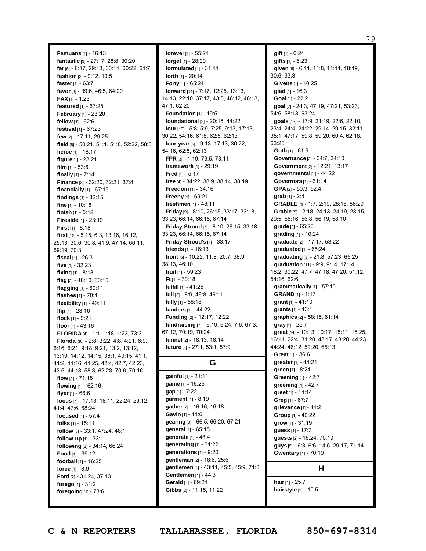79

**Famuans** [1] - 16:13 **fantastic** [3] - 27:17, 28:8, 30:20 **far**[5] - 6:17, 29:13, 60:11, 60:22, 61:7 **fashion** [2] - 9:12, 10:5 **faster**[1] - 63:7 **favor**[3] - 39:6, 46:5, 64:20 **FAX** [1] - 1:23 **featured** [1] - 67:25 **February** [1] - 23:20 **fellow** [1] - 62:6 **festival** [1] - 67:23 **few** [2] - 17:11, 29:25 **field** [6] - 50:21, 51:1, 51:8, 52:22, 58:5 **fierce** [1] - 18:17 **figure** [1] - 23:21 **film** [1] - 53:6 **finally** [1] - 7:14 **Finance** [3] - 32:20, 32:21, 37:8 **financially** [1] - 67:15 **findings** [1] - 32:15 **fine** [1] - 10:18 **finish** [1] - 5:12 **Fireside** [1] - 23:19 **First** [1] - 8:18 **first** [12] - 5:15, 6:3, 13:16, 16:12, 25:13, 30:6, 30:8, 41:9, 47:14, 66:11, 69:19, 70:3 **fiscal** [1] - 26:3 **five** [1] - 32:23 **fixing** [1] - 8:13 **flag** [2] - 48:10, 60:15 **flagging** [1] - 60:11 **flashes** [1] - 70:4 **flexibility** [1] - 49:11 **flip** [1] - 23:16 **flock** [1] - 9:21 **floor** [1] - 43:16 **FLORIDA** [4] - 1:1, 1:18, 1:23, 73:3 **Florida** [30] - 2:8, 3:22, 4:8, 4:21, 6:9, 6:16, 6:21, 9:18, 9:21, 13:2, 13:12, 13:19, 14:12, 14:15, 38:1, 40:15, 41:1, 41:2, 41:16, 41:25, 42:4, 42:7, 42:23, 43:6, 44:13, 58:3, 62:23, 70:6, 70:16 **flow** [1] - 71:18 **flowing** [1] - 62:16 **flyer**[1] - 66:6 **focus** [7] - 17:13, 18:11, 22:24, 29:12, 41:4, 47:6, 68:24 **focused** [1] - 57:4 **folks** [1] - 15:11 **follow** [3] - 33:1, 47:24, 48:1 **follow-up** [1] - 33:1 **following** [2] - 34:14, 66:24 **Food** [1] - 39:12 **football** [1] - 16:25 **force** [1] - 8:9 **Ford** [2] - 31:24, 37:13 **forego** [1] - 31:2 **foregoing** [1] - 73:6

**forever**[1] - 55:21 **forget** [1] - 28:20 **formulated** [1] - 31:11 **forth** [1] - 20:14 **Forty** [1] - 65:24 **forward** [11] - 7:17, 12:25, 13:13, 14:13, 22:10, 37:17, 43:5, 46:12, 46:13, 47:1, 62:20 **Foundation** [1] - 19:5 **foundational** [2] - 20:15, 44:22 **four** [10] - 5:8, 5:9, 7:25, 9:13, 17:13, 30:22, 54:16, 61:8, 62:5, 62:13 **four-year**[6] - 9:13, 17:13, 30:22, 54:16, 62:5, 62:13 **FPR** [3] - 1:19, 73:5, 73:11 **framework** [1] - 29:19 **Fred** [1] - 5:17 **free** [4] - 34:22, 38:9, 38:14, 38:19 **Freedom** [1] - 34:16 **Freeny** [1] - 69:21 **freshmen** [1] - 48:11 **Friday** [9] - 8:10, 26:15, 33:17, 33:18, 33:23, 66:14, 66:15, 67:14 **Friday-Stroud** [7] - 8:10, 26:15, 33:18, 33:23, 66:14, 66:15, 67:14 **Friday-Stroud's** [1] - 33:17 **friends** [1] - 16:13 **front** [6] - 10:22, 11:8, 20:7, 38:9, 38:13, 46:10 **fruit** [1] - 59:23 **Ft** [1] - 70:18 **fulfill** [1] - 41:25 **full** [3] - 8:9, 46:8, 46:11 **fully** [1] - 58:18 **funders** [1] - 44:22 **Funding** [2] - 12:17, 12:22 **fundraising** [7] - 6:19, 6:24, 7:6, 67:3, 67:12, 70:19, 70:24 **funnel** [2] - 18:13, 18:14 **future** [3] - 27:1, 53:1, 57:9 **G**

**gainful** [1] - 21:11 **game** [1] - 16:25 **gap** [1] - 7:22 **garment** [1] - 8:19 **gather**[2] - 16:16, 16:18 **Gavin** [1] - 11:6 **gearing** [3] - 66:5, 66:20, 67:21 **general** [1] - 65:15 **generate** [1] - 48:4 **generating** [1] - 31:22 **generations** [1] - 9:20 **gentleman** [2] - 18:6, 25:6 **gentlemen** [4] - 43:11, 45:5, 45:9, 71:8 **Gentlemen** [1] - 44:3 **Gerald** [1] - 69:21 **Gibbs** [2] - 11:15, 11:22

**gift** [1] - 6:24 **gifts** [1] - 6:23 **given** [6] - 6:11, 11:8, 11:11, 18:19, 30:6, 33:3 **Givens** [1] - 10:25 **glad** [1] - 16:3 **Goal** [1] - 22:2 **goal** [7] - 24:3, 47:19, 47:21, 53:23, 54:6, 58:13, 63:24 **goals** [17] - 17:9, 21:19, 22:6, 22:10, 23:4, 24:4, 24:22, 29:14, 29:15, 32:11, 35:1, 47:17, 59:8, 59:20, 60:4, 62:18, 63:25 **Goth** [1] - 61:9 **Governance** [2] - 34:7, 34:10 **Government**[2] - 12:21, 13:17 **governmental** [1] - 44:22 **Governors** [1] - 31:14 **GPA** [2] - 50:3, 52:4 **grab** [1] - 2:4 **GRABLE** [4] - 1:7, 2:19, 28:16, 56:20 **Grable** [9] - 2:18, 24:13, 24:19, 28:15, 29:5, 55:16, 56:8, 56:19, 58:10 **grade** [2] - 65:23 **grading** [1] - 10:24 **graduate** [2] - 17:17, 53:22 **graduated** [1] - 65:24 **graduating** [3] - 21:8, 57:23, 65:25 **graduation** [11] - 9:9, 9:14, 17:14, 18:2, 30:22, 47:7, 47:18, 47:20, 51:12, 54:16, 62:6 **grammatically** [1] - 57:10 **GRAND** [1] - 1:17 **grant** [1] - 41:10 **grants** [1] - 13:1 **graphics** [2] - 58:15, 61:14 **gray** [1] - 25:7 **great** [14] - 10:13, 10:17, 15:11, 15:25, 16:11, 22:4, 31:20, 43:17, 43:20, 44:23, 44:24, 46:12, 59:20, 65:13 **Great** [1] - 36:6 **greater**[1] - 44:21 **green** [1] - 8:24 **Greening** [1] - 42:7 **greening** [1] - 42:7 **greet** [1] - 14:14 **Greg** [1] - 67:7 **grievance** [1] - 11:2 **Group** [1] - 40:22 **grow** [1] - 31:19 **guess** [1] - 17:7 **guests** [2] - 16:24, 70:10 **guys** [5] - 6:3, 6:6, 14:5, 29:17, 71:14 **Gwentary** [1] - 70:19 **H**

**hair** [1] - 25:7 **hairstyle** [1] - 10:5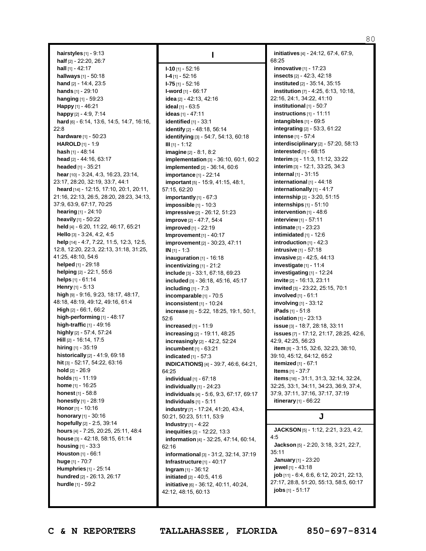80

**hairstyles** [1] - 9:13 **half** [2] - 22:20, 26:7 **hall** [1] - 42:17 **hallways** [1] - 50:18 **hand** [2] - 14:4, 23:5 **hands** [1] - 29:10 **hanging** [1] - 59:23 **Happy** [1] - 46:21 **happy** [2] - 4:9, 7:14 **hard** [6] - 6:14, 13:6, 14:5, 14:7, 16:16, 22:8 **hardware** [1] - 50:23 **HAROLD** [1] - 1:9 **hash** [1] - 48:14 **head** [2] - 44:16, 63:17 **headed** [1] - 35:21 **hear**[10] - 3:24, 4:3, 16:23, 23:14, 23:17, 28:20, 32:19, 33:7, 44:1 **heard** [14] - 12:15, 17:10, 20:1, 20:11, 21:16, 22:13, 26:5, 28:20, 28:23, 34:13, 37:9, 63:9, 67:17, 70:25 **hearing** [1] - 24:10 **heavily** [1] - 50:22 **held** [4] - 6:20, 11:22, 46:17, 65:21 **Hello** [3] - 3:24, 4:2, 4:5 **help** [14] - 4:7, 7:22, 11:5, 12:3, 12:5, 12:8, 12:20, 22:3, 22:13, 31:18, 31:25, 41:25, 48:10, 54:6 **helped** [1] - 29:18 **helping** [2] - 22:1, 55:6 **helps** [1] - 61:14 **Henry** [1] - 5:13 **high** [9] - 9:16, 9:23, 18:17, 48:17, 48:18, 48:19, 49:12, 49:16, 61:4 **High** [2] - 66:1, 66:2 **high-performing** [1] - 48:17 **high-traffic** [1] - 49:16 **highly** [2] - 57:4, 57:24 **Hill** [2] - 16:14, 17:5 **hiring** [1] - 35:19 **historically** [2] - 41:9, 69:18 **hit** [3] - 52:17, 54:22, 63:16 **hold** [2] - 26:9 **holds** [1] - 11:19 **home** [1] - 16:25 **honest** [1] - 58:8 **honestly** [1] - 28:19 **Honor** [1] - 10:16 **honorary** [1] - 30:16 **hopefully** [2] - 2:5, 39:14 **hours** [4] - 7:25, 20:25, 25:11, 48:4 **house** [3] - 42:18, 58:15, 61:14 **housing** [1] - 33:3 **Houston** [1] - 66:1 **huge** [1] - 70:7 **Humphries** [1] - 25:14 **hundred** [2] - 26:13, 26:17 **hurdle** [1] - 59:2

**I I-10** [1] - 52:16 **I-4** [1] - 52:16 **I-75** [1] - 52:16 **I-word** [1] - 66:17 **idea** [2] - 42:13, 42:16 **ideal** [1] - 63:5 **ideas** [1] - 47:11 **identified** [1] - 33:1 **identify** [2] - 48:18, 56:14 **identifying** [3] - 54:7, 54:13, 60:18 **III** [1] - 1:12 **imagine** [2] - 8:1, 8:2 **implementation** [3] - 36:10, 60:1, 60:2 **implemented** [2] - 36:14, 60:6 **importance** [1] - 22:14 **important** [5] - 15:9, 41:15, 48:1, 57:15, 62:20 **importantly** [1] - 67:3 **impossible** [1] - 10:3 **impressive** [2] - 26:12, 51:23 **improve** [2] - 47:7, 54:4 **improved** [1] - 22:19 **Improvement**[1] - 40:17 **improvement**[2] - 30:23, 47:11 **IN** [1] - 1:3 **inauguration** [1] - 16:18 **incentivizing** [1] - 21:2 **include** [3] - 33:1, 67:18, 69:23 **included** [3] - 36:18, 45:16, 45:17 **including** [1] - 7:3 **incomparable** [1] - 70:5 **inconsistent** [1] - 10:24 **increase** [5] - 5:22, 18:25, 19:1, 50:1, 52:6 **increased** [1] - 11:9 **increasing** [2] - 19:11, 48:25 **increasingly** [2] - 42:2, 52:24 **incumbent** [1] - 63:21 **indicated** [1] - 57:3 **INDICATIONS)** [4] - 39:7, 46:6, 64:21, 64:25 **individual** [1] - 67:18 **individually** [1] - 24:23 **individuals** [4] - 5:6, 9:3, 67:17, 69:17 **Individuals** [1] - 5:11 **industry** [7] - 17:24, 41:20, 43:4, 50:21, 50:23, 51:11, 53:9 **Industry** [1] - 4:22 **inequities** [2] - 12:22, 13:3 **information** [4] - 32:25, 47:14, 60:14, 62:16 **informational** [3] - 31:2, 32:14, 37:19 **Infrastructure** [1] - 40:17 **Ingram** [1] - 36:12 **initiated** [2] - 40:5, 41:6 **initiative** [6] - 36:12, 40:11, 40:24, 42:12, 48:15, 60:13

**initiatives** [4] - 24:12, 67:4, 67:9, 68:25 **innovative** [1] - 17:23 **insects** [2] - 42:3, 42:18 **instituted** [2] - 35:14, 35:15 **institution** [7] - 4:25, 6:13, 10:18, 22:16, 24:1, 34:22, 41:10 **institutional** [1] - 50:7 **instructions** [1] - 11:11 **intangibles** [1] - 69:5 **integrating** [2] - 53:3, 61:22 **intense** [1] - 57:4 **interdisciplinary** [2] - 57:20, 58:13 **interested** [1] - 68:15 **Interim** [3] - 11:3, 11:12, 33:22 **interim** [3] - 12:1, 33:25, 34:3 **internal** [1] - 31:15 **international** [1] - 44:18 **internationally** [1] - 41:7 **internship** [2] - 3:20, 51:15 **internships** [1] - 51:10 **intervention** [1] - 48:6 **interview** [1] - 57:11 **intimate** [1] - 23:23 **intimidated** [1] - 12:6 **introduction** [1] - 42:3 **intrusive** [1] - 57:18 **invasive** [2] - 42:5, 44:13 **investigate** [1] - 11:4 **investigating** [1] - 12:24 **invite** [2] - 16:13, 23:11 **invited** [3] - 23:22, 25:15, 70:1 **involved** [1] - 61:1 **involving** [1] - 33:12 **iPads** [1] - 51:8 **isolation** [1] - 23:13 **issue** [3] - 18:7, 28:18, 33:11 **issues** [7] - 17:12, 21:17, 28:25, 42:6, 42:9, 42:25, 56:23 **item** [8] - 3:15, 32:6, 32:23, 38:10, 39:10, 45:12, 64:12, 65:2 **itemized** [1] - 67:1 **Items** [1] - 37:7 **items** [16] - 31:1, 31:3, 32:14, 32:24, 32:25, 33:1, 34:11, 34:23, 36:9, 37:4, 37:9, 37:11, 37:16, 37:17, 37:19 **itinerary** [1] - 66:22

## **J**

**JACKSON** [5] - 1:12, 2:21, 3:23, 4:2, 4:5 **Jackson** [5] - 2:20, 3:18, 3:21, 22:7, 35:11 **January** [1] - 23:20 **jewel** [1] - 43:18 **job** [11] - 6:4, 6:6, 6:12, 20:21, 22:13, 27:17, 28:8, 51:20, 55:13, 58:5, 60:17 **jobs** [1] - 51:17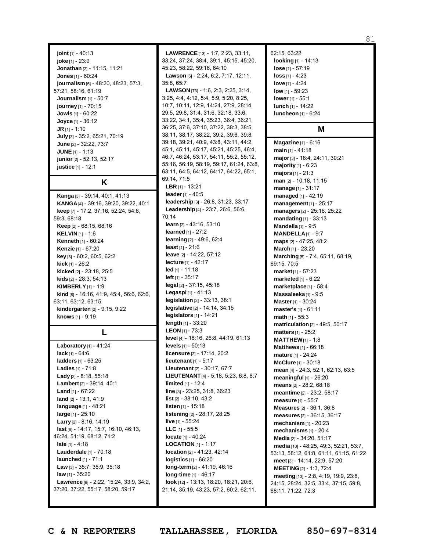**joint** [1] - 40:13 **joke** [1] - 23:9 **Jonathan** [2] - 11:15, 11:21 **Jones** [1] - 60:24 **journalism** [6] - 48:20, 48:23, 57:3, 57:21, 58:16, 61:19 **Journalism** [1] - 50:7 **journey** [1] - 70:15 **Jowls** [1] - 60:22 **Joyce** [1] - 36:12 **JR** [1] - 1:10 **July** [3] - 35:2, 65:21, 70:19 **June** [2] - 32:22, 73:7 **JUNE** [1] - 1:13 **junior** [2] - 52:13, 52:17 **justice** [1] - 12:1

**K**

**Kanga** [3] - 39:14, 40:1, 41:13 **KANGA** [4] - 39:16, 39:20, 39:22, 40:1 **keep** [7] - 17:2, 37:16, 52:24, 54:6, 59:3, 68:18 **Keep** [2] - 68:15, 68:16 **KELVIN** [1] - 1:6 **Kenneth** [1] - 60:24 **Kenzie** [1] - 67:20 **key** [3] - 60:2, 60:5, 62:2 **kick** [1] - 26:2 **kicked** [2] - 23:18, 25:5 **kids** [2] - 28:3, 54:13 **KIMBERLY** [1] - 1:9 **kind** [8] - 16:16, 41:9, 45:4, 56:6, 62:6, 63:11, 63:12, 63:15 **kindergarten** [2] - 9:15, 9:22 **knows** [1] - 9:19

# **L**

**Laboratory** [1] - 41:24 **lack** [1] - 64:6 **ladders** [1] - 63:25 **Ladies** [1] - 71:8 **Lady** [2] - 8:18, 55:18 **Lambert** [2] - 39:14, 40:1 **Land** [1] - 67:22 **land** [2] - 13:1, 41:9 **language** [1] - 48:21 **large** [1] - 25:10 **Larry** [2] - 8:16, 14:19 **last** [8] - 14:17, 15:7, 16:10, 46:13, 46:24, 51:19, 68:12, 71:2 **late** [1] - 4:18 **Lauderdale** [1] - 70:18 **launched** [1] - 71:1 **Law** [3] - 35:7, 35:9, 35:18 **law** [1] - 35:20 **Lawrence** [9] - 2:22, 15:24, 33:9, 34:2, 37:20, 37:22, 55:17, 58:20, 59:17

**LAWRENCE**[13] - 1:7, 2:23, 33:11, 33:24, 37:24, 38:4, 39:1, 45:15, 45:20, 45:23, 58:22, 59:16, 64:10 **Lawson** [6] - 2:24, 6:2, 7:17, 12:11, 35:8, 65:7 **LAWSON** [73] - 1:6, 2:3, 2:25, 3:14, 3:25, 4:4, 4:12, 5:4, 5:9, 5:20, 8:25, 10:7, 10:11, 12:9, 14:24, 27:9, 28:14, 29:5, 29:8, 31:4, 31:6, 32:18, 33:6, 33:22, 34:1, 35:4, 35:23, 36:4, 36:21, 36:25, 37:6, 37:10, 37:22, 38:3, 38:5, 38:11, 38:17, 38:22, 39:2, 39:6, 39:8, 39:18, 39:21, 40:9, 43:8, 43:11, 44:2, 45:1, 45:11, 45:17, 45:21, 45:25, 46:4, 46:7, 46:24, 53:17, 54:11, 55:2, 55:12, 55:16, 56:19, 58:19, 59:17, 61:24, 63:8, 63:11, 64:5, 64:12, 64:17, 64:22, 65:1, 69:14, 71:5 **LBR** [1] - 13:21 **leader**[1] - 40:5 **leadership** [3] - 26:8, 31:23, 33:17 **Leadership** [4] - 23:7, 26:6, 56:6, 70:14 **learn** [2] - 43:16, 53:10 **learned** [1] - 27:2 **learning** [2] - 49:6, 62:4 **least** [1] - 21:6 **leave** [2] - 14:22, 57:12 **lecture** [1] - 42:17 **led** [1] - 11:18 **left** [1] - 35:17 **legal** [2] - 37:15, 45:18 **Legaspi** [1] - 41:13 **legislation** [2] - 33:13, 38:1 **legislative** [2] - 14:14, 34:15 **legislators** [1] - 14:21 **length** [1] - 33:20 **LEON** [1] - 73:3 **level** [4] - 18:16, 26:8, 44:19, 61:13 **levels** [1] - 50:13 **licensure** [2] - 17:14, 20:2 **lieutenant** [1] - 5:17 **Lieutenant** [2] - 30:17, 67:7 **LIEUTENANT**[4] - 5:18, 5:23, 6:8, 8:7 **limited** [1] - 12:4 **line** [3] - 23:25, 31:8, 36:23 **list** [2] - 38:10, 43:2 **listen** [1] - 15:18 **listening** [2] - 28:17, 28:25 **live** [1] - 55:24 **LLC** [1] - 55:5 **locate** [1] - 40:24 **LOCATION** [1] - 1:17 **location** [2] - 41:23, 42:14 **logistics** [1] - 66:20 **long-term** [2] - 41:19, 46:16 **long-time** [1] - 46:17 **look** [12] - 13:13, 18:20, 18:21, 20:6, 21:14, 35:19, 43:23, 57:2, 60:2, 62:11,

62:15, 63:22 **looking** [1] - 14:13 **lose** [1] - 57:19 **loss** [1] - 4:23 **love** [1] - 4:24 **low** [1] - 59:23 **lower** [1] - 55:1 **lunch** [1] - 14:22 **luncheon** [1] - 6:24

## **M**

**Magazine** [1] - 6:16 **main** [1] - 41:18 **major**[3] - 18:4, 24:11, 30:21 **majority** [1] - 6:23 **majors** [1] - 21:3 **man** [2] - 10:18, 11:15 **manage** [1] - 31:17 **managed** [1] - 42:19 **management** [1] - 25:17 **managers** [2] - 25:16, 25:22 **mandating** [1] - 33:13 **Mandella** [1] - 9:5 **MANDELLA**[1] - 9:7 **maps** [2] - 47:25, 48:2 **March** [1] - 23:20 **Marching** [5] - 7:4, 65:11, 68:19, 69:15, 70:5 **market** [1] - 57:23 **marketed** [1] - 6:22 **marketplace** [1] - 58:4 **Massaleeka** [1] - 9:5 **Master**[1] - 30:24 **master's** [1] - 61:11 **math** [1] - 55:3 **matriculation** [2] - 49:5, 50:17 **matters** [1] - 25:2 **MATTHEW**[1] - 1:8 **Matthews** [1] - 66:18 **mature** [1] - 24:24 **McClure** [1] - 30:18 **mean** [4] - 24:3, 52:1, 62:13, 63:5 **meaningful** [1] - 26:20 **means** [2] - 28:2, 68:18 **meantime** [2] - 23:2, 58:17 **measure** [1] - 55:7 **Measures** [2] - 36:1, 36:8 **measures** [2] - 36:15, 36:17 **mechanism** [1] - 20:23 **mechanisms** [1] - 20:4 **Media** [2] - 34:20, 51:17 **media** [10] - 48:25, 49:3, 52:21, 53:7, 53:13, 58:12, 61:8, 61:11, 61:15, 61:22 **meet** [3] - 14:14, 22:9, 57:20 **MEETING** [2] - 1:3, 72:4 **meeting** [13] - 2:8, 4:19, 19:9, 23:8, 24:15, 28:24, 32:5, 33:4, 37:15, 59:8, 68:11, 71:22, 72:3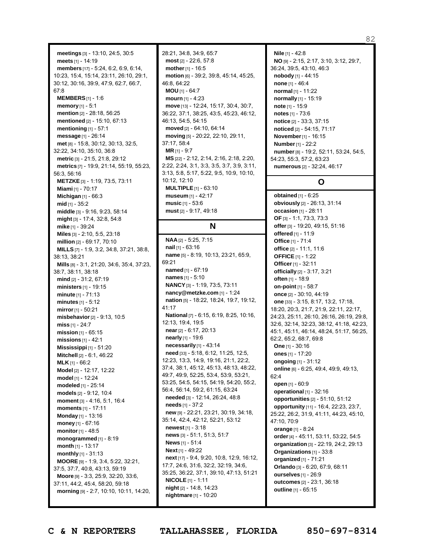**meetings** [3] - 13:10, 24:5, 30:5 **meets** [1] - 14:19 **members** [17] - 5:24, 6:2, 6:9, 6:14, 10:23, 15:4, 15:14, 23:11, 26:10, 29:1, 30:12, 30:16, 39:9, 47:9, 62:7, 66:7, 67:8 **MEMBERS**[1] - 1:6 **memory** [1] - 5:1 **mention** [2] - 28:18, 56:25 **mentioned** [2] - 15:10, 67:13 **mentioning** [1] - 57:1 **message** [1] - 26:14 **met** [8] - 15:8, 30:12, 30:13, 32:5, 32:22, 34:10, 35:10, 36:8 **metric** [3] - 21:5, 21:8, 29:12 **metrics** [7] - 19:9, 21:14, 55:19, 55:23, 56:3, 56:16 **METZKE**[3] - 1:19, 73:5, 73:11 **Miami** [1] - 70:17 **Michigan** [1] - 66:3 **mid** [1] - 35:2 **middle** [3] - 9:16, 9:23, 58:14 **might** [3] - 17:4, 32:8, 54:8 **mike** [1] - 39:24 **Miles** [3] - 2:10, 5:5, 23:18 **million** [2] - 69:17, 70:10 **MILLS** [7] - 1:9, 3:2, 34:8, 37:21, 38:8, 38:13, 38:21 **Mills** [8] - 3:1, 21:20, 34:6, 35:4, 37:23, 38:7, 38:11, 38:18 **mind** [2] - 31:2, 67:19 **ministers** [1] - 19:15 **minute** [1] - 71:13 **minutes** [1] - 5:12 **mirror**[1] - 50:21 **misbehavior**[2] - 9:13, 10:5 **miss** [1] - 24:7 **mission** [1] - 65:15 **missions** [1] - 42:1 **Mississippi** [1] - 51:20 **Mitchell** [2] - 6:1, 46:22 **MLK** [1] - 66:2 **Model** [2] - 12:17, 12:22 **model** [1] - 12:24 **modeled** [1] - 25:14 **models** [2] - 9:12, 10:4 **moment** [3] - 4:16, 5:1, 16:4 **moments** [1] - 17:11 **Monday** [1] - 13:16 **money** [1] - 67:16 **monitor** [1] - 48:5 **monogrammed** [1] - 8:19 **month** [1] - 13:17 **monthly** [1] - 31:13 **MOORE** [9] - 1:9, 3:4, 5:22, 32:21, 37:5, 37:7, 40:8, 43:13, 59:19 **Moore** [9] - 3:3, 25:9, 32:20, 33:6, 37:11, 44:2, 45:4, 58:20, 59:18 **morning** [9] - 2:7, 10:10, 10:11, 14:20,

28:21, 34:8, 34:9, 65:7 **most** [2] - 22:6, 57:8 **mother**[1] - 16:5 **motion** [6] - 39:2, 39:8, 45:14, 45:25, 46:8, 64:22 **MOU** [1] - 64:7 **mourn** [1] - 4:23 **move** [13] - 12:24, 15:17, 30:4, 30:7, 36:22, 37:1, 38:25, 43:5, 45:23, 46:12, 46:13, 54:5, 54:15 **moved** [2] - 64:10, 64:14 **moving** [5] - 20:22, 22:10, 29:11, 37:17, 58:4 **MR** [1] - 9:7 **MS** [22] - 2:12, 2:14, 2:16, 2:18, 2:20, 2:22, 2:24, 3:1, 3:3, 3:5, 3:7, 3:9, 3:11, 3:13, 5:8, 5:17, 5:22, 9:5, 10:9, 10:10, 10:12, 12:10 **MULTIPLE** [1] - 63:10 **museum** [1] - 42:17 **music** [1] - 53:6 **must** [2] - 9:17, 49:18

## **N**

**NAA** [2] - 5:25, 7:15 **nail** [1] - 63:16 **name** [5] - 8:19, 10:13, 23:21, 65:9, 69:21 **named** [1] - 67:19 **names** [1] - 5:10 **NANCY**[3] - 1:19, 73:5, 73:11 **nancy@metzke.com** [1] - 1:24 **nation** [5] - 18:22, 18:24, 19:7, 19:12, 41:17 **National** [7] - 6:15, 6:19, 8:25, 10:16, 12:13, 19:4, 19:5 **near**[2] - 6:17, 20:13 **nearly** [1] - 19:6 **necessarily** [1] - 43:14 **need** [33] - 5:18, 6:12, 11:25, 12:5, 12:23, 13:3, 14:9, 19:16, 21:1, 22:2, 37:4, 38:1, 45:12, 45:13, 48:13, 48:22, 49:7, 49:9, 52:25, 53:4, 53:9, 53:21, 53:25, 54:5, 54:15, 54:19, 54:20, 55:2, 56:4, 56:14, 59:2, 61:15, 63:24 **needed** [3] - 12:14, 26:24, 48:8 **needs** [1] - 37:2 **new** [9] - 22:21, 23:21, 30:19, 34:18, 35:14, 42:4, 42:12, 52:21, 53:12 **newest** [1] - 3:18 **news** [3] - 51:1, 51:3, 51:7 **News** [1] - 51:4 **Next** [1] - 49:22 **next** [17] - 9:4, 9:20, 10:8, 12:9, 16:12, 17:7, 24:6, 31:6, 32:2, 32:19, 34:6, 35:25, 36:22, 37:1, 39:10, 47:13, 51:21 **NICOLE** [1] - 1:11 **night** [2] - 14:8, 14:23 **nightmare** [1] - 10:20

**Nile** [1] - 42:8 **NO** [9] - 2:15, 2:17, 3:10, 3:12, 29:7, 36:24, 39:5, 43:10, 46:3 **nobody** [1] - 44:15 **none** [1] - 46:4 **normal** [1] - 11:22 **normally** [1] - 15:19 **note** [1] - 15:9 **notes** [1] - 73:6 **notice** [2] - 33:3, 37:15 **noticed** [2] - 54:15, 71:17 **November**[1] - 16:15 **Number**[1] - 22:2 **number**[8] - 19:2, 52:11, 53:24, 54:5, 54:23, 55:3, 57:2, 63:23 **numerous** [2] - 32:24, 46:17

## **O**

**obtained** [1] - 6:25 **obviously** [2] - 26:13, 31:14 **occasion** [1] - 28:11 **OF** [3] - 1:1, 73:3, 73:3 **offer**[3] - 19:20, 49:15, 51:16 **offered** [1] - 11:9 **Office** [1] - 71:4 **office** [2] - 11:1, 11:6 **OFFICE** [1] - 1:22 **Officer**[1] - 32:11 **officially** [2] - 3:17, 3:21 **often** [1] - 18:9 **on-point** [1] - 58:7 **once** [2] - 30:10, 44:19 **one** [33] - 3:15, 8:17, 13:2, 17:18, 18:20, 20:3, 21:7, 21:9, 22:11, 22:17, 24:23, 25:11, 26:10, 26:16, 26:19, 29:8, 32:6, 32:14, 32:23, 38:12, 41:18, 42:23, 45:1, 45:11, 46:14, 48:24, 51:17, 56:25, 62:2, 65:2, 68:7, 69:8 **One** [1] - 30:16 **ones** [1] - 17:20 **ongoing** [1] - 31:12 **online** [6] - 6:25, 49:4, 49:9, 49:13, 62:4 **open** [1] - 60:9 **operational** [1] - 32:16 **opportunities** [2] - 51:10, 51:12 **opportunity** [11] - 16:4, 22:23, 23:7, 25:22, 26:2, 31:9, 41:11, 44:23, 45:10, 47:10, 70:9 **orange** [1] - 8:24 **order**[4] - 45:11, 53:11, 53:22, 54:5 **organization** [3] - 22:19, 24:2, 29:13 **Organizations** [1] - 33:8 **organized** [1] - 71:21 **Orlando** [3] - 6:20, 67:9, 68:11 **ourselves** [1] - 26:9 **outcomes** [2] - 23:1, 36:18 **outline** [1] - 65:15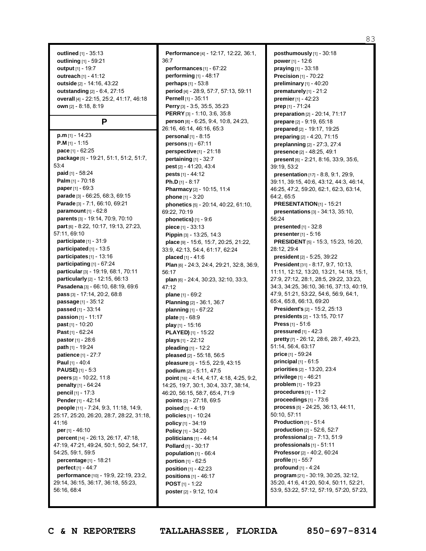**outlined** [1] - 35:13 **outlining** [1] - 59:21 **output** [1] - 19:7 **outreach** [1] - 41:12 **outside** [2] - 14:16, 43:22 **outstanding** [2] - 6:4, 27:15 **overall** [4] - 22:15, 25:2, 41:17, 46:18 **own** [2] - 8:18, 8:19

### **P**

**p.m** [1] - 14:23 **P.M** [1] - 1:15 **pace** [1] - 62:25 **package** [5] - 19:21, 51:1, 51:2, 51:7, 53:4 **paid** [1] - 58:24 **Palm** [1] - 70:18 **paper**[1] - 69:3 **parade** [3] - 66:25, 68:3, 69:15 **Parade** [3] - 7:1, 66:10, 69:21 **paramount** [1] - 62:8 **parents** [3] - 19:14, 70:9, 70:10 **part** [6] - 8:22, 10:17, 19:13, 27:23, 57:11, 69:10 **participate** [1] - 31:9 **participated** [1] - 13:5 **participates** [1] - 13:16 **participating** [1] - 67:24 **particular**[3] - 19:19, 68:1, 70:11 **particularly** [2] - 12:15, 66:13 **Pasadena** [3] - 66:10, 68:19, 69:6 **pass** [3] - 17:14, 20:2, 68:8 **passage** [1] - 35:12 **passed** [1] - 33:14 **passion** [1] - 11:17 **past** [1] - 10:20 **Past** [1] - 62:24 **pastor**[1] - 28:6 **path** [1] - 19:24 **patience** [1] - 27:7 **Paul** [1] - 40:4 **PAUSE)** [1] - 5:3 **peers** [2] - 10:22, 11:8 **penalty** [1] - 64:24 **pencil** [1] - 17:3 **Pender**[1] - 42:14 **people** [11] - 7:24, 9:3, 11:18, 14:9, 25:17, 25:20, 26:20, 28:7, 28:22, 31:18, 41:16 **per**[1] - 46:10 **percent** [14] - 26:13, 26:17, 47:18, 47:19, 47:21, 49:24, 50:1, 50:2, 54:17, 54:25, 59:1, 59:5 **percentage** [1] - 18:21 **perfect** [1] - 44:7 **performance** [10] - 19:9, 22:19, 23:2, 29:14, 36:15, 36:17, 36:18, 55:23, 56:16, 68:4

**Performance** [4] - 12:17, 12:22, 36:1, 36:7 **performances** [1] - 67:22 **performing** [1] - 48:17 **perhaps** [1] - 53:8 **period** [4] - 28:9, 57:7, 57:13, 59:11 **Pernell** [1] - 35:11 **Perry** [3] - 3:5, 35:5, 35:23 **PERRY** [3] - 1:10, 3:6, 35:8 **person** [8] - 6:25, 9:4, 10:8, 24:23, 26:16, 46:14, 46:16, 65:3 **personal** [1] - 8:15 **persons** [1] - 67:11 **perspective** [1] - 21:18 **pertaining** [1] - 32:7 **pest** [2] - 41:20, 43:4 **pests** [1] - 44:12 **Ph.D** [1] - 8:17 **Pharmacy** [2] - 10:15, 11:4 **phone** [1] - 3:20 **phonetics** [5] - 20:14, 40:22, 61:10, 69:22, 70:19 **phonetics)** [1] - 9:6 **piece** [1] - 33:13 **Pippin** [3] - 13:25, 14:3 **place** [9] - 15:6, 15:7, 20:25, 21:22, 33:9, 42:13, 54:4, 61:17, 62:24 **placed** [1] - 41:6 **Plan** [6] - 24:3, 24:4, 29:21, 32:8, 36:9, 56:17 **plan** [6] - 24:4, 30:23, 32:10, 33:3, 47:12 **plane** [1] - 69:2 **Planning** [2] - 36:1, 36:7 **planning** [1] - 67:22 **plate** [1] - 68:9 **play** [1] - 15:16 **PLAYED)** [1] - 15:22 **plays** [1] - 22:12 **pleading** [1] - 12:2 **pleased** [2] - 55:18, 56:5 **pleasure** [3] - 15:5, 22:9, 43:15 **podium** [2] - 5:11, 47:5 **point** [16] - 4:14, 4:17, 4:18, 4:25, 9:2, 14:25, 19:7, 30:1, 30:4, 33:7, 38:14, 46:20, 56:15, 58:7, 65:4, 71:9 **points** [2] - 27:18, 69:5 **poised** [1] - 4:19 **policies** [1] - 10:24 **policy** [1] - 34:19 **Policy** [1] - 34:20 **politicians** [1] - 44:14 **Pollard** [1] - 30:17 **population** [1] - 66:4 **portion** [1] - 62:5 **position** [1] - 42:23 **positions** [1] - 46:17 **POST** [1] - 1:22 **poster**[2] - 9:12, 10:4

**posthumously** [1] - 30:18 **power** [1] - 12:6 **praying** [1] - 33:18 **Precision** [1] - 70:22 **preliminary** [1] - 40:20 **prematurely** [1] - 21:2 **premier**[1] - 42:23 **prep** [1] - 71:24 **preparation** [2] - 20:14, 71:17 **prepare** [2] - 9:19, 65:18 **prepared** [2] - 19:17, 19:25 **preparing** [2] - 4:20, 71:15 **preplanning** [2] - 27:3, 27:4 **presence** [2] - 48:25, 49:1 **present** [6] - 2:21, 8:16, 33:9, 35:6, 39:19, 53:2 **presentation** [17] - 8:8, 9:1, 29:9, 39:11, 39:15, 40:6, 43:12, 44:3, 46:14, 46:25, 47:2, 59:20, 62:1, 62:3, 63:14, 64:2, 65:5 **PRESENTATION**[1] - 15:21 **presentations** [3] - 34:13, 35:10, 56:24 **presented** [1] - 32:8 **presenter**[1] - 5:16 **PRESIDENT** [5] - 15:3, 15:23, 16:20, 28:12, 29:4 **president** [2] - 5:25, 39:22 **President** [31] - 8:17, 9:7, 10:13, 11:11, 12:12, 13:20, 13:21, 14:18, 15:1, 27:9, 27:12, 28:1, 28:5, 29:22, 33:23, 34:3, 34:25, 36:10, 36:16, 37:13, 40:19, 47:9, 51:21, 53:22, 54:6, 56:9, 64:1, 65:4, 65:8, 66:13, 69:20 **President's** [2] - 15:2, 25:13 **presidents** [2] - 13:15, 70:17 **Press** [1] - 51:6 **pressured** [1] - 42:3 **pretty** [7] - 26:12, 28:6, 28:7, 49:23, 51:14, 56:4, 63:17 **price** [1] - 59:24 **principal** [1] - 61:5 **priorities** [2] - 13:20, 23:4 **privilege** [1] - 46:21 **problem** [1] - 19:23 **procedures** [1] - 11:2 **proceedings** [1] - 73:6 **process** [5] - 24:25, 36:13, 44:11, 50:10, 57:11 **Production** [1] - 51:4 **production** [2] - 52:6, 52:7 **professional** [2] - 7:13, 51:9 **professionals** [1] - 51:11 **Professor**[2] - 40:2, 60:24 **profile** [1] - 55:7 **profound** [1] - 4:24 **program** [21] - 30:19, 30:25, 32:12, 35:20, 41:6, 41:20, 50:4, 50:11, 52:21, 53:9, 53:22, 57:12, 57:19, 57:20, 57:23,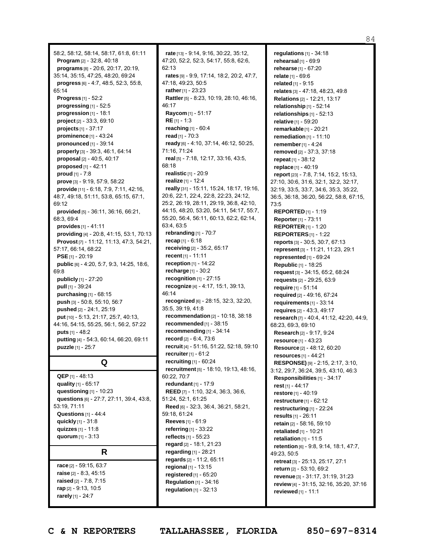58:2, 58:12, 58:14, 58:17, 61:8, 61:11 **Program** [2] - 32:8, 40:18 **programs** [8] - 20:6, 20:17, 20:19, 35:14, 35:15, 47:25, 48:20, 69:24 **progress** [6] - 4:7, 48:5, 52:3, 55:8, 65:14 **Progress** [1] - 52:2 **progressing** [1] - 52:5 **progression** [1] - 18:1 **project** [2] - 33:3, 69:10 **projects** [1] - 37:17 **prominence** [1] - 43:24 **pronounced** [1] - 39:14 **properly** [3] - 39:3, 46:1, 64:14 **proposal** [2] - 40:5, 40:17 **proposed** [1] - 42:11 **proud** [1] - 7:8 **prove** [3] - 9:19, 57:9, 58:22 **provide** [11] - 6:18, 7:9, 7:11, 42:16, 48:7, 49:18, 51:11, 53:8, 65:15, 67:1, 69:12 **provided** [5] - 36:11, 36:16, 66:21, 68:3, 69:4 **provides** [1] - 41:11 **providing** [4] - 20:8, 41:15, 53:1, 70:13 **Provost** [7] - 11:12, 11:13, 47:3, 54:21, 57:17, 66:14, 68:22 **PSE** [1] - 20:19 **public** [6] - 4:20, 5:7, 9:3, 14:25, 18:6, 69:8 **publicly** [1] - 27:20 **pull** [1] - 39:24 **purchasing** [1] - 68:15 **push** [3] - 50:8, 55:10, 56:7 **pushed** [2] - 24:1, 25:19 **put** [10] - 5:13, 21:17, 25:7, 40:13, 44:16, 54:15, 55:25, 56:1, 56:2, 57:22 **puts** [1] - 48:2 **putting** [4] - 54:3, 60:14, 66:20, 69:11 **puzzle** [1] - 25:7

**Q**

**QEP** [1] - 48:13 **quality** [1] - 65:17 **questioning** [1] - 10:23 **questions** [6] - 27:7, 27:11, 39:4, 43:8, 53:19, 71:11 **Questions** [1] - 44:4 **quickly** [1] - 31:8 **quizzes** [1] - 11:8 **quorum** [1] - 3:13 **R**

**race** [2] - 59:15, 63:7 **raise** [2] - 8:3, 45:15 **raised** [2] - 7:8, 7:15 **rap** [2] - 9:13, 10:5 **rarely** [1] - 24:7

**rate** [13] - 9:14, 9:16, 30:22, 35:12, 47:20, 52:2, 52:3, 54:17, 55:8, 62:6, 62:13 **rates** [9] - 9:9, 17:14, 18:2, 20:2, 47:7, 47:18, 49:23, 50:5 **rather**[1] - 23:23 **Rattler**[5] - 8:23, 10:19, 28:10, 46:16, 46:17 **Raycom** [1] - 51:17 **RE** [1] - 1:3 **reaching** [1] - 60:4 **read** [1] - 70:3 **ready** [6] - 4:10, 37:14, 46:12, 50:25, 71:16, 71:24 **real** [5] - 7:18, 12:17, 33:16, 43:5, 68:18 **realistic** [1] - 20:9 **realize** [1] - 12:4 **really** [31] - 15:11, 15:24, 18:17, 19:16, 20:6, 22:1, 22:4, 22:8, 22:23, 24:12, 25:2, 26:19, 28:11, 29:19, 36:8, 42:10, 44:15, 48:20, 53:20, 54:11, 54:17, 55:7, 55:20, 56:4, 56:11, 60:13, 62:2, 62:14, 63:4, 63:5 **rebranding** [1] - 70:7 **recap** [1] - 6:18 **receiving** [2] - 35:2, 65:17 **recent** [1] - 11:11 **reception** [1] - 14:22 **recharge** [1] - 30:2 **recognition** [1] - 27:15 **recognize** [4] - 4:17, 15:1, 39:13, 46:14 **recognized** [6] - 28:15, 32:3, 32:20, 35:5, 39:19, 41:8 **recommendation** [2] - 10:18, 38:18 **recommended** [1] - 38:15 **recommending** [1] - 34:14 **record** [2] - 6:4, 73:6 **recruit** [4] - 51:16, 51:22, 52:18, 59:10 **recruiter**[1] - 61:2 **recruiting** [1] - 60:24 **recruitment** [5] - 18:10, 19:13, 48:16, 60:22, 70:7 **redundant** [1] - 17:9 **REED** [7] - 1:10, 32:4, 36:3, 36:6, 51:24, 52:1, 61:25 **Reed** [6] - 32:3, 36:4, 36:21, 58:21, 59:18, 61:24 **Reeves** [1] - 61:9 **referring** [1] - 33:22 **reflects** [1] - 55:23 **regard** [2] - 18:1, 21:23 **regarding** [1] - 28:21 **regards** [2] - 11:2, 65:11 **regional** [1] - 13:15 **registered** [1] - 65:20 **Regulation** [1] - 34:16 **regulation** [1] - 32:13

**regulations** [1] - 34:18 **rehearsal** [1] - 69:9 **rehearse** [1] - 67:20 **relate** [1] - 69:6 **related** [1] - 9:15 **relates** [3] - 47:18, 48:23, 49:8 **Relations** [2] - 12:21, 13:17 **relationship** [1] - 52:14 **relationships** [1] - 52:13 **relative** [1] - 59:20 **remarkable** [1] - 20:21 **remediation** [1] - 11:10 **remember**[1] - 4:24 **removed** [2] - 37:3, 37:18 **repeat** [1] - 38:12 **replace** [1] - 40:19 **report** [23] - 7:8, 7:14, 15:2, 15:13, 27:10, 30:6, 31:6, 32:1, 32:2, 32:17, 32:19, 33:5, 33:7, 34:6, 35:3, 35:22, 36:5, 36:18, 36:20, 56:22, 58:8, 67:15, 73:5 **REPORTED** [1] - 1:19 **Reporter**[1] - 73:11 **REPORTER** [1] - 1:20 **REPORTERS**[1] - 1:22 **reports** [3] - 30:5, 30:7, 67:13 **represent** [3] - 11:21, 11:23, 29:1 **represented** [1] - 69:24 **Republic** [1] - 18:25 **request** [3] - 34:15, 65:2, 68:24 **requests** [2] - 29:25, 63:9 **require** [1] - 51:14 **required** [2] - 49:16, 67:24 **requirements** [1] - 33:14 **requires** [2] - 43:3, 49:17 **research** [7] - 40:4, 41:12, 42:20, 44:9, 68:23, 69:3, 69:10 **Research** [2] - 9:17, 9:24 **resource** [1] - 43:23 **Resource** [2] - 48:12, 60:20 **resources** [1] - 44:21 **RESPONSE)** [9] - 2:15, 2:17, 3:10, 3:12, 29:7, 36:24, 39:5, 43:10, 46:3 **Responsibilities** [1] - 34:17 **rest** [1] - 44:17 **restore** [1] - 40:19 **restructure** [1] - 62:12 **restructuring** [1] - 22:24 **results** [1] - 26:11 **retain** [2] - 58:16, 59:10 **retaliated** [1] - 10:21 **retaliation** [1] - 11:5 **retention** [6] - 9:8, 9:14, 18:1, 47:7, 49:23, 50:5 **retreat** [3] - 25:13, 25:17, 27:1 **return** [2] - 53:10, 69:2 **revenue** [3] - 31:17, 31:19, 31:23 **review** [4] - 31:15, 32:16, 35:20, 37:16 **reviewed** [1] - 11:1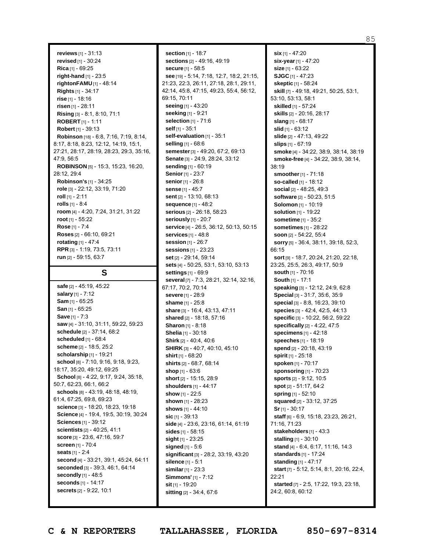**reviews** [1] - 31:13 **revised** [1] - 30:24 **Rica** [1] - 69:25 **right-hand** [1] - 23:5 **rightonFAMU** [1] - 48:14 **Rights** [1] - 34:17 **rise** [1] - 18:16 **risen** [1] - 28:11 **Rising** [3] - 8:1, 8:10, 71:1 **ROBERT** [1] - 1:11 **Robert** [1] - 39:13 **Robinson** [18] - 6:8, 7:16, 7:19, 8:14, 8:17, 8:18, 8:23, 12:12, 14:19, 15:1, 27:21, 28:17, 28:19, 28:23, 29:3, 35:16, 47:9, 56:5 **ROBINSON** [5] - 15:3, 15:23, 16:20, 28:12, 29:4 **Robinson's** [1] - 34:25 **role** [3] - 22:12, 33:19, 71:20 **roll** [1] - 2:11 **rolls** [1] - 8:4 **room** [4] - 4:20, 7:24, 31:21, 31:22 **root** [1] - 55:22 **Rose** [1] - 7:4 **Roses** [2] - 66:10, 69:21 **rotating** [1] - 47:4 **RPR** [3] - 1:19, 73:5, 73:11

**S**

**run** [2] - 59:15, 63:7

**safe** [2] - 45:19, 45:22 **salary** [1] - 7:12 **Sam** [1] - 65:25 **San** [1] - 65:25 **Save** [1] - 7:3 **saw** [4] - 31:10, 31:11, 59:22, 59:23 **schedule** [2] - 37:14, 68:2 **scheduled** [1] - 68:4 **scheme** [2] - 18:5, 25:2 **scholarship** [1] - 19:21 **school** [8] - 7:10, 9:16, 9:18, 9:23, 18:17, 35:20, 49:12, 69:25 **School** [8] - 4:22, 9:17, 9:24, 35:18, 50:7, 62:23, 66:1, 66:2 **schools** [8] - 43:19, 48:18, 48:19, 61:4, 67:25, 69:8, 69:23 **science** [3] - 18:20, 18:23, 19:18 **Science** [4] - 19:4, 19:5, 30:19, 30:24 **Sciences** [1] - 39:12 **scientists** [2] - 40:25, 41:1 **score** [3] - 23:6, 47:16, 59:7 **screen** [1] - 70:4 **seats** [1] - 2:4 **second** [4] - 33:21, 39:1, 45:24, 64:11 **seconded** [3] - 39:3, 46:1, 64:14 **secondly** [1] - 48:5 **seconds** [1] - 14:17 **secrets** [2] - 9:22, 10:1

**section** [1] - 18:7 **sections** [2] - 49:16, 49:19 **secure** [1] - 58:5 **see** [19] - 5:14, 7:18, 12:7, 18:2, 21:15, 21:23, 22:3, 26:11, 27:18, 28:1, 29:11, 42:14, 45:8, 47:15, 49:23, 55:4, 56:12, 69:15, 70:11 **seeing** [1] - 43:20 **seeking** [1] - 9:21 **selection** [1] - 71:6 **self** [1] - 35:1 **self-evaluation** [1] - 35:1 **selling** [1] - 68:6 **semester**[3] - 49:20, 67:2, 69:13 **Senate** [3] - 24:9, 28:24, 33:12 **sending** [1] - 60:19 **Senior**[1] - 23:7 **senior**[1] - 26:8 **sense** [1] - 45:7 **sent** [2] - 13:10, 68:13 **sequence** [1] - 48:2 **serious** [2] - 26:18, 58:23 **seriously** [1] - 20:7 **service** [4] - 26:5, 36:12, 50:13, 50:15 **services** [1] - 48:8 **session** [1] - 26:7 **sessions** [1] - 23:23 **set** [2] - 29:14, 59:14 **sets** [4] - 50:25, 53:1, 53:10, 53:13 **settings** [1] - 69:9 **several** [7] - 7:3, 28:21, 32:14, 32:16, 67:17, 70:2, 70:14 **severe** [1] - 28:9 **shame** [1] - 25:8 **share** [3] - 16:4, 43:13, 47:11 **shared** [2] - 18:18, 57:16 **Sharon** [1] - 8:18 **Shelia** [1] - 30:18 **Shirk** [2] - 40:4, 40:6 **SHIRK** [3] - 40:7, 40:10, 45:10 **shirt** [1] - 68:20 **shirts** [2] - 68:7, 68:14 **shop** [1] - 63:6 **short** [2] - 15:15, 28:9 **shoulders** [1] - 44:17 **show** [1] - 22:5 **shown** [1] - 28:23 **shows** [1] - 44:10 **sic** [1] - 39:13 **side** [4] - 23:6, 23:16, 61:14, 61:19 **sides** [1] - 58:15 **sight** [1] - 23:25 **signed** [1] - 5:6 **significant** [3] - 28:2, 33:19, 43:20 **silence** [1] - 5:1 **similar**[1] - 23:3 **Simmons'** [1] - 7:12 **sit** [1] - 19:20 **sitting** [2] - 34:4, 67:6

**six** [1] - 47:20 **six-year**[1] - 47:20 **size** [1] - 63:22 **SJGC** [1] - 47:23 **skeptic** [1] - 58:24 **skill** [7] - 49:18, 49:21, 50:25, 53:1, 53:10, 53:13, 58:1 **skilled** [1] - 57:24 **skills** [2] - 20:16, 28:17 **slang** [1] - 68:17 **slid** [1] - 63:12 **slide** [2] - 47:13, 49:22 **slips** [1] - 67:19 **smoke** [4] - 34:22, 38:9, 38:14, 38:19 **smoke-free** [4] - 34:22, 38:9, 38:14, 38:19 **smoother**[1] - 71:18 **so-called** [1] - 18:12 **social** [2] - 48:25, 49:3 **software** [2] - 50:23, 51:5 **Solomon** [1] - 10:19 **solution** [1] - 19:22 **sometime** [1] - 35:2 **sometimes** [1] - 28:22 **soon** [2] - 54:22, 55:4 **sorry** [5] - 36:4, 38:11, 39:18, 52:3, 66:15 **sort** [9] - 18:7, 20:24, 21:20, 22:18, 23:25, 25:5, 26:3, 49:17, 50:9 **south** [1] - 70:16 **South** [1] - 17:1 **speaking** [3] - 12:12, 24:9, 62:8 **Special** [3] - 31:7, 35:6, 35:9 **special** [3] - 8:8, 16:23, 39:10 **species** [3] - 42:4, 42:5, 44:13 **specific** [3] - 10:22, 56:2, 59:22 **specifically** [2] - 4:22, 47:5 **specimens** [1] - 42:18 **speeches** [1] - 18:19 **spend** [2] - 20:18, 43:19 **spirit** [1] - 25:18 **spoken** [1] - 70:17 **sponsoring** [1] - 70:23 **sports** [2] - 9:12, 10:5 **spot** [2] - 51:17, 64:2 **spring** [1] - 52:10 **squared** [2] - 33:12, 37:25 **Sr**[1] - 30:17 **staff** [6] - 6:9, 15:18, 23:23, 26:21, 71:16, 71:23 **stakeholders** [1] - 43:3 **stalling** [1] - 30:10 **stand** [4] - 6:4, 6:17, 11:16, 14:3 **standards** [1] - 17:24 **standing** [1] - 47:17 **start** [7] - 5:12, 5:14, 8:1, 20:16, 22:4, 22:21 **started** [7] - 2:5, 17:22, 19:3, 23:18, 24:2, 60:8, 60:12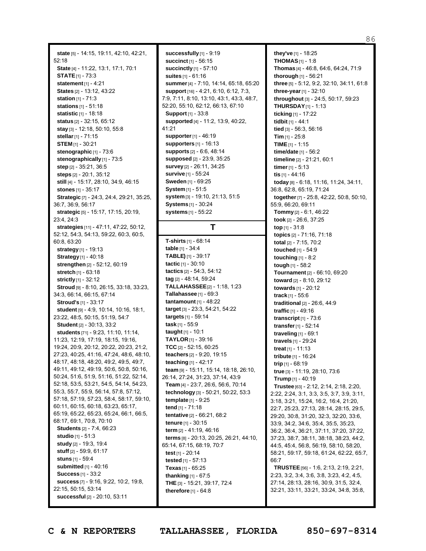**state** [5] - 14:15, 19:11, 42:10, 42:21, 52:18 **State** [4] - 11:22, 13:1, 17:1, 70:1 **STATE**[1] - 73:3 **statement** [1] - 4:21 **States** [2] - 13:12, 43:22 **station** [1] - 71:3 **stations** [1] - 51:18 **statistic** [1] - 18:18 **status** [2] - 32:15, 65:12 **stay** [3] - 12:18, 50:10, 55:8 **stellar**[1] - 71:15 **STEM** [1] - 30:21 **stenographic** [1] - 73:6 **stenographically** [1] - 73:5 **step** [2] - 35:21, 36:5 **steps** [2] - 20:1, 35:12 **still** [4] - 15:17, 28:10, 34:9, 46:15 **stones** [1] - 35:17 **Strategic** [7] - 24:3, 24:4, 29:21, 35:25, 36:7, 36:9, 56:17 **strategic** [5] - 15:17, 17:15, 20:19, 23:4, 24:3 **strategies** [11] - 47:11, 47:22, 50:12, 52:12, 54:3, 54:13, 59:22, 60:3, 60:5, 60:8, 63:20 **strategy** [1] - 19:13 **Strategy** [1] - 40:18 **strengthen** [2] - 52:12, 60:19 **stretch** [1] - 63:18 **strictly** [1] - 32:12 **Stroud** [9] - 8:10, 26:15, 33:18, 33:23, 34:3, 66:14, 66:15, 67:14 **Stroud's** [1] - 33:17 **student** [9] - 4:9, 10:14, 10:16, 18:1, 23:22, 48:5, 50:15, 51:19, 54:7 **Student** [2] - 30:13, 33:2 **students** [71] - 9:23, 11:10, 11:14, 11:23, 12:19, 17:19, 18:15, 19:16, 19:24, 20:9, 20:12, 20:22, 20:23, 21:2, 27:23, 40:25, 41:16, 47:24, 48:6, 48:10, 48:17, 48:18, 48:20, 49:2, 49:5, 49:7, 49:11, 49:12, 49:19, 50:6, 50:8, 50:16, 50:24, 51:6, 51:9, 51:16, 51:22, 52:14, 52:18, 53:5, 53:21, 54:5, 54:14, 54:23, 55:3, 55:7, 55:9, 56:14, 57:8, 57:12, 57:18, 57:19, 57:23, 58:4, 58:17, 59:10, 60:11, 60:15, 60:18, 63:23, 65:17, 65:19, 65:22, 65:23, 65:24, 66:1, 66:5, 68:17, 69:1, 70:8, 70:10 **Students** [2] - 7:4, 66:23 **studio** [1] - 51:3 **study** [2] - 19:3, 19:4 **stuff** [2] - 59:9, 61:17 **stuns** [1] - 59:4 **submitted** [1] - 40:16 **Success** [1] - 33:2 **success** [7] - 9:16, 9:22, 10:2, 19:8, 22:15, 50:15, 53:14 **successful** [2] - 20:10, 53:11

**successfully** [1] - 9:19 **succinct** [1] - 56:15 **succinctly** [1] - 57:10 **suites** [1] - 61:16 **summer**[4] - 7:10, 14:14, 65:18, 65:20 **support** [16] - 4:21, 6:10, 6:12, 7:3, 7:9, 7:11, 8:10, 13:10, 43:1, 43:3, 48:7, 52:20, 55:10, 62:12, 66:13, 67:10 **Support** [1] - 33:8 **supported** [4] - 11:2, 13:9, 40:22, 41:21 **supporter**[1] - 46:19 **supporters** [1] - 16:13 **supports** [2] - 6:6, 48:14 **supposed** [2] - 23:9, 35:25 **survey** [2] - 26:11, 34:25 **survive** [1] - 55:24 **Sweden** [1] - 69:25 **System** [1] - 51:5 **system** [3] - 19:10, 21:13, 51:5 **Systems** [1] - 30:24 **systems** [1] - 55:22

## **T**

**T-shirts** [1] - 68:14 **table** [1] - 34:4 **TABLE)** [1] - 39:17 **tactic** [1] - 30:10 **tactics** [2] - 54:3, 54:12 **tag** [2] - 48:14, 59:24 **TALLAHASSEE**[2] - 1:18, 1:23 **Tallahassee** [1] - 69:3 **tantamount** [1] - 48:22 **target** [3] - 23:3, 54:21, 54:22 **targets** [1] - 59:14 **task** [1] - 55:9 **taught** [1] - 10:1 **TAYLOR** [1] - 39:16 **TCC** [2] - 52:15, 60:25 **teachers** [2] - 9:20, 19:15 **teaching** [1] - 42:17 **team** [9] - 15:11, 15:14, 18:18, 26:10, 26:14, 27:24, 31:23, 37:14, 43:9 **Team** [4] - 23:7, 26:6, 56:6, 70:14 **technology** [3] - 50:21, 50:22, 53:3 **template** [1] - 9:25 **tend** [1] - 71:18 **tentative** [2] - 66:21, 68:2 **tenure** [1] - 30:15 **term** [2] - 41:19, 46:16 **terms** [8] - 20:13, 20:25, 26:21, 44:10, 65:14, 67:15, 68:19, 70:7 **test** [1] - 20:14 **tested** [1] - 57:13 **Texas** [1] - 65:25 **thanking** [1] - 67:5 **THE** [3] - 15:21, 39:17, 72:4 **therefore** [1] - 64:8

**they've** [1] - 18:25 **THOMAS**[1] - 1:8 **Thomas** [4] - 46:8, 64:6, 64:24, 71:9 **thorough** [1] - 56:21 **three** [5] - 5:12, 9:2, 32:10, 34:11, 61:8 **three-year**[1] - 32:10 **throughout** [3] - 24:5, 50:17, 59:23 **THURSDAY**[1] - 1:13 **ticking** [1] - 17:22 **tidbit** [1] - 44:1 **tied** [3] - 56:3, 56:16 **Tim** [1] - 25:8 **TIME** [1] - 1:15 **time/date** [1] - 56:2 **timeline** [2] - 21:21, 60:1 **timer**[1] - 5:13 **tis** [1] - 44:16 **today** [8] - 6:18, 11:16, 11:24, 34:11, 36:8, 62:8, 65:19, 71:24 **together**[7] - 25:8, 42:22, 50:8, 50:10, 55:9, 66:20, 69:11 **Tommy** [2] - 6:1, 46:22 **took** [2] - 26:6, 37:25 **top** [1] - 31:8 **topics** [2] - 71:16, 71:18 **total** [2] - 7:15, 70:2 **touched** [1] - 54:9 **touching** [1] - 8:2 **tough** [1] - 58:2 **Tournament**[2] - 66:10, 69:20 **toward** [2] - 8:10, 29:12 **towards** [1] - 20:12 **track** [1] - 55:6 **traditional** [2] - 26:6, 44:9 **traffic** [1] - 49:16 **transcript** [1] - 73:6 **transfer**[1] - 52:14 **traveling** [1] - 69:1 **travels** [1] - 29:24 **treat** [1] - 11:13 **tribute** [1] - 16:24 **trip** [1] - 68:19 **true** [3] - 11:19, 28:10, 73:6 **Trump** [1] - 40:19 **Trustee** [63] - 2:12, 2:14, 2:18, 2:20, 2:22, 2:24, 3:1, 3:3, 3:5, 3:7, 3:9, 3:11, 3:18, 3:21, 15:24, 16:2, 16:4, 21:20, 22:7, 25:23, 27:13, 28:14, 28:15, 29:5, 29:20, 30:8, 31:20, 32:3, 32:20, 33:6, 33:9, 34:2, 34:6, 35:4, 35:5, 35:23, 36:2, 36:4, 36:21, 37:11, 37:20, 37:22, 37:23, 38:7, 38:11, 38:18, 38:23, 44:2, 44:5, 45:4, 56:8, 56:19, 58:10, 58:20, 58:21, 59:17, 59:18, 61:24, 62:22, 65:7, 66:7 **TRUSTEE**[56] - 1:6, 2:13, 2:19, 2:21, 2:23, 3:2, 3:4, 3:6, 3:8, 3:23, 4:2, 4:5, 27:14, 28:13, 28:16, 30:9, 31:5, 32:4, 32:21, 33:11, 33:21, 33:24, 34:8, 35:8,

86